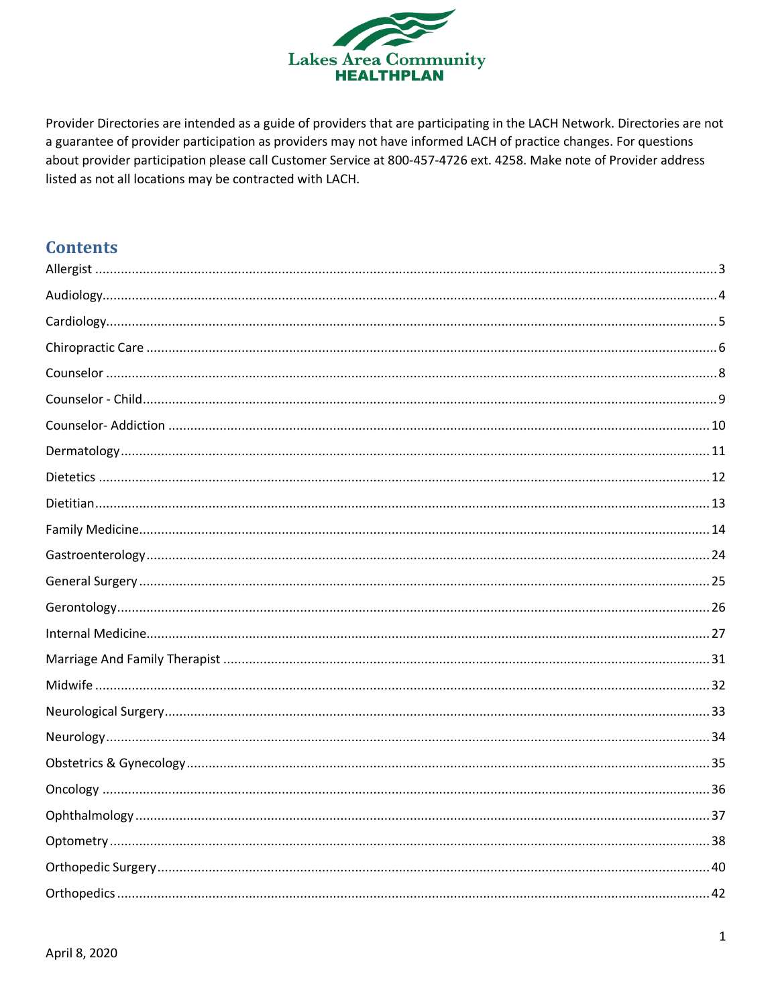

Provider Directories are intended as a guide of providers that are participating in the LACH Network. Directories are not a guarantee of provider participation as providers may not have informed LACH of practice changes. For questions about provider participation please call Customer Service at 800-457-4726 ext. 4258. Make note of Provider address listed as not all locations may be contracted with LACH.

# **Contents**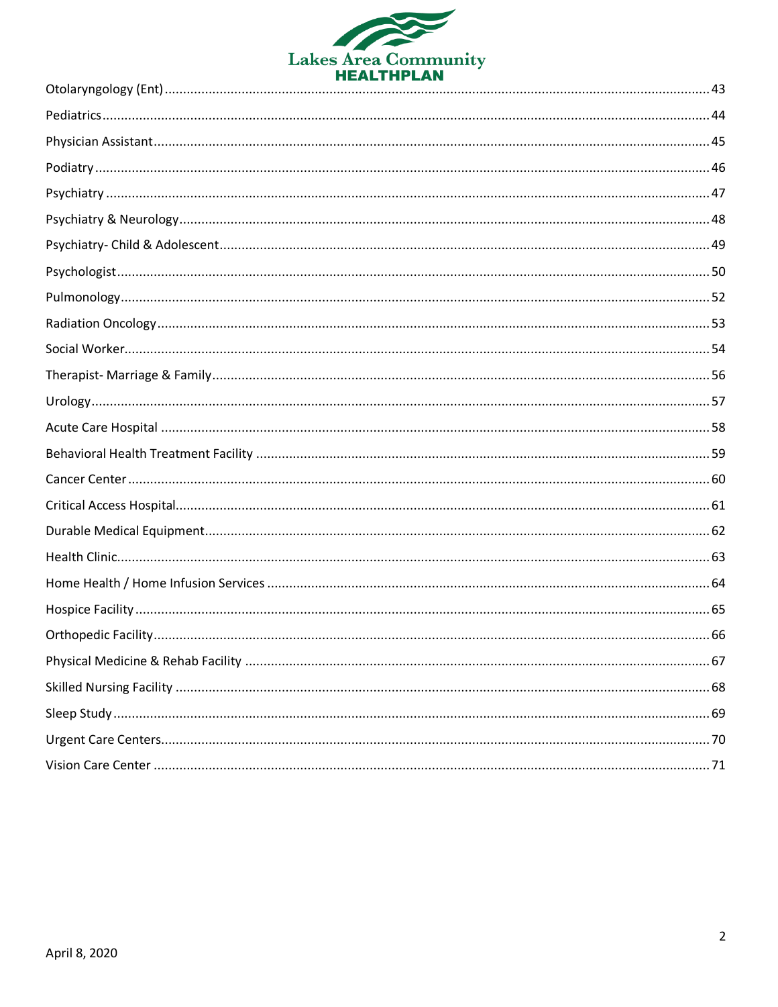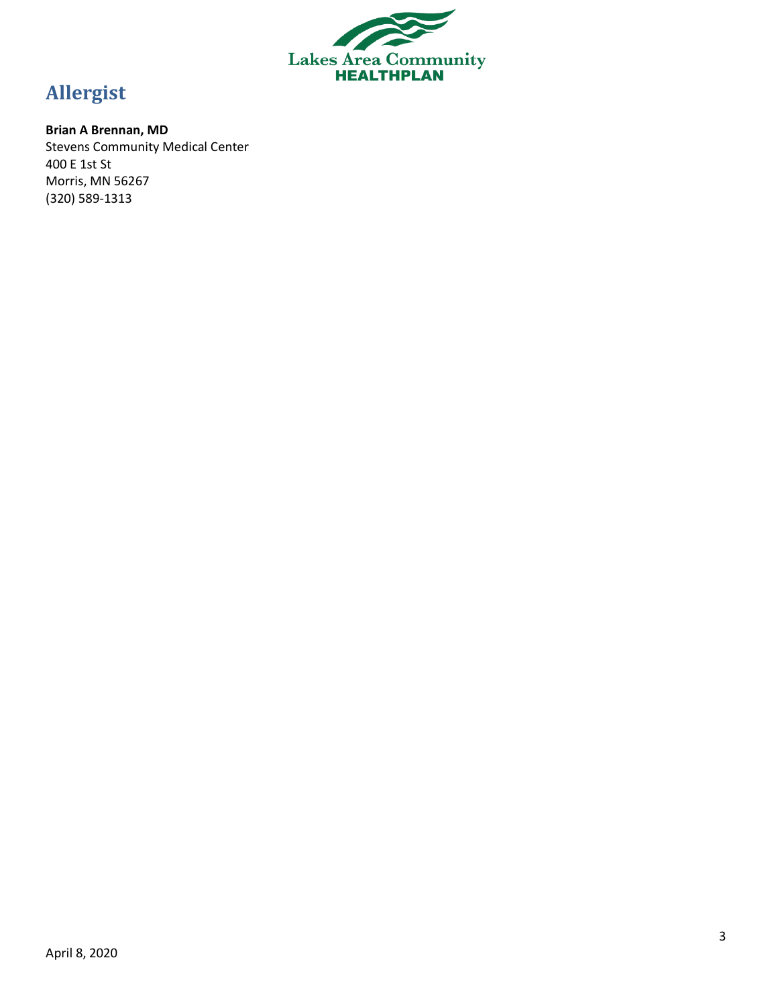

# <span id="page-2-0"></span>**Allergist**

# **Brian A Brennan, MD**

Stevens Community Medical Center 400 E 1st St Morris, MN 56267 (320) 589-1313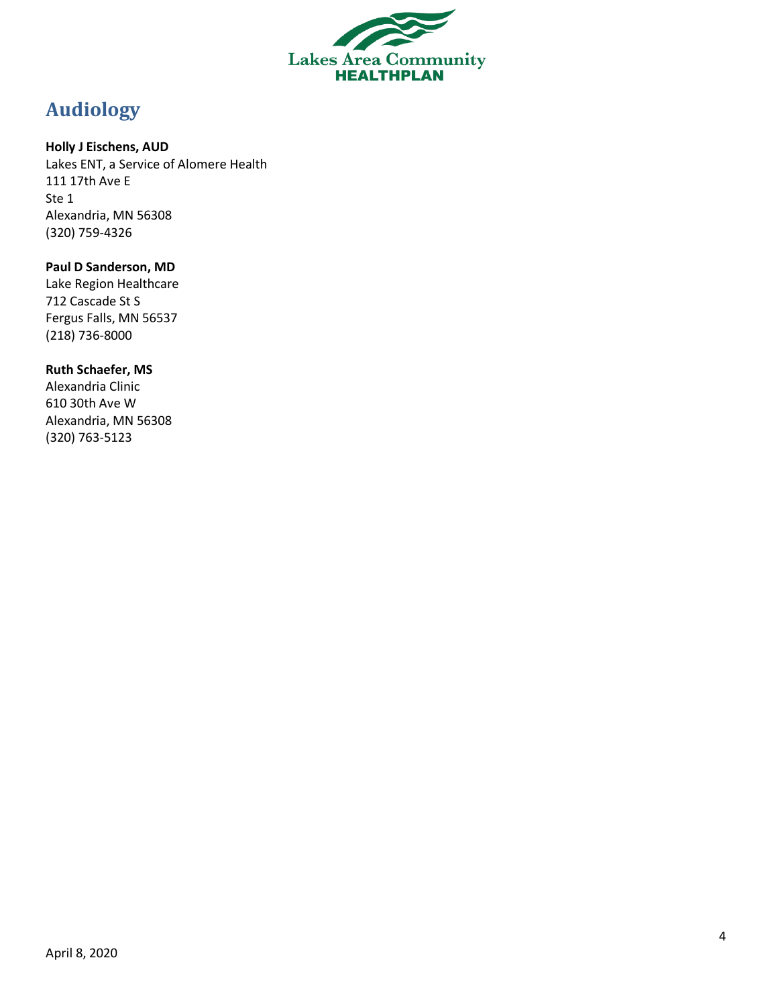

# <span id="page-3-0"></span>**Audiology**

### **Holly J Eischens, AUD**

Lakes ENT, a Service of Alomere Health 111 17th Ave E Ste 1 Alexandria, MN 56308 (320) 759-4326

# **Paul D Sanderson, MD**

Lake Region Healthcare 712 Cascade St S Fergus Falls, MN 56537 (218) 736-8000

### **Ruth Schaefer, MS**

Alexandria Clinic 610 30th Ave W Alexandria, MN 56308 (320) 763-5123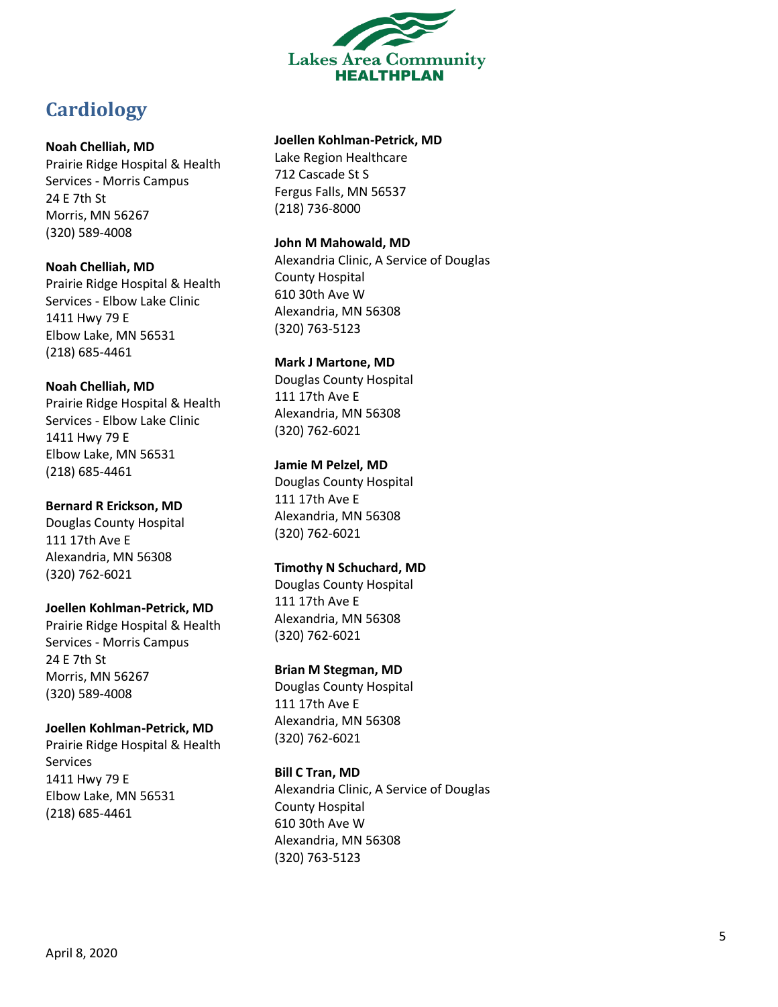

# <span id="page-4-0"></span>**Cardiology**

### **Noah Chelliah, MD**

Prairie Ridge Hospital & Health Services - Morris Campus 24 E 7th St Morris, MN 56267 (320) 589 -4008

### **Noah Chelliah, MD**

Prairie Ridge Hospital & Health Services - Elbow Lake Clinic 1411 Hwy 79 E Elbow Lake, MN 56531 (218) 685 -4461

### **Noah Chelliah, MD**

Prairie Ridge Hospital & Health Services - Elbow Lake Clinic 1411 Hwy 79 E Elbow Lake, MN 56531 (218) 685 -4461

### **Bernard R Erickson, MD**

Douglas County Hospital 111 17th Ave E Alexandria, MN 56308 (320) 762 -6021

### **Joellen Kohlman -Petrick, MD**

Prairie Ridge Hospital & Health Services - Morris Campus 24 E 7th St Morris, MN 56267 (320) 589 -4008

### **Joellen Kohlman -Petrick, MD**

Prairie Ridge Hospital & Health Services 1411 Hwy 79 E Elbow Lake, MN 56531 (218) 685 -4461

### **Joellen Kohlman -Petrick, MD**

Lake Region Healthcare 712 Cascade St S Fergus Falls, MN 56537 (218) 736 -8000

### **John M Mahowald, MD**

Alexandria Clinic, A Service of Douglas County Hospital 610 30th Ave W Alexandria, MN 56308 (320) 763 -5123

### **Mark J Martone, MD**

Douglas County Hospital 111 17th Ave E Alexandria, MN 56308 (320) 762 -6021

### **Jamie M Pelzel, MD**

Douglas County Hospital 111 17th Ave E Alexandria, MN 56308 (320) 762 -6021

### **Timothy N Schuchard, MD**

Douglas County Hospital 111 17th Ave E Alexandria, MN 56308 (320) 762 -6021

### **Brian M Stegman, MD**

Douglas County Hospital 111 17th Ave E Alexandria, MN 56308 (320) 762 -6021

### **Bill C Tran, MD**

Alexandria Clinic, A Service of Douglas County Hospital 610 30th Ave W Alexandria, MN 56308 (320) 76 3 -5123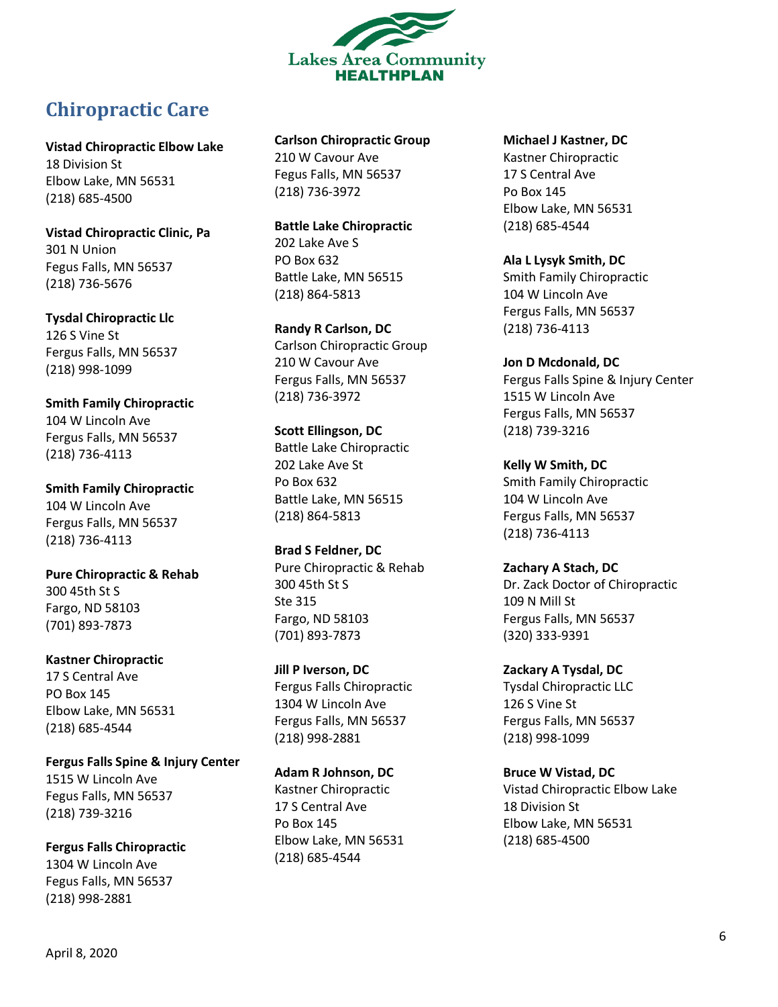

# <span id="page-5-0"></span>**Chiropractic Care**

**Vistad Chiropractic Elbow Lake** 18 Division St Elbow Lake, MN 56531 (218) 685 -4500

**Vistad Chiropractic Clinic, Pa** 301 N Union Fegus Falls, MN 56537 (218) 736 -5676

**Tysdal Chiropractic Llc** 126 S Vine St Fergus Falls, MN 56537 (218) 998 -1099

**Smith Family Chiropractic** 104 W Lincoln Ave Fergus Falls, MN 56537 (218) 736 -4113

**Smith Family Chiropractic** 104 W Lincoln Ave Fergus Falls, MN 56537 (218) 736 -4113

**Pure Chiropractic & Rehab** 300 45th St S Fargo, ND 58103 (701) 893 -7873

**Kastner Chiropractic** 17 S Central Ave PO Box 145 Elbow Lake, MN 56531 (218) 685 -4544

**Fergus Falls Spine & Injury Center** 1515 W Lincoln Ave Fegus Falls, MN 56537 (218) 739 -3216

**Fergus Falls Chiropractic** 1304 W Lincoln Ave Fegus Falls, MN 56537 (218) 998 - 2881

**Carlson Chiropractic Group** 210 W Cavour Ave

Fegus Falls, MN 56537 (218) 736 -3972

**Battle Lake Chiropractic** 202 Lake Ave S PO Box 632 Battle Lake, MN 56515 (218) 864 -5813

**Randy R Carlson, DC** Carlson Chiropractic Group 210 W Cavour Ave Fergus Falls, MN 56537 (218) 736 -3972

**Scott Ellingson, DC** Battle Lake Chiropractic 202 Lake Ave St Po Box 632 Battle Lake, MN 56515 (218) 864 -5813

**Brad S Feldner, DC** Pure Chiropractic & Rehab 300 45th St S Ste 315 Fargo, ND 58103 (701) 893 -7873

**Jill P Iverson, DC** Fergus Falls Chiropractic 1304 W Lincoln Ave Fergus Falls, MN 56537 (218) 998 -2881

**Adam R Johnson, DC** Kastner Chiropractic 17 S Central Ave Po Box 145 Elbow Lake, MN 56531 (218) 685 -4544

**Michael J Kastner, DC**

Kastner Chiropractic 17 S Central Ave Po Box 145 Elbow Lake, MN 56531 (218) 685 -4544

**Ala L Lysyk Smith, DC** Smith Family Chiropractic 104 W Lincoln Ave Fergus Falls, MN 56537 (218) 736 -4113

**Jon D Mcdonald, DC** Fergus Falls Spine & Injury Center 1515 W Lincoln Ave Fergus Falls, MN 56537 (218) 739 -3216

**Kelly W Smith, DC** Smith Family Chiropractic 104 W Lincoln Ave Fergus Falls, MN 56537 (218) 736 -4113

**Zachary A Stach, DC** Dr. Zack Doctor of Chiropractic 109 N Mill St Fergus Falls, MN 56537 (320) 333 -9391

**Zackary A Tysdal, DC** Tysdal Chiropractic LLC 126 S Vine St Fergus Falls, MN 56537 (218) 998 -1099

**Bruce W Vistad, DC** Vistad Chiropractic Elbow Lake 18 Division St Elbow Lake, MN 56531 (218) 685 -4500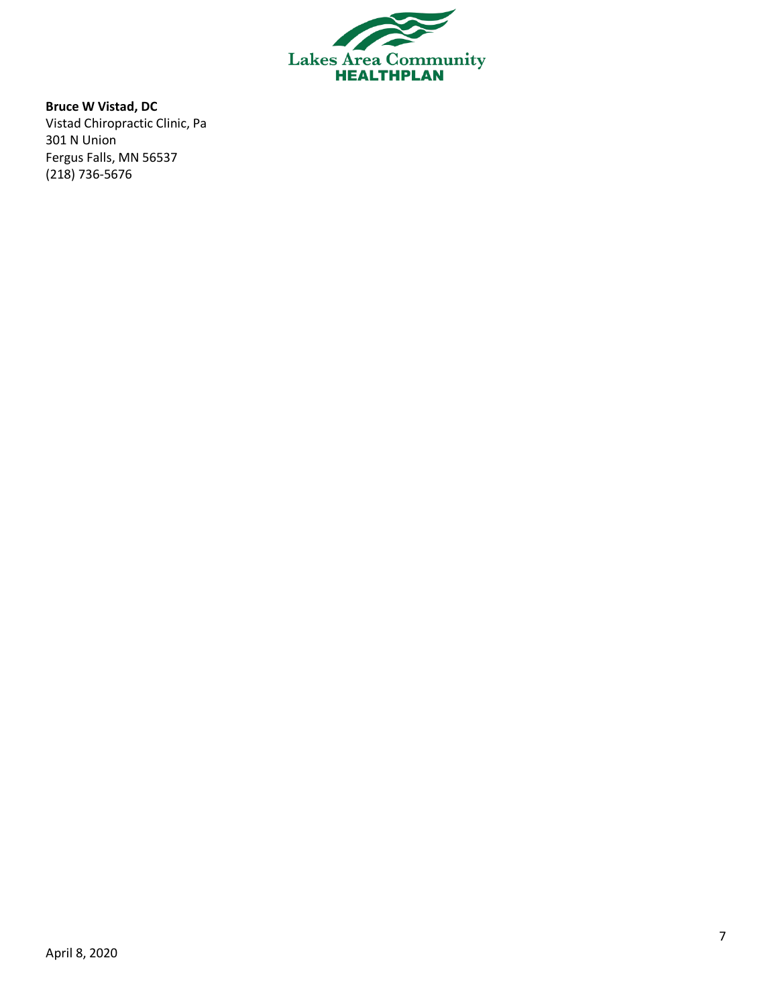

**Bruce W Vistad, DC** Vistad Chiropractic Clinic, Pa 301 N Union Fergus Falls, MN 56537 (218) 736-5676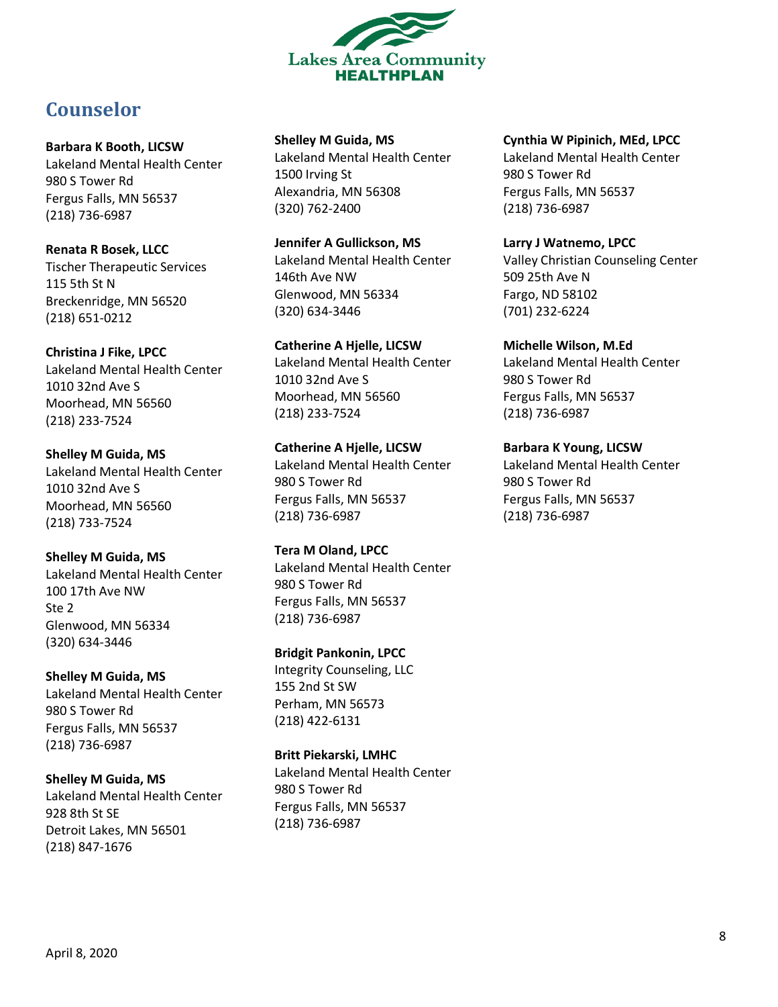

# <span id="page-7-0"></span>**Counselor**

**Barbara K Booth, LICSW** Lakeland Mental Health Center 980 S Tower Rd Fergus Falls, MN 56537 (218) 736-6987

**Renata R Bosek, LLCC** Tischer Therapeutic Services 115 5th St N Breckenridge, MN 56520 (218) 651-0212

**Christina J Fike, LPCC** Lakeland Mental Health Center 1010 32nd Ave S Moorhead, MN 56560 (218) 233-7524

**Shelley M Guida, MS** Lakeland Mental Health Center 1010 32nd Ave S Moorhead, MN 56560 (218) 733-7524

**Shelley M Guida, MS** Lakeland Mental Health Center 100 17th Ave NW Ste 2 Glenwood, MN 56334 (320) 634-3446

**Shelley M Guida, MS** Lakeland Mental Health Center 980 S Tower Rd Fergus Falls, MN 56537 (218) 736-6987

**Shelley M Guida, MS** Lakeland Mental Health Center 928 8th St SE Detroit Lakes, MN 56501 (218) 847-1676

**Shelley M Guida, MS** Lakeland Mental Health Center 1500 Irving St Alexandria, MN 56308 (320) 762-2400

**Jennifer A Gullickson, MS** Lakeland Mental Health Center 146th Ave NW Glenwood, MN 56334 (320) 634-3446

**Catherine A Hjelle, LICSW** Lakeland Mental Health Center 1010 32nd Ave S Moorhead, MN 56560 (218) 233-7524

**Catherine A Hjelle, LICSW** Lakeland Mental Health Center 980 S Tower Rd Fergus Falls, MN 56537 (218) 736-6987

**Tera M Oland, LPCC** Lakeland Mental Health Center 980 S Tower Rd Fergus Falls, MN 56537 (218) 736-6987

**Bridgit Pankonin, LPCC** Integrity Counseling, LLC 155 2nd St SW Perham, MN 56573 (218) 422-6131

**Britt Piekarski, LMHC** Lakeland Mental Health Center 980 S Tower Rd Fergus Falls, MN 56537 (218) 736-6987

### **Cynthia W Pipinich, MEd, LPCC**

Lakeland Mental Health Center 980 S Tower Rd Fergus Falls, MN 56537 (218) 736-6987

**Larry J Watnemo, LPCC** Valley Christian Counseling Center 509 25th Ave N Fargo, ND 58102 (701) 232-6224

**Michelle Wilson, M.Ed** Lakeland Mental Health Center 980 S Tower Rd Fergus Falls, MN 56537 (218) 736-6987

**Barbara K Young, LICSW** Lakeland Mental Health Center 980 S Tower Rd Fergus Falls, MN 56537 (218) 736-6987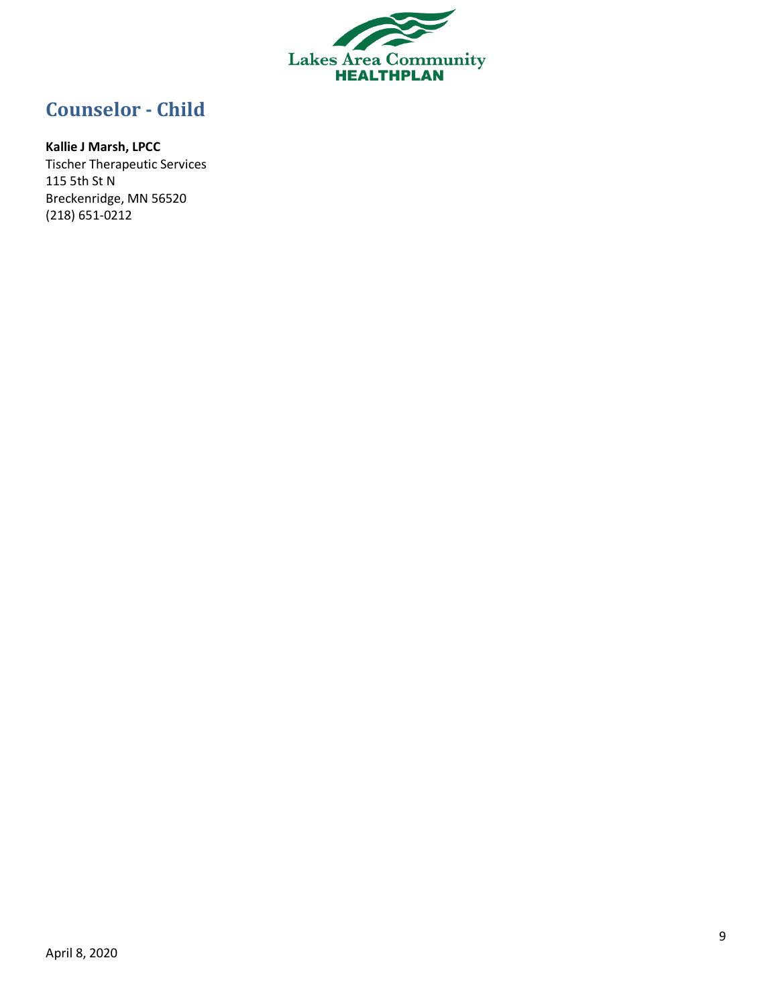

# <span id="page-8-0"></span>**Counselor - Child**

# **Kallie J Marsh, LPCC**

Tischer Therapeutic Services 115 5th St N Breckenridge, MN 56520 (218) 651-0212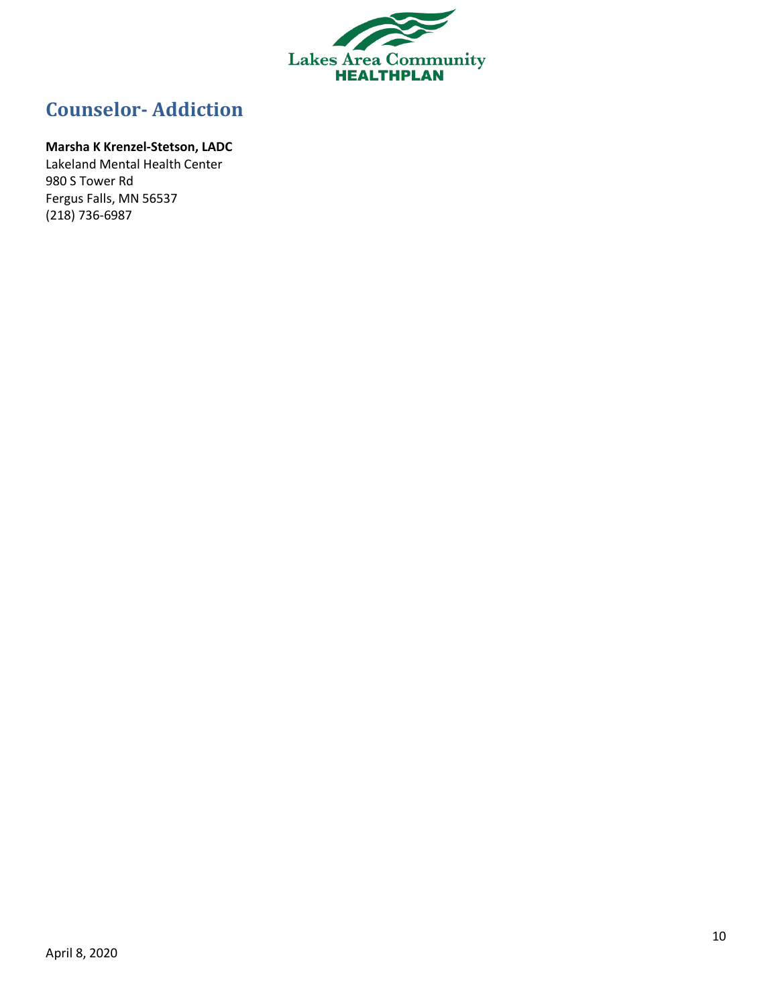

# <span id="page-9-0"></span>**Counselor- Addiction**

### **Marsha K Krenzel-Stetson, LADC**

Lakeland Mental Health Center 980 S Tower Rd Fergus Falls, MN 56537 (218) 736-6987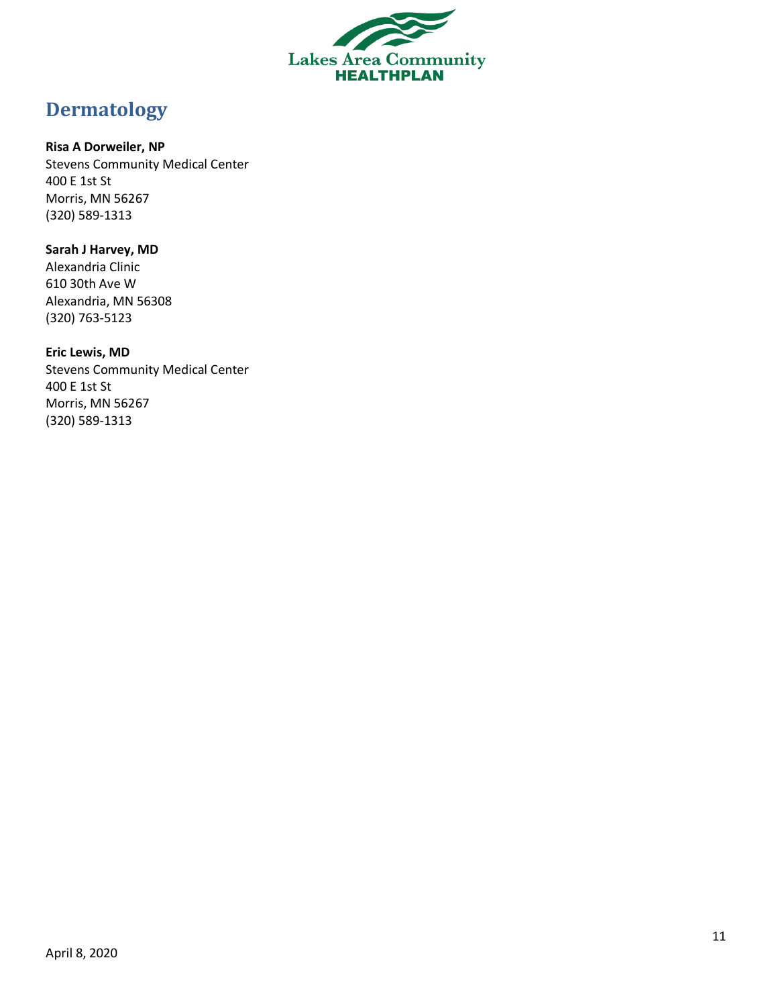

# <span id="page-10-0"></span>**Dermatology**

### **Risa A Dorweiler, NP**

Stevens Community Medical Center 400 E 1st St Morris, MN 56267 (320) 589-1313

### **Sarah J Harvey, MD** Alexandria Clinic 610 30th Ave W Alexandria, MN 56308 (320) 763-5123

**Eric Lewis, MD** Stevens Community Medical Center 400 E 1st St Morris, MN 56267 (320) 589-1313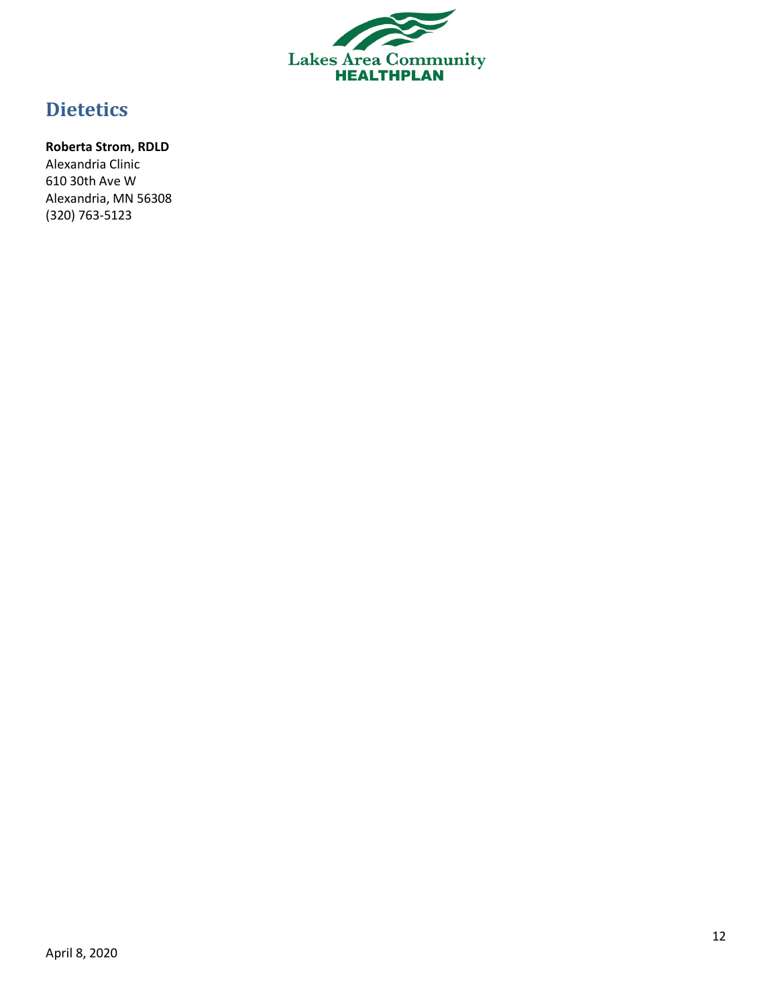

# <span id="page-11-0"></span>**Dietetics**

### **Roberta Strom, RDLD**

Alexandria Clinic 610 30th Ave W Alexandria, MN 56308 (320) 763-5123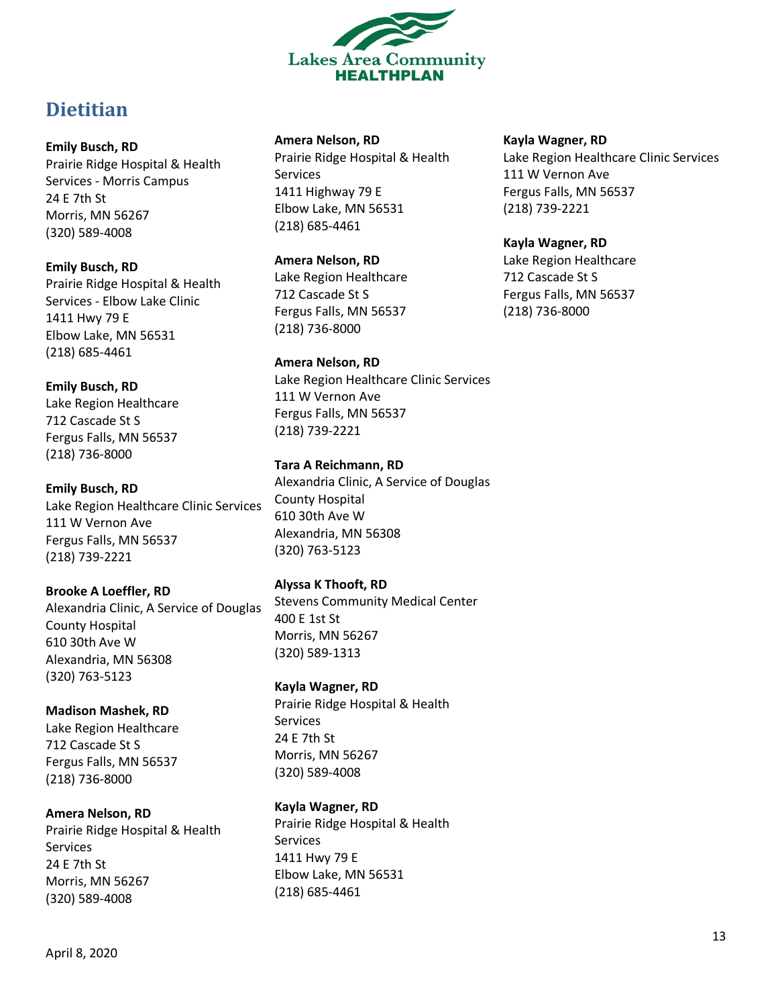

# <span id="page-12-0"></span>**Dietitian**

### **Emily Busch, RD**

Prairie Ridge Hospital & Health Services - Morris Campus 24 E 7th St Morris, MN 56267 (320) 589-4008

### **Emily Busch, RD**

Prairie Ridge Hospital & Health Services - Elbow Lake Clinic 1411 Hwy 79 E Elbow Lake, MN 56531 (218) 685-4461

### **Emily Busch, RD**

Lake Region Healthcare 712 Cascade St S Fergus Falls, MN 56537 (218) 736-8000

# **Emily Busch, RD**

Lake Region Healthcare Clinic Services 111 W Vernon Ave Fergus Falls, MN 56537 (218) 739-2221

# **Brooke A Loeffler, RD**

Alexandria Clinic, A Service of Douglas County Hospital 610 30th Ave W Alexandria, MN 56308 (320) 763-5123

# **Madison Mashek, RD**

Lake Region Healthcare 712 Cascade St S Fergus Falls, MN 56537 (218) 736-8000

# **Amera Nelson, RD**

Prairie Ridge Hospital & Health Services 24 E 7th St Morris, MN 56267 (320) 589-4008

### **Amera Nelson, RD**

Prairie Ridge Hospital & Health Services 1411 Highway 79 E Elbow Lake, MN 56531 (218) 685-4461

### **Amera Nelson, RD**

Lake Region Healthcare 712 Cascade St S Fergus Falls, MN 56537 (218) 736-8000

### **Amera Nelson, RD**

Lake Region Healthcare Clinic Services 111 W Vernon Ave Fergus Falls, MN 56537 (218) 739-2221

### **Tara A Reichmann, RD**

Alexandria Clinic, A Service of Douglas County Hospital 610 30th Ave W Alexandria, MN 56308 (320) 763-5123

# **Alyssa K Thooft, RD**

Stevens Community Medical Center 400 E 1st St Morris, MN 56267 (320) 589-1313

# **Kayla Wagner, RD**

Prairie Ridge Hospital & Health Services 24 E 7th St Morris, MN 56267 (320) 589-4008

# **Kayla Wagner, RD**

Prairie Ridge Hospital & Health Services 1411 Hwy 79 E Elbow Lake, MN 56531 (218) 685-4461

### **Kayla Wagner, RD**

Lake Region Healthcare Clinic Services 111 W Vernon Ave Fergus Falls, MN 56537 (218) 739-2221

### **Kayla Wagner, RD**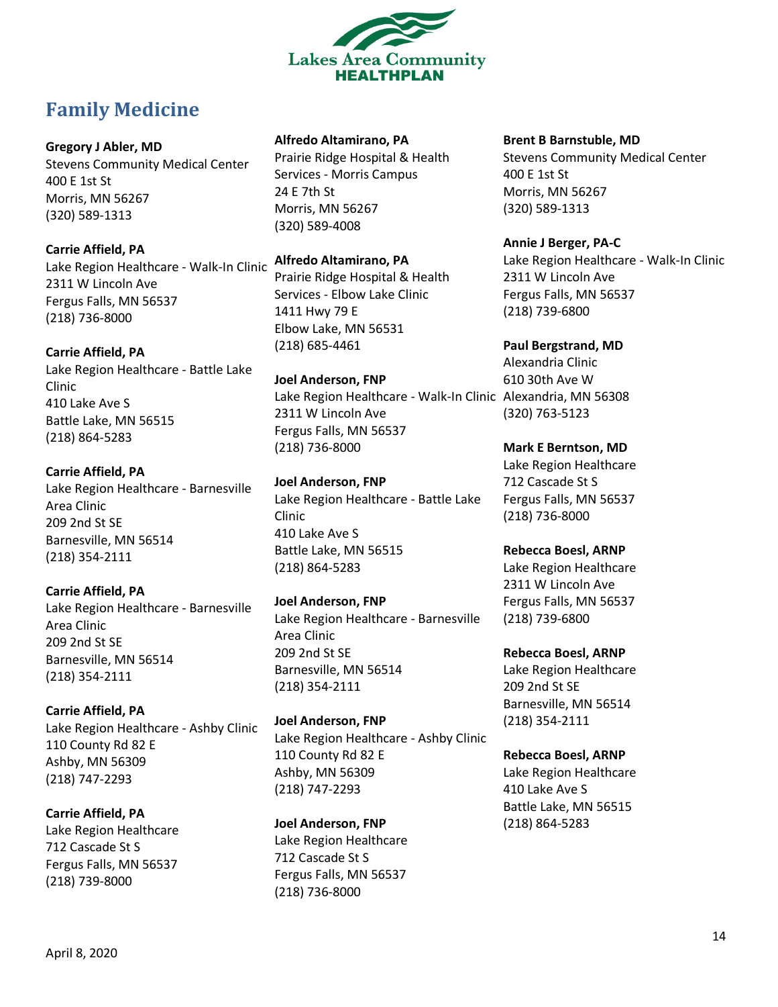

# <span id="page-13-0"></span>**Family Medicine**

**Gregory J Abler, MD**

Stevens Community Medical Center 400 E 1st St Morris, MN 56267 (320) 589-1313

**Carrie Affield, PA** Lake Region Healthcare - Walk-In Clinic 2311 W Lincoln Ave Fergus Falls, MN 56537 (218) 736-8000

**Carrie Affield, PA**

Lake Region Healthcare - Battle Lake Clinic 410 Lake Ave S Battle Lake, MN 56515 (218) 864-5283

# **Carrie Affield, PA**

Lake Region Healthcare - Barnesville Area Clinic 209 2nd St SE Barnesville, MN 56514 (218) 354-2111

**Carrie Affield, PA** Lake Region Healthcare - Barnesville Area Clinic 209 2nd St SE Barnesville, MN 56514 (218) 354-2111

**Carrie Affield, PA** Lake Region Healthcare - Ashby Clinic 110 County Rd 82 E Ashby, MN 56309 (218) 747-2293

**Carrie Affield, PA** Lake Region Healthcare 712 Cascade St S Fergus Falls, MN 56537 (218) 739-8000

### **Alfredo Altamirano, PA**

Prairie Ridge Hospital & Health Services - Morris Campus 24 E 7th St Morris, MN 56267 (320) 589-4008

**Alfredo Altamirano, PA**

Prairie Ridge Hospital & Health Services - Elbow Lake Clinic 1411 Hwy 79 E Elbow Lake, MN 56531 (218) 685-4461

**Joel Anderson, FNP** Lake Region Healthcare - Walk-In Clinic Alexandria, MN 56308 2311 W Lincoln Ave Fergus Falls, MN 56537 (218) 736-8000

**Joel Anderson, FNP** Lake Region Healthcare - Battle Lake Clinic 410 Lake Ave S Battle Lake, MN 56515 (218) 864-5283

**Joel Anderson, FNP** Lake Region Healthcare - Barnesville Area Clinic 209 2nd St SE Barnesville, MN 56514 (218) 354-2111

**Joel Anderson, FNP** Lake Region Healthcare - Ashby Clinic 110 County Rd 82 E Ashby, MN 56309 (218) 747-2293

**Joel Anderson, FNP** Lake Region Healthcare 712 Cascade St S Fergus Falls, MN 56537 (218) 736-8000

**Brent B Barnstuble, MD**

Stevens Community Medical Center 400 E 1st St Morris, MN 56267 (320) 589-1313

**Annie J Berger, PA-C** Lake Region Healthcare - Walk-In Clinic 2311 W Lincoln Ave Fergus Falls, MN 56537 (218) 739-6800

**Paul Bergstrand, MD** Alexandria Clinic 610 30th Ave W (320) 763-5123

**Mark E Berntson, MD** Lake Region Healthcare 712 Cascade St S Fergus Falls, MN 56537 (218) 736-8000

**Rebecca Boesl, ARNP** Lake Region Healthcare 2311 W Lincoln Ave Fergus Falls, MN 56537 (218) 739-6800

**Rebecca Boesl, ARNP** Lake Region Healthcare 209 2nd St SE Barnesville, MN 56514 (218) 354-2111

**Rebecca Boesl, ARNP** Lake Region Healthcare 410 Lake Ave S Battle Lake, MN 56515 (218) 864-5283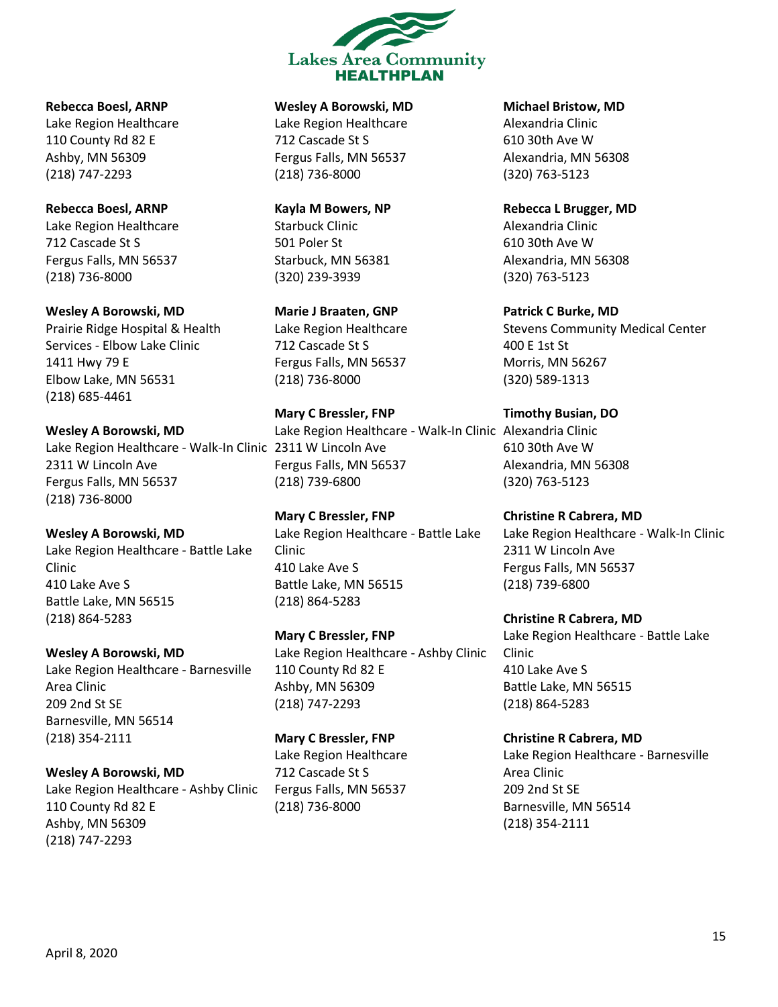

**Rebecca Boesl, ARNP** Lake Region Healthcare 110 County Rd 82 E Ashby, MN 56309 (218) 747-2293

**Rebecca Boesl, ARNP** Lake Region Healthcare 712 Cascade St S Fergus Falls, MN 56537 (218) 736-8000

**Wesley A Borowski, MD** Prairie Ridge Hospital & Health Services - Elbow Lake Clinic 1411 Hwy 79 E Elbow Lake, MN 56531 (218) 685-4461

**Wesley A Borowski, MD** Lake Region Healthcare - Walk-In Clinic 2311 W Lincoln Ave 2311 W Lincoln Ave Fergus Falls, MN 56537 (218) 736-8000

**Wesley A Borowski, MD** Lake Region Healthcare - Battle Lake Clinic 410 Lake Ave S Battle Lake, MN 56515 (218) 864-5283

**Wesley A Borowski, MD** Lake Region Healthcare - Barnesville Area Clinic 209 2nd St SE Barnesville, MN 56514 (218) 354-2111

**Wesley A Borowski, MD** Lake Region Healthcare - Ashby Clinic 110 County Rd 82 E

**Wesley A Borowski, MD** Lake Region Healthcare 712 Cascade St S Fergus Falls, MN 56537

**Kayla M Bowers, NP** Starbuck Clinic 501 Poler St Starbuck, MN 56381 (320) 239-3939

(218) 736-8000

**Marie J Braaten, GNP** Lake Region Healthcare 712 Cascade St S Fergus Falls, MN 56537 (218) 736-8000

**Mary C Bressler, FNP** Lake Region Healthcare - Walk-In Clinic Alexandria Clinic Fergus Falls, MN 56537 (218) 739-6800

**Mary C Bressler, FNP** Lake Region Healthcare - Battle Lake Clinic 410 Lake Ave S Battle Lake, MN 56515 (218) 864-5283

**Mary C Bressler, FNP** Lake Region Healthcare - Ashby Clinic 110 County Rd 82 E Ashby, MN 56309 (218) 747-2293

**Mary C Bressler, FNP** Lake Region Healthcare 712 Cascade St S Fergus Falls, MN 56537 (218) 736-8000

**Michael Bristow, MD**

Alexandria Clinic 610 30th Ave W Alexandria, MN 56308 (320) 763-5123

**Rebecca L Brugger, MD** Alexandria Clinic 610 30th Ave W Alexandria, MN 56308 (320) 763-5123

**Patrick C Burke, MD** Stevens Community Medical Center 400 E 1st St Morris, MN 56267 (320) 589-1313

**Timothy Busian, DO** 610 30th Ave W Alexandria, MN 56308 (320) 763-5123

**Christine R Cabrera, MD** Lake Region Healthcare - Walk-In Clinic 2311 W Lincoln Ave Fergus Falls, MN 56537 (218) 739-6800

**Christine R Cabrera, MD** Lake Region Healthcare - Battle Lake Clinic 410 Lake Ave S Battle Lake, MN 56515 (218) 864-5283

**Christine R Cabrera, MD** Lake Region Healthcare - Barnesville Area Clinic 209 2nd St SE Barnesville, MN 56514 (218) 354-2111

Ashby, MN 56309 (218) 747-2293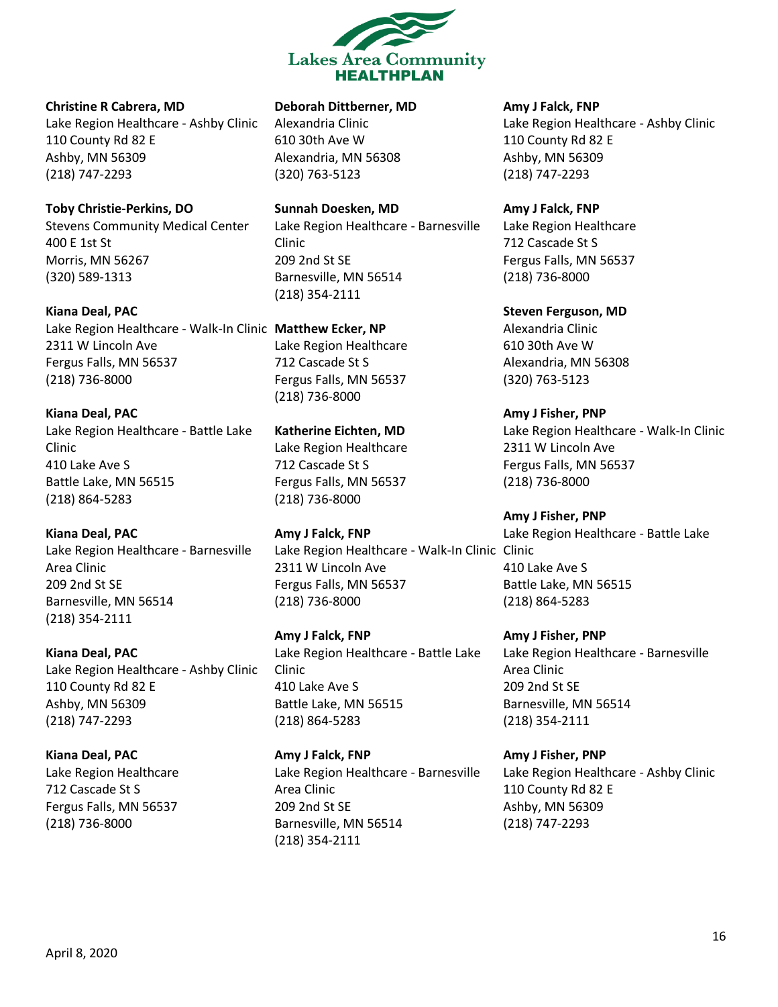

#### **Christine R Cabrera, MD**

Lake Region Healthcare - Ashby Clinic 110 County Rd 82 E Ashby, MN 56309 (218) 747-2293

#### **Toby Christie-Perkins, DO**

Stevens Community Medical Center 400 E 1st St Morris, MN 56267 (320) 589-1313

**Kiana Deal, PAC** Lake Region Healthcare - Walk-In Clinic **Matthew Ecker, NP** 2311 W Lincoln Ave Fergus Falls, MN 56537 (218) 736-8000

**Kiana Deal, PAC** Lake Region Healthcare - Battle Lake Clinic 410 Lake Ave S Battle Lake, MN 56515 (218) 864-5283

**Kiana Deal, PAC**

Lake Region Healthcare - Barnesville Area Clinic 209 2nd St SE Barnesville, MN 56514 (218) 354-2111

**Kiana Deal, PAC** Lake Region Healthcare - Ashby Clinic 110 County Rd 82 E Ashby, MN 56309 (218) 747-2293

**Kiana Deal, PAC** Lake Region Healthcare 712 Cascade St S Fergus Falls, MN 56537 (218) 736-8000

### **Deborah Dittberner, MD**

Alexandria Clinic 610 30th Ave W Alexandria, MN 56308 (320) 763-5123

**Sunnah Doesken, MD** Lake Region Healthcare - Barnesville Clinic 209 2nd St SE Barnesville, MN 56514 (218) 354-2111

Lake Region Healthcare 712 Cascade St S Fergus Falls, MN 56537 (218) 736-8000

**Katherine Eichten, MD** Lake Region Healthcare 712 Cascade St S Fergus Falls, MN 56537 (218) 736-8000

**Amy J Falck, FNP** Lake Region Healthcare - Walk-In Clinic Clinic 2311 W Lincoln Ave Fergus Falls, MN 56537 (218) 736-8000

**Amy J Falck, FNP** Lake Region Healthcare - Battle Lake Clinic 410 Lake Ave S Battle Lake, MN 56515 (218) 864-5283

**Amy J Falck, FNP** Lake Region Healthcare - Barnesville Area Clinic 209 2nd St SE Barnesville, MN 56514 (218) 354-2111

**Amy J Falck, FNP**

Lake Region Healthcare - Ashby Clinic 110 County Rd 82 E Ashby, MN 56309 (218) 747-2293

**Amy J Falck, FNP** Lake Region Healthcare 712 Cascade St S Fergus Falls, MN 56537 (218) 736-8000

**Steven Ferguson, MD** Alexandria Clinic 610 30th Ave W Alexandria, MN 56308 (320) 763-5123

**Amy J Fisher, PNP** Lake Region Healthcare - Walk-In Clinic 2311 W Lincoln Ave Fergus Falls, MN 56537 (218) 736-8000

**Amy J Fisher, PNP** Lake Region Healthcare - Battle Lake 410 Lake Ave S Battle Lake, MN 56515 (218) 864-5283

**Amy J Fisher, PNP** Lake Region Healthcare - Barnesville Area Clinic 209 2nd St SE Barnesville, MN 56514 (218) 354-2111

**Amy J Fisher, PNP** Lake Region Healthcare - Ashby Clinic 110 County Rd 82 E Ashby, MN 56309 (218) 747-2293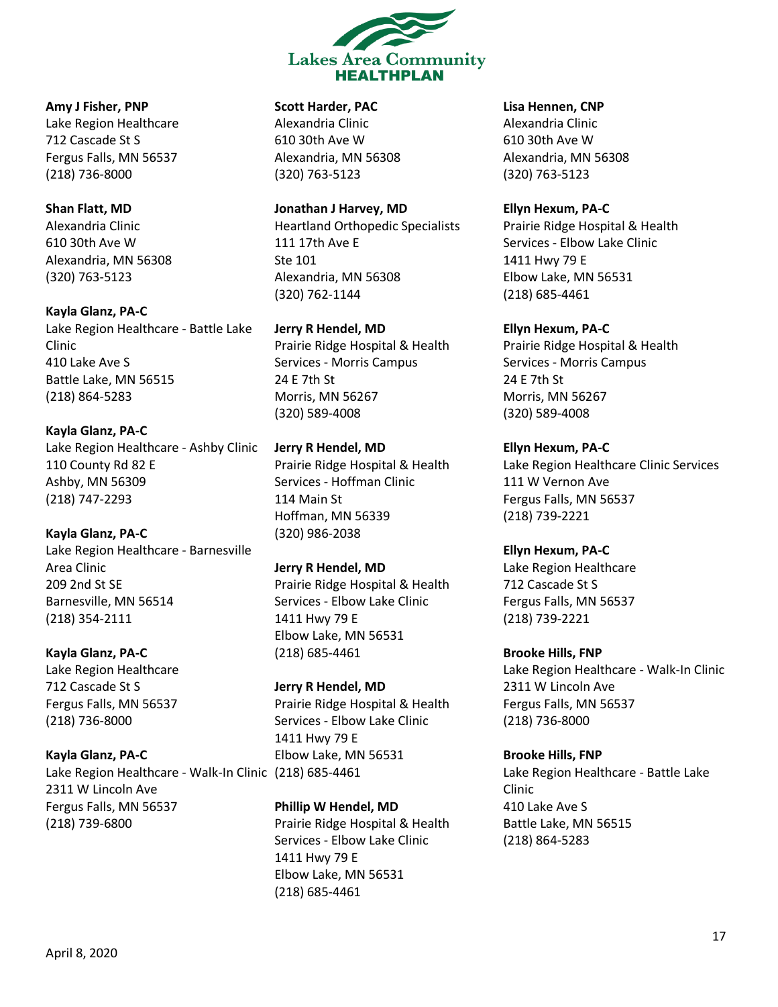

**Amy J Fisher, PNP** Lake Region Healthcare 712 Cascade St S Fergus Falls, MN 56537 (218) 736-8000

#### **Shan Flatt, MD** Alexandria Clinic

610 30th Ave W Alexandria, MN 56308 (320) 763-5123

**Kayla Glanz, PA-C** Lake Region Healthcare - Battle Lake Clinic 410 Lake Ave S Battle Lake, MN 56515 (218) 864-5283

**Kayla Glanz, PA-C** Lake Region Healthcare - Ashby Clinic 110 County Rd 82 E Ashby, MN 56309 (218) 747-2293

**Kayla Glanz, PA-C** Lake Region Healthcare - Barnesville Area Clinic 209 2nd St SE Barnesville, MN 56514 (218) 354-2111

**Kayla Glanz, PA-C** Lake Region Healthcare 712 Cascade St S Fergus Falls, MN 56537 (218) 736-8000

**Kayla Glanz, PA-C** Lake Region Healthcare - Walk-In Clinic (218) 685-4461 2311 W Lincoln Ave Fergus Falls, MN 56537 (218) 739-6800

**Scott Harder, PAC**

Alexandria Clinic 610 30th Ave W Alexandria, MN 56308 (320) 763-5123

**Jonathan J Harvey, MD**

Heartland Orthopedic Specialists 111 17th Ave E Ste 101 Alexandria, MN 56308 (320) 762-1144

**Jerry R Hendel, MD** Prairie Ridge Hospital & Health Services - Morris Campus 24 E 7th St Morris, MN 56267 (320) 589-4008

**Jerry R Hendel, MD** Prairie Ridge Hospital & Health Services - Hoffman Clinic 114 Main St Hoffman, MN 56339 (320) 986-2038

**Jerry R Hendel, MD** Prairie Ridge Hospital & Health Services - Elbow Lake Clinic 1411 Hwy 79 E Elbow Lake, MN 56531 (218) 685-4461

**Jerry R Hendel, MD** Prairie Ridge Hospital & Health Services - Elbow Lake Clinic 1411 Hwy 79 E Elbow Lake, MN 56531

**Phillip W Hendel, MD** Prairie Ridge Hospital & Health Services - Elbow Lake Clinic 1411 Hwy 79 E Elbow Lake, MN 56531 (218) 685-4461

**Lisa Hennen, CNP**

Alexandria Clinic 610 30th Ave W Alexandria, MN 56308 (320) 763-5123

**Ellyn Hexum, PA-C** Prairie Ridge Hospital & Health Services - Elbow Lake Clinic 1411 Hwy 79 E Elbow Lake, MN 56531 (218) 685-4461

**Ellyn Hexum, PA-C** Prairie Ridge Hospital & Health Services - Morris Campus 24 E 7th St Morris, MN 56267 (320) 589-4008

**Ellyn Hexum, PA-C** Lake Region Healthcare Clinic Services 111 W Vernon Ave Fergus Falls, MN 56537 (218) 739-2221

**Ellyn Hexum, PA-C** Lake Region Healthcare 712 Cascade St S Fergus Falls, MN 56537 (218) 739-2221

**Brooke Hills, FNP** Lake Region Healthcare - Walk-In Clinic 2311 W Lincoln Ave Fergus Falls, MN 56537 (218) 736-8000

**Brooke Hills, FNP** Lake Region Healthcare - Battle Lake Clinic 410 Lake Ave S Battle Lake, MN 56515 (218) 864-5283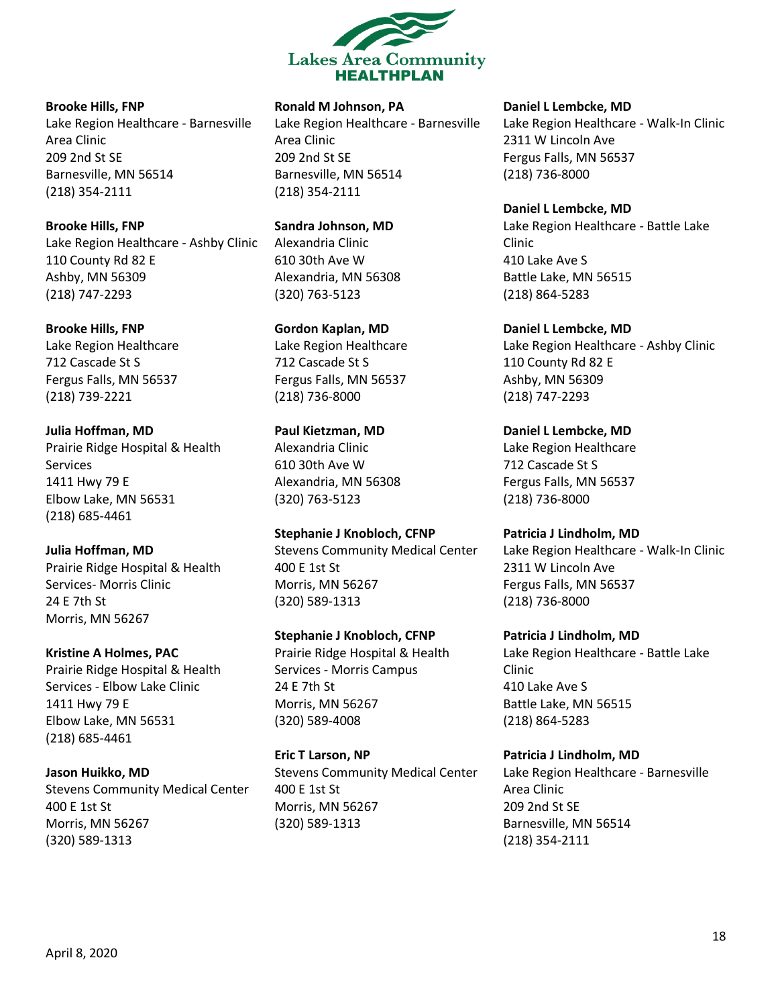

**Brooke Hills, FNP**

Lake Region Healthcare - Barnesville Area Clinic 209 2nd St SE Barnesville, MN 56514 (218) 354-2111

**Brooke Hills, FNP** Lake Region Healthcare - Ashby Clinic 110 County Rd 82 E Ashby, MN 56309 (218) 747-2293

**Brooke Hills, FNP** Lake Region Healthcare 712 Cascade St S Fergus Falls, MN 56537 (218) 739-2221

**Julia Hoffman, MD** Prairie Ridge Hospital & Health Services 1411 Hwy 79 E Elbow Lake, MN 56531 (218) 685-4461

**Julia Hoffman, MD** Prairie Ridge Hospital & Health Services- Morris Clinic 24 E 7th St Morris, MN 56267

**Kristine A Holmes, PAC** Prairie Ridge Hospital & Health Services - Elbow Lake Clinic 1411 Hwy 79 E Elbow Lake, MN 56531 (218) 685-4461

**Jason Huikko, MD** Stevens Community Medical Center 400 E 1st St Morris, MN 56267 (320) 589-1313

### **Ronald M Johnson, PA**

Lake Region Healthcare - Barnesville Area Clinic 209 2nd St SE Barnesville, MN 56514 (218) 354-2111

**Sandra Johnson, MD** Alexandria Clinic 610 30th Ave W Alexandria, MN 56308 (320) 763-5123

**Gordon Kaplan, MD** Lake Region Healthcare 712 Cascade St S Fergus Falls, MN 56537 (218) 736-8000

**Paul Kietzman, MD** Alexandria Clinic 610 30th Ave W Alexandria, MN 56308 (320) 763-5123

**Stephanie J Knobloch, CFNP** Stevens Community Medical Center 400 E 1st St Morris, MN 56267 (320) 589-1313

**Stephanie J Knobloch, CFNP** Prairie Ridge Hospital & Health Services - Morris Campus 24 E 7th St Morris, MN 56267 (320) 589-4008

**Eric T Larson, NP** Stevens Community Medical Center 400 E 1st St Morris, MN 56267 (320) 589-1313

**Daniel L Lembcke, MD**

Lake Region Healthcare - Walk-In Clinic 2311 W Lincoln Ave Fergus Falls, MN 56537 (218) 736-8000

**Daniel L Lembcke, MD** Lake Region Healthcare - Battle Lake Clinic 410 Lake Ave S Battle Lake, MN 56515 (218) 864-5283

**Daniel L Lembcke, MD** Lake Region Healthcare - Ashby Clinic 110 County Rd 82 E Ashby, MN 56309 (218) 747-2293

**Daniel L Lembcke, MD** Lake Region Healthcare 712 Cascade St S Fergus Falls, MN 56537 (218) 736-8000

**Patricia J Lindholm, MD** Lake Region Healthcare - Walk-In Clinic 2311 W Lincoln Ave Fergus Falls, MN 56537 (218) 736-8000

**Patricia J Lindholm, MD** Lake Region Healthcare - Battle Lake Clinic 410 Lake Ave S Battle Lake, MN 56515 (218) 864-5283

**Patricia J Lindholm, MD** Lake Region Healthcare - Barnesville Area Clinic 209 2nd St SE Barnesville, MN 56514 (218) 354-2111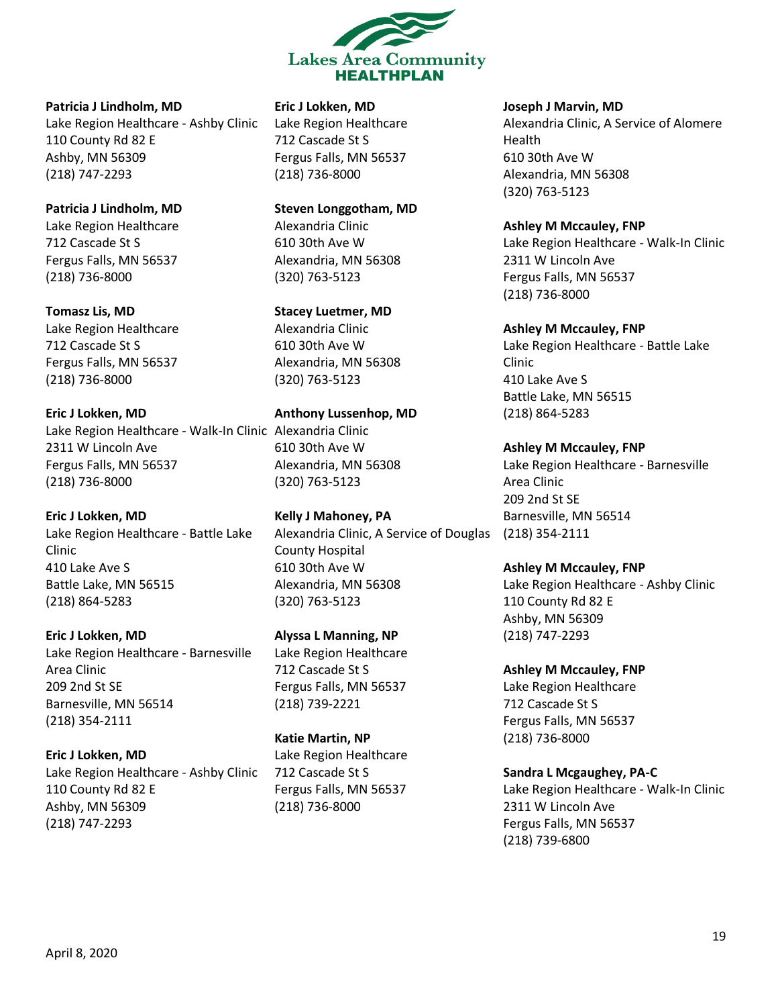

**Patricia J Lindholm, MD** Lake Region Healthcare - Ashby Clinic 110 County Rd 82 E Ashby, MN 56309 (218) 747-2293

**Patricia J Lindholm, MD** Lake Region Healthcare 712 Cascade St S Fergus Falls, MN 56537 (218) 736-8000

**Tomasz Lis, MD** Lake Region Healthcare 712 Cascade St S Fergus Falls, MN 56537 (218) 736-8000

**Eric J Lokken, MD** Lake Region Healthcare - Walk-In Clinic Alexandria Clinic 2311 W Lincoln Ave Fergus Falls, MN 56537 (218) 736-8000

**Eric J Lokken, MD** Lake Region Healthcare - Battle Lake Clinic 410 Lake Ave S Battle Lake, MN 56515 (218) 864-5283

**Eric J Lokken, MD** Lake Region Healthcare - Barnesville Area Clinic 209 2nd St SE Barnesville, MN 56514 (218) 354-2111

**Eric J Lokken, MD** Lake Region Healthcare - Ashby Clinic 110 County Rd 82 E Ashby, MN 56309 (218) 747-2293

**Eric J Lokken, MD**

Lake Region Healthcare 712 Cascade St S Fergus Falls, MN 56537 (218) 736-8000

**Steven Longgotham, MD** Alexandria Clinic 610 30th Ave W Alexandria, MN 56308 (320) 763-5123

**Stacey Luetmer, MD** Alexandria Clinic 610 30th Ave W Alexandria, MN 56308 (320) 763-5123

**Anthony Lussenhop, MD** 610 30th Ave W Alexandria, MN 56308 (320) 763-5123

**Kelly J Mahoney, PA** Alexandria Clinic, A Service of Douglas (218) 354-2111 County Hospital 610 30th Ave W Alexandria, MN 56308 (320) 763-5123

**Alyssa L Manning, NP** Lake Region Healthcare 712 Cascade St S Fergus Falls, MN 56537 (218) 739-2221

**Katie Martin, NP** Lake Region Healthcare 712 Cascade St S Fergus Falls, MN 56537 (218) 736-8000

**Joseph J Marvin, MD**

Alexandria Clinic, A Service of Alomere Health 610 30th Ave W Alexandria, MN 56308 (320) 763-5123

**Ashley M Mccauley, FNP** Lake Region Healthcare - Walk-In Clinic 2311 W Lincoln Ave Fergus Falls, MN 56537 (218) 736-8000

**Ashley M Mccauley, FNP** Lake Region Healthcare - Battle Lake Clinic 410 Lake Ave S Battle Lake, MN 56515 (218) 864-5283

**Ashley M Mccauley, FNP** Lake Region Healthcare - Barnesville Area Clinic 209 2nd St SE Barnesville, MN 56514

**Ashley M Mccauley, FNP** Lake Region Healthcare - Ashby Clinic 110 County Rd 82 E Ashby, MN 56309 (218) 747-2293

**Ashley M Mccauley, FNP** Lake Region Healthcare 712 Cascade St S Fergus Falls, MN 56537 (218) 736-8000

**Sandra L Mcgaughey, PA-C** Lake Region Healthcare - Walk-In Clinic 2311 W Lincoln Ave Fergus Falls, MN 56537 (218) 739-6800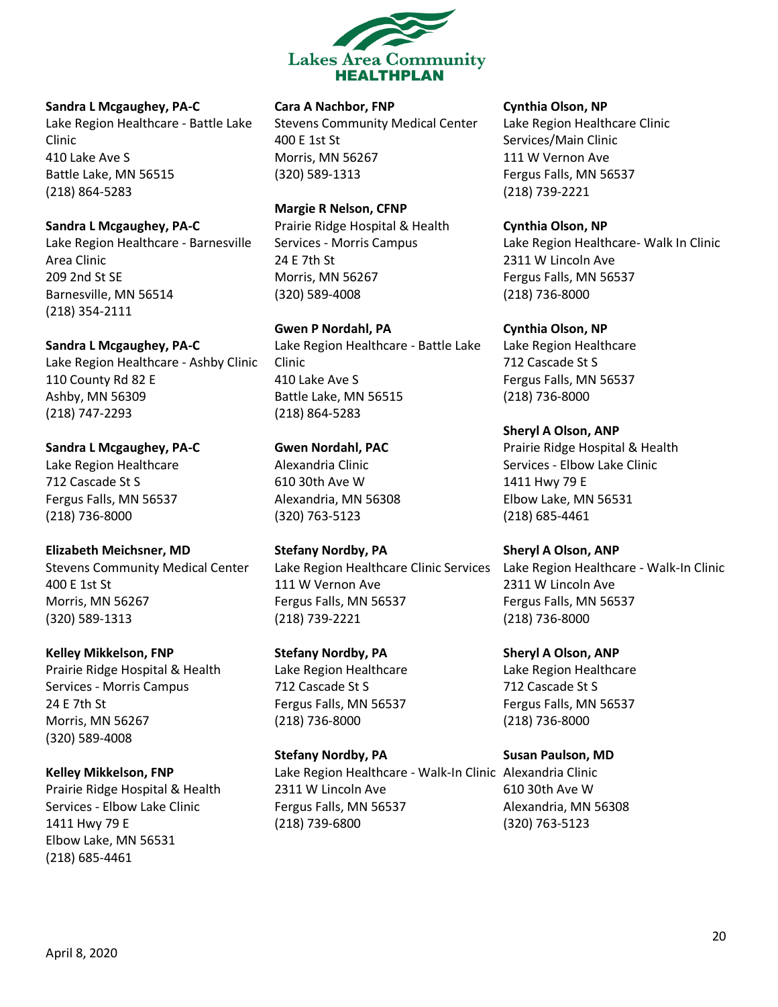

#### **Sandra L Mcgaughey, PA-C**

Lake Region Healthcare - Battle Lake Clinic 410 Lake Ave S Battle Lake, MN 56515 (218) 864-5283

#### **Sandra L Mcgaughey, PA-C**

Lake Region Healthcare - Barnesville Area Clinic 209 2nd St SE Barnesville, MN 56514 (218) 354-2111

#### **Sandra L Mcgaughey, PA-C**

Lake Region Healthcare - Ashby Clinic 110 County Rd 82 E Ashby, MN 56309 (218) 747-2293

**Sandra L Mcgaughey, PA-C** Lake Region Healthcare 712 Cascade St S Fergus Falls, MN 56537 (218) 736-8000

#### **Elizabeth Meichsner, MD**

Stevens Community Medical Center 400 E 1st St Morris, MN 56267 (320) 589-1313

#### **Kelley Mikkelson, FNP**

Prairie Ridge Hospital & Health Services - Morris Campus 24 E 7th St Morris, MN 56267 (320) 589-4008

### **Kelley Mikkelson, FNP**

Prairie Ridge Hospital & Health Services - Elbow Lake Clinic 1411 Hwy 79 E Elbow Lake, MN 56531 (218) 685-4461

### **Cara A Nachbor, FNP**

Stevens Community Medical Center 400 E 1st St Morris, MN 56267 (320) 589-1313

**Margie R Nelson, CFNP** Prairie Ridge Hospital & Health Services - Morris Campus 24 E 7th St

Morris, MN 56267 (320) 589-4008

**Gwen P Nordahl, PA** Lake Region Healthcare - Battle Lake Clinic 410 Lake Ave S Battle Lake, MN 56515 (218) 864-5283

**Gwen Nordahl, PAC** Alexandria Clinic 610 30th Ave W Alexandria, MN 56308 (320) 763-5123

**Stefany Nordby, PA** 111 W Vernon Ave Fergus Falls, MN 56537 (218) 739-2221

**Stefany Nordby, PA** Lake Region Healthcare 712 Cascade St S Fergus Falls, MN 56537 (218) 736-8000

**Stefany Nordby, PA** Lake Region Healthcare - Walk-In Clinic Alexandria Clinic 2311 W Lincoln Ave Fergus Falls, MN 56537 (218) 739-6800

#### **Cynthia Olson, NP**

Lake Region Healthcare Clinic Services/Main Clinic 111 W Vernon Ave Fergus Falls, MN 56537 (218) 739-2221

#### **Cynthia Olson, NP**

Lake Region Healthcare- Walk In Clinic 2311 W Lincoln Ave Fergus Falls, MN 56537 (218) 736-8000

**Cynthia Olson, NP**

Lake Region Healthcare 712 Cascade St S Fergus Falls, MN 56537 (218) 736-8000

**Sheryl A Olson, ANP** Prairie Ridge Hospital & Health Services - Elbow Lake Clinic 1411 Hwy 79 E Elbow Lake, MN 56531 (218) 685-4461

**Sheryl A Olson, ANP**

Lake Region Healthcare Clinic Services Lake Region Healthcare - Walk-In Clinic 2311 W Lincoln Ave Fergus Falls, MN 56537 (218) 736-8000

**Sheryl A Olson, ANP**

Lake Region Healthcare 712 Cascade St S Fergus Falls, MN 56537 (218) 736-8000

**Susan Paulson, MD**

610 30th Ave W Alexandria, MN 56308 (320) 763-5123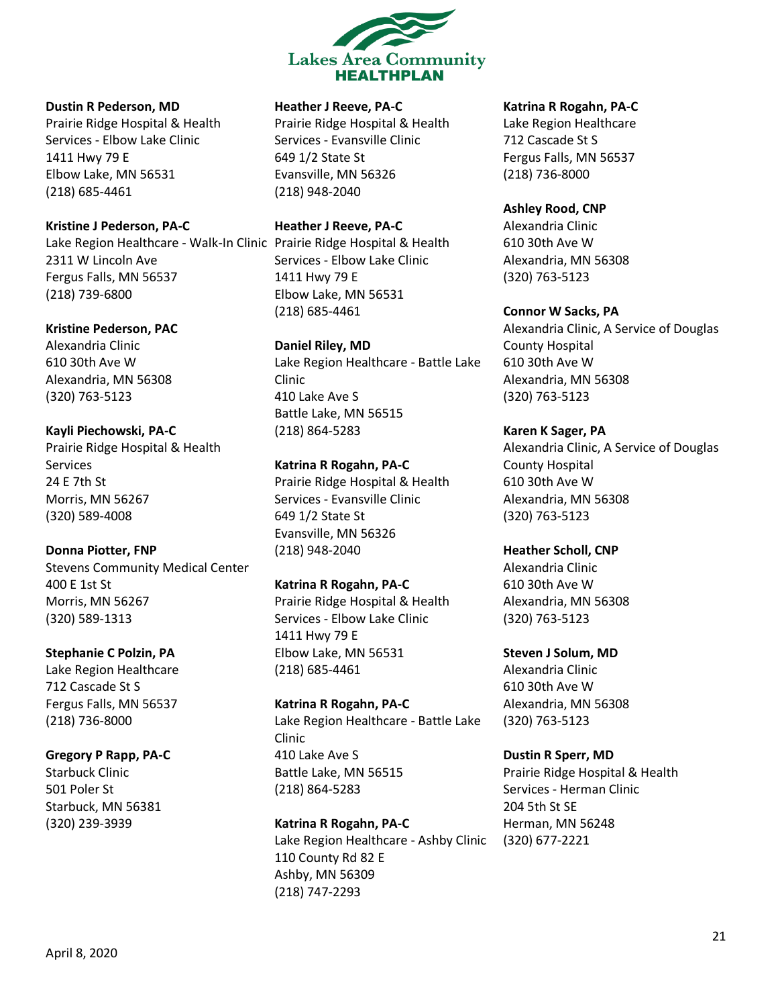

#### **Dustin R Pederson, MD**

Prairie Ridge Hospital & Health Services - Elbow Lake Clinic 1411 Hwy 79 E Elbow Lake, MN 56531 (218) 685-4461

**Kristine J Pederson, PA-C**

Lake Region Healthcare - Walk-In Clinic Prairie Ridge Hospital & Health 2311 W Lincoln Ave Fergus Falls, MN 56537 (218) 739-6800

**Kristine Pederson, PAC**

Alexandria Clinic 610 30th Ave W Alexandria, MN 56308 (320) 763-5123

**Kayli Piechowski, PA-C** Prairie Ridge Hospital & Health Services 24 E 7th St Morris, MN 56267 (320) 589-4008

**Donna Piotter, FNP** Stevens Community Medical Center 400 E 1st St Morris, MN 56267 (320) 589-1313

**Stephanie C Polzin, PA** Lake Region Healthcare 712 Cascade St S Fergus Falls, MN 56537 (218) 736-8000

### **Gregory P Rapp, PA-C** Starbuck Clinic 501 Poler St Starbuck, MN 56381 (320) 239-3939

### **Heather J Reeve, PA-C**

Prairie Ridge Hospital & Health Services - Evansville Clinic 649 1/2 State St Evansville, MN 56326 (218) 948-2040

**Heather J Reeve, PA-C** Services - Elbow Lake Clinic 1411 Hwy 79 E Elbow Lake, MN 56531 (218) 685-4461

**Daniel Riley, MD** Lake Region Healthcare - Battle Lake Clinic 410 Lake Ave S Battle Lake, MN 56515 (218) 864-5283

**Katrina R Rogahn, PA-C** Prairie Ridge Hospital & Health Services - Evansville Clinic 649 1/2 State St Evansville, MN 56326 (218) 948-2040

**Katrina R Rogahn, PA-C** Prairie Ridge Hospital & Health Services - Elbow Lake Clinic 1411 Hwy 79 E Elbow Lake, MN 56531 (218) 685-4461

**Katrina R Rogahn, PA-C** Lake Region Healthcare - Battle Lake Clinic 410 Lake Ave S Battle Lake, MN 56515 (218) 864-5283

**Katrina R Rogahn, PA-C** Lake Region Healthcare - Ashby Clinic 110 County Rd 82 E Ashby, MN 56309 (218) 747-2293

### **Katrina R Rogahn, PA-C**

Lake Region Healthcare 712 Cascade St S Fergus Falls, MN 56537 (218) 736-8000

**Ashley Rood, CNP**

Alexandria Clinic 610 30th Ave W Alexandria, MN 56308 (320) 763-5123

**Connor W Sacks, PA** Alexandria Clinic, A Service of Douglas County Hospital 610 30th Ave W Alexandria, MN 56308 (320) 763-5123

**Karen K Sager, PA** Alexandria Clinic, A Service of Douglas County Hospital 610 30th Ave W Alexandria, MN 56308 (320) 763-5123

**Heather Scholl, CNP** Alexandria Clinic 610 30th Ave W Alexandria, MN 56308 (320) 763-5123

**Steven J Solum, MD** Alexandria Clinic 610 30th Ave W Alexandria, MN 56308 (320) 763-5123

**Dustin R Sperr, MD** Prairie Ridge Hospital & Health Services - Herman Clinic 204 5th St SE Herman, MN 56248 (320) 677-2221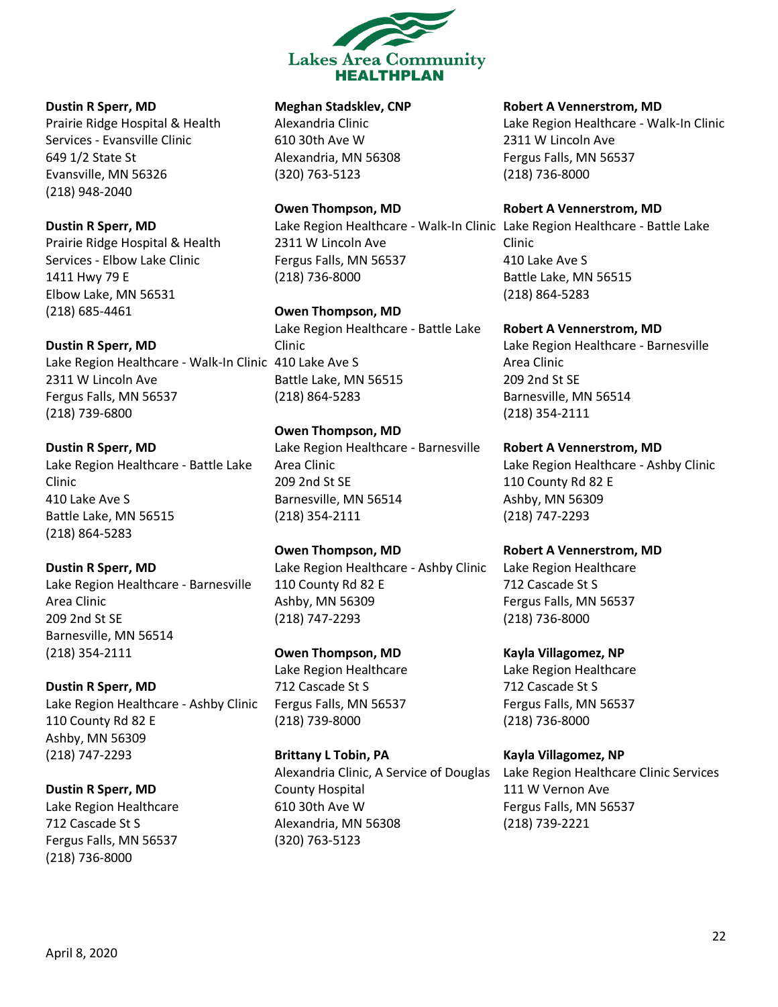

### **Dustin R Sperr, MD**

Prairie Ridge Hospital & Health Services - Evansville Clinic 649 1/2 State St Evansville, MN 56326 (218) 948-2040

### **Dustin R Sperr, MD**

Prairie Ridge Hospital & Health Services - Elbow Lake Clinic 1411 Hwy 79 E Elbow Lake, MN 56531 (218) 685-4461

### **Dustin R Sperr, MD**

Lake Region Healthcare - Walk-In Clinic 410 Lake Ave S 2311 W Lincoln Ave Fergus Falls, MN 56537 (218) 739-6800

### **Dustin R Sperr, MD**

Lake Region Healthcare - Battle Lake Clinic 410 Lake Ave S Battle Lake, MN 56515 (218) 864-5283

### **Dustin R Sperr, MD**

Lake Region Healthcare - Barnesville Area Clinic 209 2nd St SE Barnesville, MN 56514 (218) 354-2111

### **Dustin R Sperr, MD**

Lake Region Healthcare - Ashby Clinic 110 County Rd 82 E Ashby, MN 56309 (218) 747-2293

### **Dustin R Sperr, MD**

Lake Region Healthcare 712 Cascade St S Fergus Falls, MN 56537 (218) 736-8000

### **Meghan Stadsklev, CNP**

Alexandria Clinic 610 30th Ave W Alexandria, MN 56308 (320) 763-5123

### **Owen Thompson, MD**

Lake Region Healthcare - Walk-In Clinic Lake Region Healthcare - Battle Lake 2311 W Lincoln Ave Fergus Falls, MN 56537 (218) 736-8000

### **Owen Thompson, MD**

Lake Region Healthcare - Battle Lake Clinic Battle Lake, MN 56515 (218) 864-5283

### **Owen Thompson, MD**

Lake Region Healthcare - Barnesville Area Clinic 209 2nd St SE Barnesville, MN 56514 (218) 354-2111

### **Owen Thompson, MD** Lake Region Healthcare - Ashby Clinic 110 County Rd 82 E Ashby, MN 56309 (218) 747-2293

**Owen Thompson, MD** Lake Region Healthcare 712 Cascade St S Fergus Falls, MN 56537 (218) 739-8000

### **Brittany L Tobin, PA** Alexandria Clinic, A Service of Douglas County Hospital 610 30th Ave W Alexandria, MN 56308 (320) 763-5123

#### **Robert A Vennerstrom, MD**

Lake Region Healthcare - Walk-In Clinic 2311 W Lincoln Ave Fergus Falls, MN 56537 (218) 736-8000

#### **Robert A Vennerstrom, MD**

Clinic 410 Lake Ave S Battle Lake, MN 56515 (218) 864-5283

#### **Robert A Vennerstrom, MD**

Lake Region Healthcare - Barnesville Area Clinic 209 2nd St SE Barnesville, MN 56514 (218) 354-2111

**Robert A Vennerstrom, MD** Lake Region Healthcare - Ashby Clinic 110 County Rd 82 E Ashby, MN 56309 (218) 747-2293

### **Robert A Vennerstrom, MD**

Lake Region Healthcare 712 Cascade St S Fergus Falls, MN 56537 (218) 736-8000

**Kayla Villagomez, NP** Lake Region Healthcare 712 Cascade St S Fergus Falls, MN 56537 (218) 736-8000

# **Kayla Villagomez, NP** Lake Region Healthcare Clinic Services

111 W Vernon Ave Fergus Falls, MN 56537 (218) 739-2221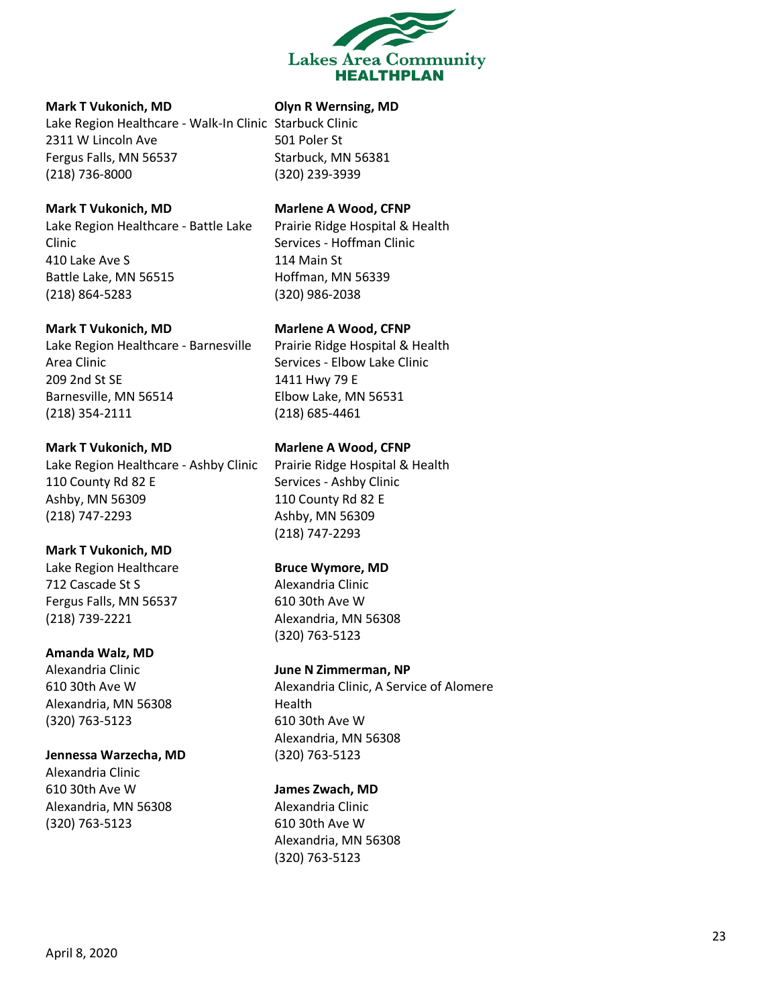

#### **Mark T Vukonich, MD**

Lake Region Healthcare - Walk-In Clinic Starbuck Clinic 2311 W Lincoln Ave Fergus Falls, MN 56537 (218) 736-8000

#### **Mark T Vukonich, MD**

Lake Region Healthcare - Battle Lake Clinic 410 Lake Ave S Battle Lake, MN 56515 (218) 864-5283

#### **Mark T Vukonich, MD**

Lake Region Healthcare - Barnesville Area Clinic 209 2nd St SE Barnesville, MN 56514 (218) 354-2111

#### **Mark T Vukonich, MD**

Lake Region Healthcare - Ashby Clinic 110 County Rd 82 E Ashby, MN 56309 (218) 747-2293

#### **Mark T Vukonich, MD**

Lake Region Healthcare 712 Cascade St S Fergus Falls, MN 56537 (218) 739-2221

#### **Amanda Walz, MD**

Alexandria Clinic 610 30th Ave W Alexandria, MN 56308 (320) 763-5123

#### **Jennessa Warzecha, MD**

Alexandria Clinic 610 30th Ave W Alexandria, MN 56308 (320) 763-5123

### **Olyn R Wernsing, MD**

501 Poler St Starbuck, MN 56381 (320) 239-3939

### **Marlene A Wood, CFNP**

Prairie Ridge Hospital & Health Services - Hoffman Clinic 114 Main St Hoffman, MN 56339 (320) 986-2038

#### **Marlene A Wood, CFNP**

Prairie Ridge Hospital & Health Services - Elbow Lake Clinic 1411 Hwy 79 E Elbow Lake, MN 56531 (218) 685-4461

### **Marlene A Wood, CFNP**

Prairie Ridge Hospital & Health Services - Ashby Clinic 110 County Rd 82 E Ashby, MN 56309 (218) 747-2293

#### **Bruce Wymore, MD**

Alexandria Clinic 610 30th Ave W Alexandria, MN 56308 (320) 763-5123

#### **June N Zimmerman, NP**

Alexandria Clinic, A Service of Alomere Health 610 30th Ave W Alexandria, MN 56308 (320) 763-5123

#### **James Zwach, MD**

Alexandria Clinic 610 30th Ave W Alexandria, MN 56308 (320) 763-5123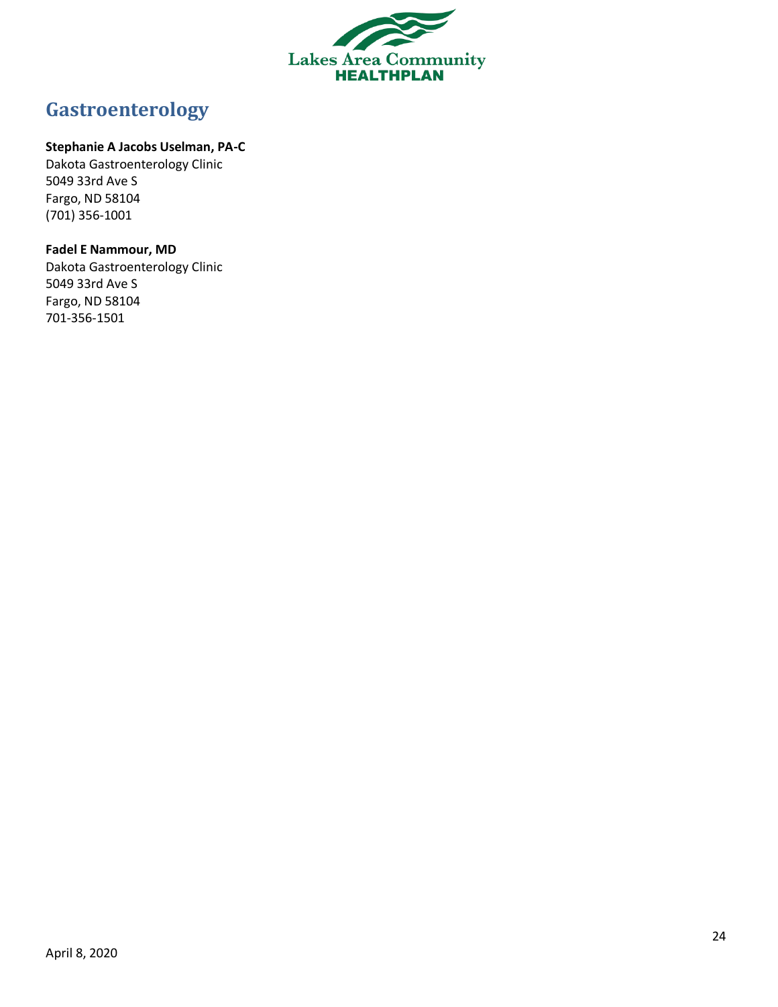

# <span id="page-23-0"></span>**Gastroenterology**

### **Stephanie A Jacobs Uselman, PA-C**

Dakota Gastroenterology Clinic 5049 33rd Ave S Fargo, ND 58104 (701) 356-1001

### **Fadel E Nammour, MD**

Dakota Gastroenterology Clinic 5049 33rd Ave S Fargo, ND 58104 701-356-1501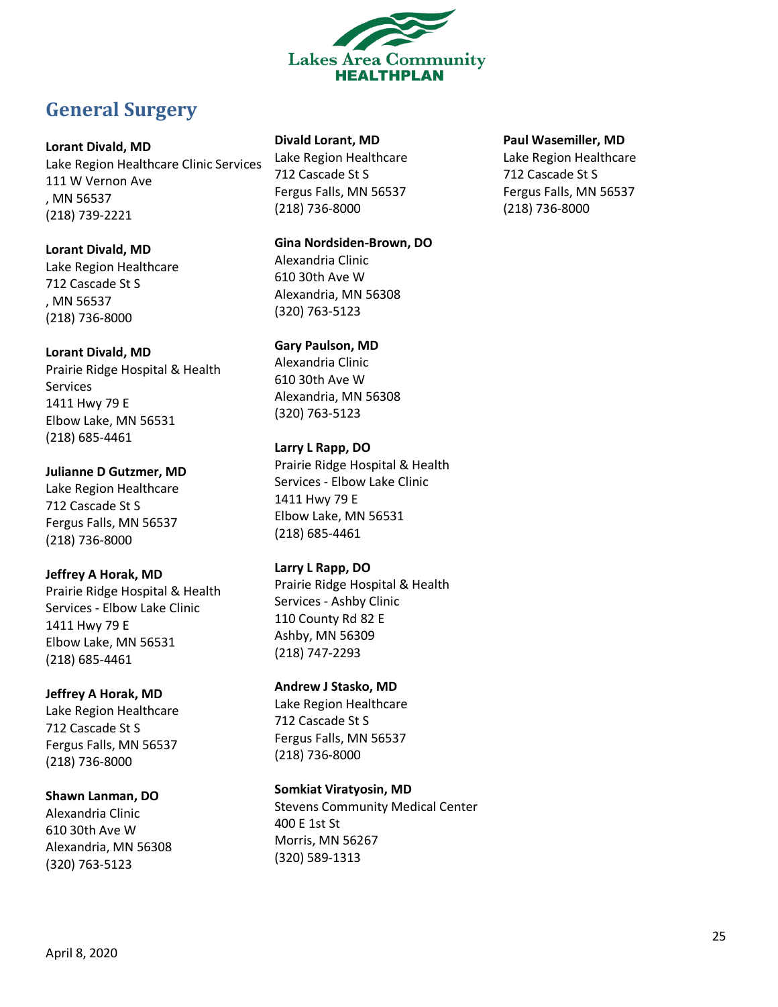

# <span id="page-24-0"></span>**General Surgery**

### **Lorant Divald, MD**

Lake Region Healthcare Clinic Services 111 W Vernon Ave , MN 56537 (218) 739-2221

### **Lorant Divald, MD**

Lake Region Healthcare 712 Cascade St S , MN 56537 (218) 736-8000

### **Lorant Divald, MD**

Prairie Ridge Hospital & Health Services 1411 Hwy 79 E Elbow Lake, MN 56531 (218) 685-4461

**Julianne D Gutzmer, MD** Lake Region Healthcare 712 Cascade St S Fergus Falls, MN 56537 (218) 736-8000

### **Jeffrey A Horak, MD**

Prairie Ridge Hospital & Health Services - Elbow Lake Clinic 1411 Hwy 79 E Elbow Lake, MN 56531 (218) 685-4461

# **Jeffrey A Horak, MD**

Lake Region Healthcare 712 Cascade St S Fergus Falls, MN 56537 (218) 736-8000

# **Shawn Lanman, DO**

Alexandria Clinic 610 30th Ave W Alexandria, MN 56308 (320) 763-5123

### **Divald Lorant, MD**

Lake Region Healthcare 712 Cascade St S Fergus Falls, MN 56537 (218) 736-8000

### **Gina Nordsiden-Brown, DO**

Alexandria Clinic 610 30th Ave W Alexandria, MN 56308 (320) 763-5123

# **Gary Paulson, MD**

Alexandria Clinic 610 30th Ave W Alexandria, MN 56308 (320) 763-5123

### **Larry L Rapp, DO**

Prairie Ridge Hospital & Health Services - Elbow Lake Clinic 1411 Hwy 79 E Elbow Lake, MN 56531 (218) 685-4461

### **Larry L Rapp, DO**

Prairie Ridge Hospital & Health Services - Ashby Clinic 110 County Rd 82 E Ashby, MN 56309 (218) 747-2293

# **Andrew J Stasko, MD**

Lake Region Healthcare 712 Cascade St S Fergus Falls, MN 56537 (218) 736-8000

### **Somkiat Viratyosin, MD**

Stevens Community Medical Center 400 E 1st St Morris, MN 56267 (320) 589-1313

### **Paul Wasemiller, MD**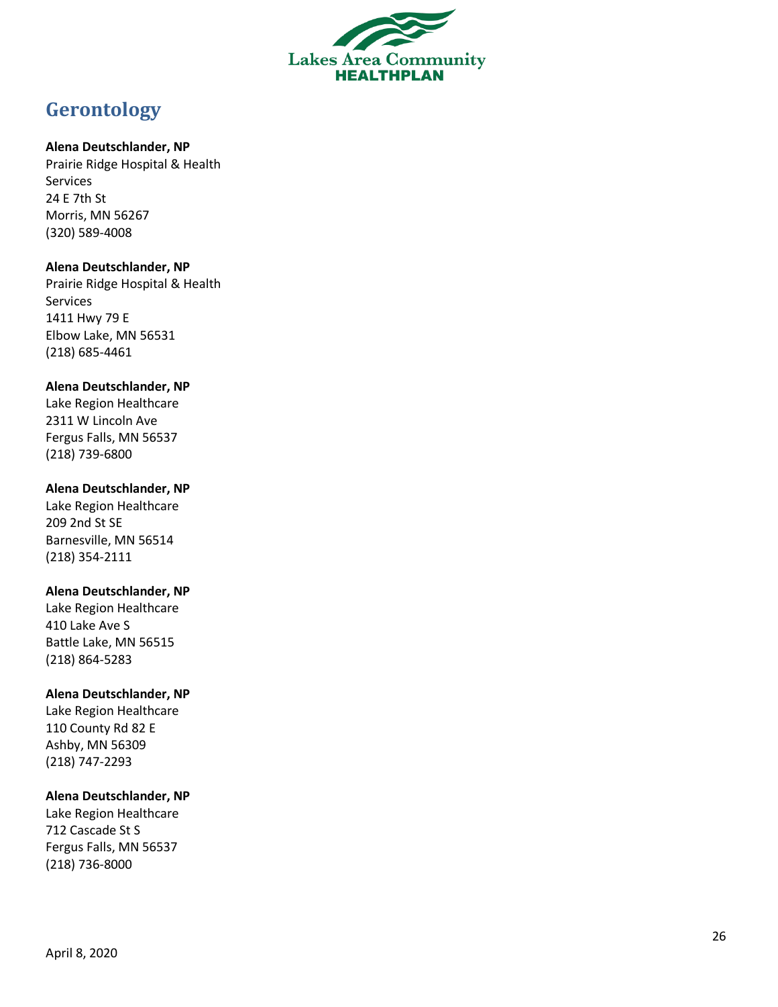

# <span id="page-25-0"></span>**Gerontology**

### **Alena Deutschlander, NP**

Prairie Ridge Hospital & Health Services 24 E 7th St Morris, MN 56267 (320) 589 -4008

### **Alena Deutschlander, NP**

Prairie Ridge Hospital & Health Services 1411 Hwy 79 E Elbow Lake, MN 56531 (218) 685 -4461

### **Alena Deutschlander, NP**

Lake Region Healthcare 2311 W Lincoln Ave Fergus Falls, MN 56537 (218) 739 -6800

### **Alena Deutschlander, NP**

Lake Region Healthcare 209 2nd St SE Barnesville, MN 5651 4 (218) 354 -2111

### **Alena Deutschlander, NP**

Lake Region Healthcare 410 Lake Ave S Battle Lake, MN 56515 (218) 864 -5283

### **Alena Deutschlander, NP**

Lake Region Healthcare 110 County Rd 82 E Ashby, MN 56309 (218) 747 -2293

### **Alena Deutschlander, NP**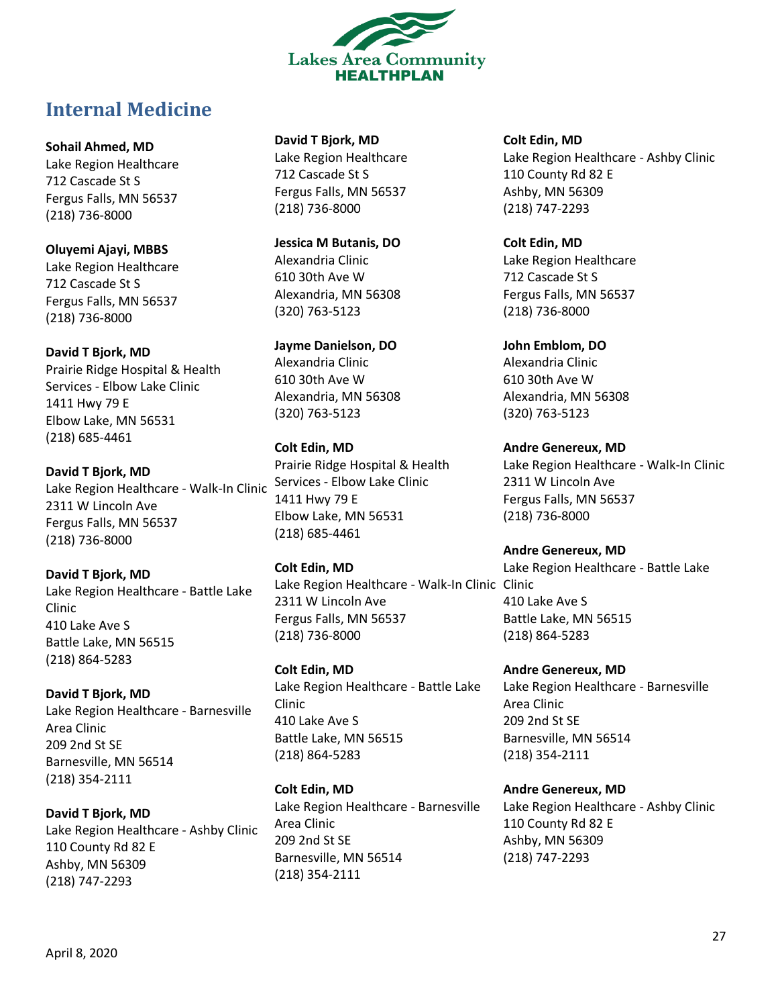

# <span id="page-26-0"></span>**Internal Medicine**

**Sohail Ahmed, MD**

Lake Region Healthcare 712 Cascade St S Fergus Falls, MN 56537 (218) 736-8000

**Oluyemi Ajayi, MBBS** Lake Region Healthcare 712 Cascade St S Fergus Falls, MN 56537 (218) 736-8000

**David T Bjork, MD** Prairie Ridge Hospital & Health Services - Elbow Lake Clinic 1411 Hwy 79 E Elbow Lake, MN 56531 (218) 685-4461

**David T Bjork, MD** Lake Region Healthcare - Walk-In Clinic 2311 W Lincoln Ave Fergus Falls, MN 56537 (218) 736-8000

**David T Bjork, MD** Lake Region Healthcare - Battle Lake Clinic 410 Lake Ave S Battle Lake, MN 56515 (218) 864-5283

**David T Bjork, MD** Lake Region Healthcare - Barnesville Area Clinic 209 2nd St SE Barnesville, MN 56514 (218) 354-2111

**David T Bjork, MD** Lake Region Healthcare - Ashby Clinic 110 County Rd 82 E Ashby, MN 56309 (218) 747-2293

**David T Bjork, MD**

Lake Region Healthcare 712 Cascade St S Fergus Falls, MN 56537 (218) 736-8000

**Jessica M Butanis, DO** Alexandria Clinic 610 30th Ave W Alexandria, MN 56308 (320) 763-5123

**Jayme Danielson, DO** Alexandria Clinic 610 30th Ave W Alexandria, MN 56308 (320) 763-5123

**Colt Edin, MD** Prairie Ridge Hospital & Health Services - Elbow Lake Clinic 1411 Hwy 79 E Elbow Lake, MN 56531 (218) 685-4461

**Colt Edin, MD** Lake Region Healthcare - Walk-In Clinic Clinic 2311 W Lincoln Ave Fergus Falls, MN 56537 (218) 736-8000

**Colt Edin, MD** Lake Region Healthcare - Battle Lake Clinic 410 Lake Ave S Battle Lake, MN 56515 (218) 864-5283

**Colt Edin, MD** Lake Region Healthcare - Barnesville Area Clinic 209 2nd St SE Barnesville, MN 56514 (218) 354-2111

**Colt Edin, MD** Lake Region Healthcare - Ashby Clinic 110 County Rd 82 E Ashby, MN 56309 (218) 747-2293

**Colt Edin, MD** Lake Region Healthcare 712 Cascade St S Fergus Falls, MN 56537 (218) 736-8000

**John Emblom, DO** Alexandria Clinic 610 30th Ave W Alexandria, MN 56308 (320) 763-5123

**Andre Genereux, MD** Lake Region Healthcare - Walk-In Clinic 2311 W Lincoln Ave Fergus Falls, MN 56537 (218) 736-8000

**Andre Genereux, MD** Lake Region Healthcare - Battle Lake 410 Lake Ave S Battle Lake, MN 56515 (218) 864-5283

**Andre Genereux, MD** Lake Region Healthcare - Barnesville Area Clinic 209 2nd St SE Barnesville, MN 56514 (218) 354-2111

**Andre Genereux, MD** Lake Region Healthcare - Ashby Clinic 110 County Rd 82 E Ashby, MN 56309 (218) 747-2293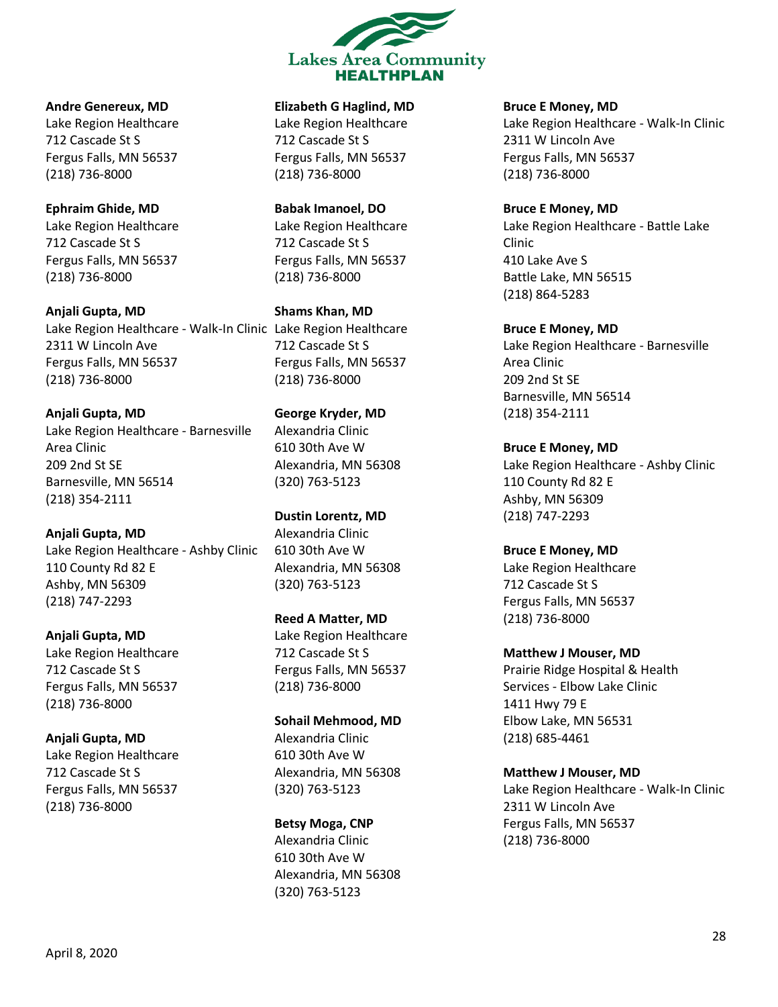

**Andre Genereux, MD** Lake Region Healthcare 712 Cascade St S Fergus Falls, MN 56537 (218) 736-8000

**Ephraim Ghide, MD** Lake Region Healthcare 712 Cascade St S Fergus Falls, MN 56537 (218) 736-8000

**Anjali Gupta, MD** Lake Region Healthcare - Walk-In Clinic Lake Region Healthcare 2311 W Lincoln Ave Fergus Falls, MN 56537 (218) 736-8000

**Anjali Gupta, MD** Lake Region Healthcare - Barnesville Area Clinic 209 2nd St SE Barnesville, MN 56514 (218) 354-2111

**Anjali Gupta, MD** Lake Region Healthcare - Ashby Clinic 110 County Rd 82 E Ashby, MN 56309 (218) 747-2293

**Anjali Gupta, MD** Lake Region Healthcare 712 Cascade St S Fergus Falls, MN 56537 (218) 736-8000

**Anjali Gupta, MD** Lake Region Healthcare 712 Cascade St S Fergus Falls, MN 56537 (218) 736-8000

**Elizabeth G Haglind, MD**

Lake Region Healthcare 712 Cascade St S Fergus Falls, MN 56537 (218) 736-8000

**Babak Imanoel, DO** Lake Region Healthcare 712 Cascade St S Fergus Falls, MN 56537 (218) 736-8000

**Shams Khan, MD** 712 Cascade St S Fergus Falls, MN 56537 (218) 736-8000

**George Kryder, MD** Alexandria Clinic 610 30th Ave W Alexandria, MN 56308 (320) 763-5123

**Dustin Lorentz, MD** Alexandria Clinic 610 30th Ave W Alexandria, MN 56308 (320) 763-5123

**Reed A Matter, MD** Lake Region Healthcare 712 Cascade St S Fergus Falls, MN 56537 (218) 736-8000

**Sohail Mehmood, MD** Alexandria Clinic 610 30th Ave W Alexandria, MN 56308 (320) 763-5123

**Betsy Moga, CNP** Alexandria Clinic 610 30th Ave W Alexandria, MN 56308 (320) 763-5123

**Bruce E Money, MD**

Lake Region Healthcare - Walk-In Clinic 2311 W Lincoln Ave Fergus Falls, MN 56537 (218) 736-8000

**Bruce E Money, MD** Lake Region Healthcare - Battle Lake Clinic 410 Lake Ave S Battle Lake, MN 56515 (218) 864-5283

**Bruce E Money, MD** Lake Region Healthcare - Barnesville Area Clinic 209 2nd St SE Barnesville, MN 56514 (218) 354-2111

**Bruce E Money, MD** Lake Region Healthcare - Ashby Clinic 110 County Rd 82 E Ashby, MN 56309 (218) 747-2293

**Bruce E Money, MD** Lake Region Healthcare 712 Cascade St S Fergus Falls, MN 56537 (218) 736-8000

**Matthew J Mouser, MD** Prairie Ridge Hospital & Health Services - Elbow Lake Clinic 1411 Hwy 79 E Elbow Lake, MN 56531 (218) 685-4461

**Matthew J Mouser, MD** Lake Region Healthcare - Walk-In Clinic 2311 W Lincoln Ave Fergus Falls, MN 56537 (218) 736-8000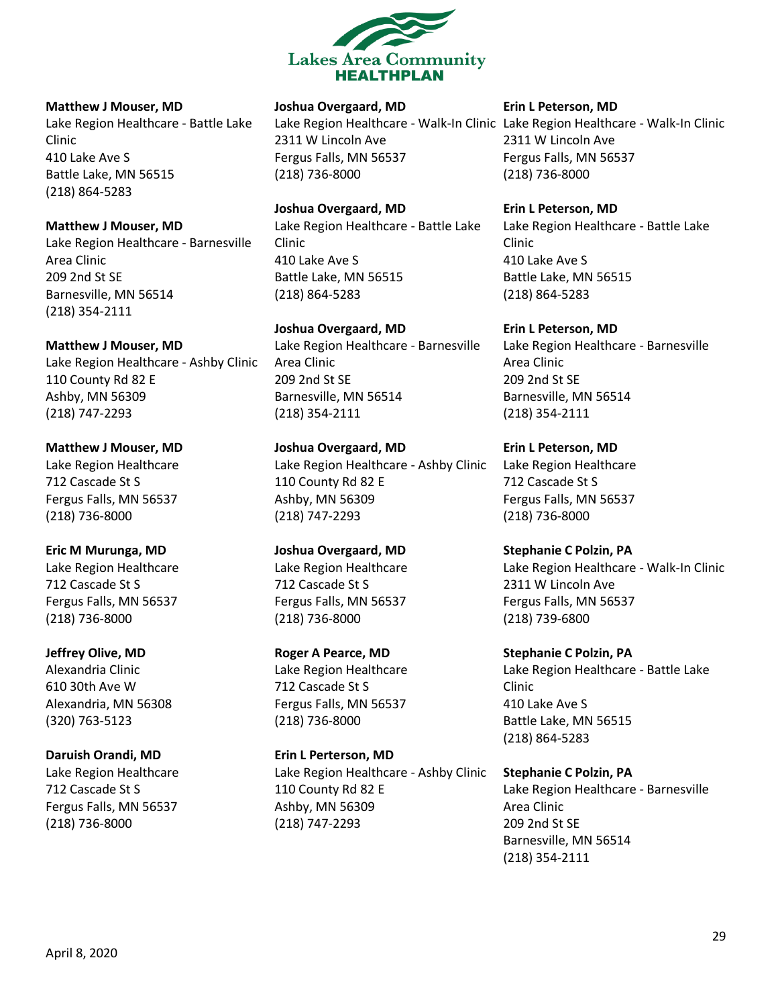

#### **Matthew J Mouser, MD**

Lake Region Healthcare - Battle Lake Clinic 410 Lake Ave S Battle Lake, MN 56515 (218) 864-5283

**Matthew J Mouser, MD**

Lake Region Healthcare - Barnesville Area Clinic 209 2nd St SE Barnesville, MN 56514 (218) 354-2111

**Matthew J Mouser, MD** Lake Region Healthcare - Ashby Clinic 110 County Rd 82 E Ashby, MN 56309 (218) 747-2293

**Matthew J Mouser, MD** Lake Region Healthcare 712 Cascade St S Fergus Falls, MN 56537 (218) 736-8000

**Eric M Murunga, MD** Lake Region Healthcare 712 Cascade St S Fergus Falls, MN 56537 (218) 736-8000

**Jeffrey Olive, MD** Alexandria Clinic 610 30th Ave W Alexandria, MN 56308 (320) 763-5123

**Daruish Orandi, MD** Lake Region Healthcare 712 Cascade St S Fergus Falls, MN 56537 (218) 736-8000

**Joshua Overgaard, MD**

Lake Region Healthcare - Walk-In Clinic Lake Region Healthcare - Walk-In Clinic 2311 W Lincoln Ave Fergus Falls, MN 56537 (218) 736-8000

**Joshua Overgaard, MD** Lake Region Healthcare - Battle Lake Clinic 410 Lake Ave S Battle Lake, MN 56515 (218) 864-5283

**Joshua Overgaard, MD** Lake Region Healthcare - Barnesville Area Clinic 209 2nd St SE Barnesville, MN 56514 (218) 354-2111

**Joshua Overgaard, MD** Lake Region Healthcare - Ashby Clinic 110 County Rd 82 E Ashby, MN 56309 (218) 747-2293

**Joshua Overgaard, MD** Lake Region Healthcare 712 Cascade St S Fergus Falls, MN 56537 (218) 736-8000

**Roger A Pearce, MD** Lake Region Healthcare 712 Cascade St S Fergus Falls, MN 56537 (218) 736-8000

**Erin L Perterson, MD** Lake Region Healthcare - Ashby Clinic 110 County Rd 82 E Ashby, MN 56309 (218) 747-2293

**Erin L Peterson, MD**

2311 W Lincoln Ave Fergus Falls, MN 56537 (218) 736-8000

**Erin L Peterson, MD** Lake Region Healthcare - Battle Lake Clinic 410 Lake Ave S Battle Lake, MN 56515 (218) 864-5283

**Erin L Peterson, MD** Lake Region Healthcare - Barnesville Area Clinic 209 2nd St SE Barnesville, MN 56514 (218) 354-2111

**Erin L Peterson, MD** Lake Region Healthcare 712 Cascade St S Fergus Falls, MN 56537 (218) 736-8000

**Stephanie C Polzin, PA** Lake Region Healthcare - Walk-In Clinic 2311 W Lincoln Ave Fergus Falls, MN 56537 (218) 739-6800

**Stephanie C Polzin, PA** Lake Region Healthcare - Battle Lake Clinic 410 Lake Ave S Battle Lake, MN 56515 (218) 864-5283

**Stephanie C Polzin, PA** Lake Region Healthcare - Barnesville Area Clinic 209 2nd St SE Barnesville, MN 56514 (218) 354-2111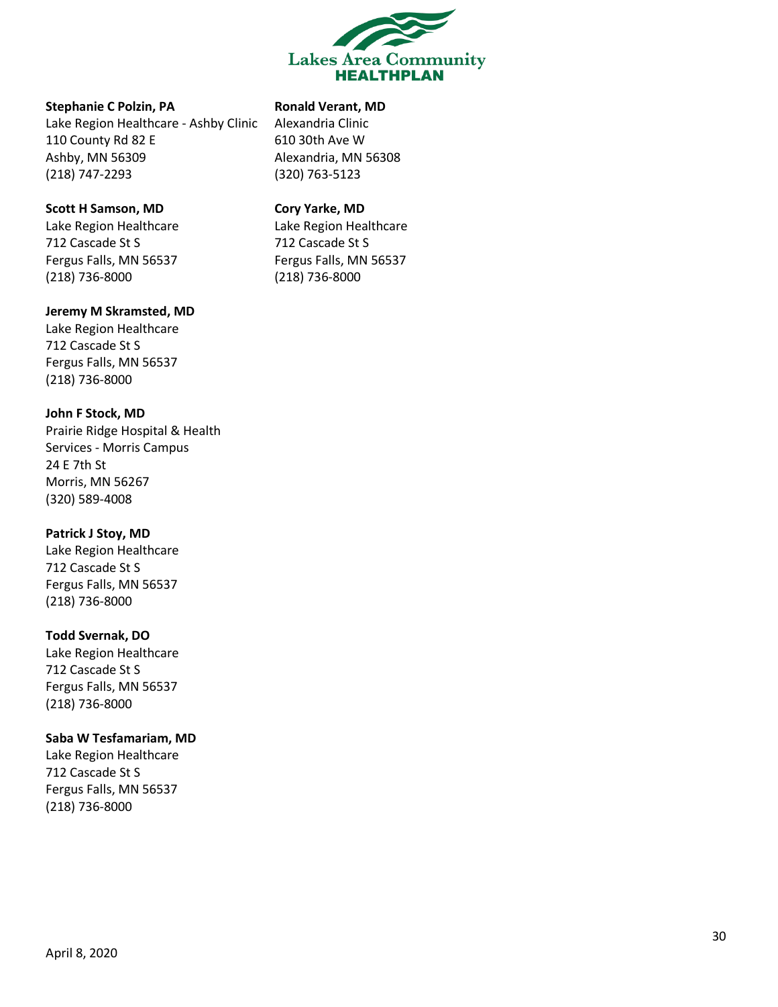

#### **Stephanie C Polzin, PA**

Lake Region Healthcare - Ashby Clinic 110 County Rd 82 E Ashby, MN 56309 (218) 747-2293

### **Scott H Samson, MD**

Lake Region Healthcare 712 Cascade St S Fergus Falls, MN 56537 (218) 736-8000

#### **Jeremy M Skramsted, MD**

Lake Region Healthcare 712 Cascade St S Fergus Falls, MN 56537 (218) 736-8000

**John F Stock, MD** Prairie Ridge Hospital & Health

Services - Morris Campus 24 E 7th St Morris, MN 56267 (320) 589-4008

### **Patrick J Stoy, MD**

Lake Region Healthcare 712 Cascade St S Fergus Falls, MN 56537 (218) 736-8000

### **Todd Svernak, DO**

Lake Region Healthcare 712 Cascade St S Fergus Falls, MN 56537 (218) 736-8000

### **Saba W Tesfamariam, MD**

Lake Region Healthcare 712 Cascade St S Fergus Falls, MN 56537 (218) 736-8000

# **Ronald Verant, MD**

Alexandria Clinic 610 30th Ave W Alexandria, MN 56308 (320) 763-5123

### **Cory Yarke, MD**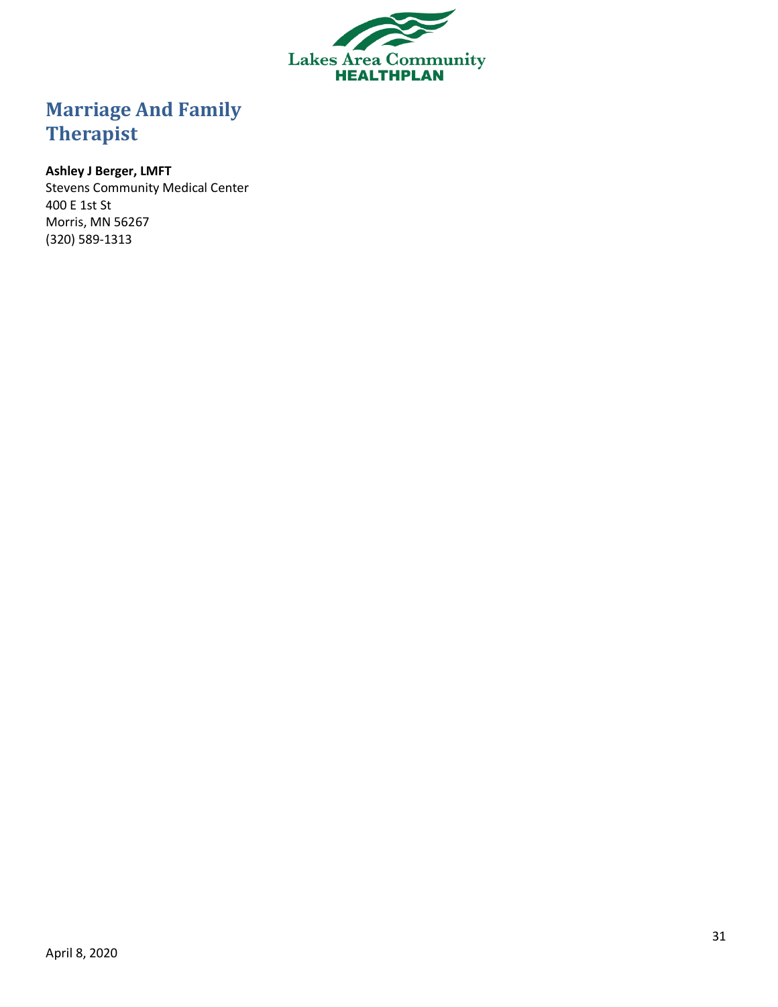

# <span id="page-30-0"></span>**Marriage And Family Therapist**

# **Ashley J Berger, LMFT**

Stevens Community Medical Center 400 E 1st St Morris, MN 56267 (320) 589-1313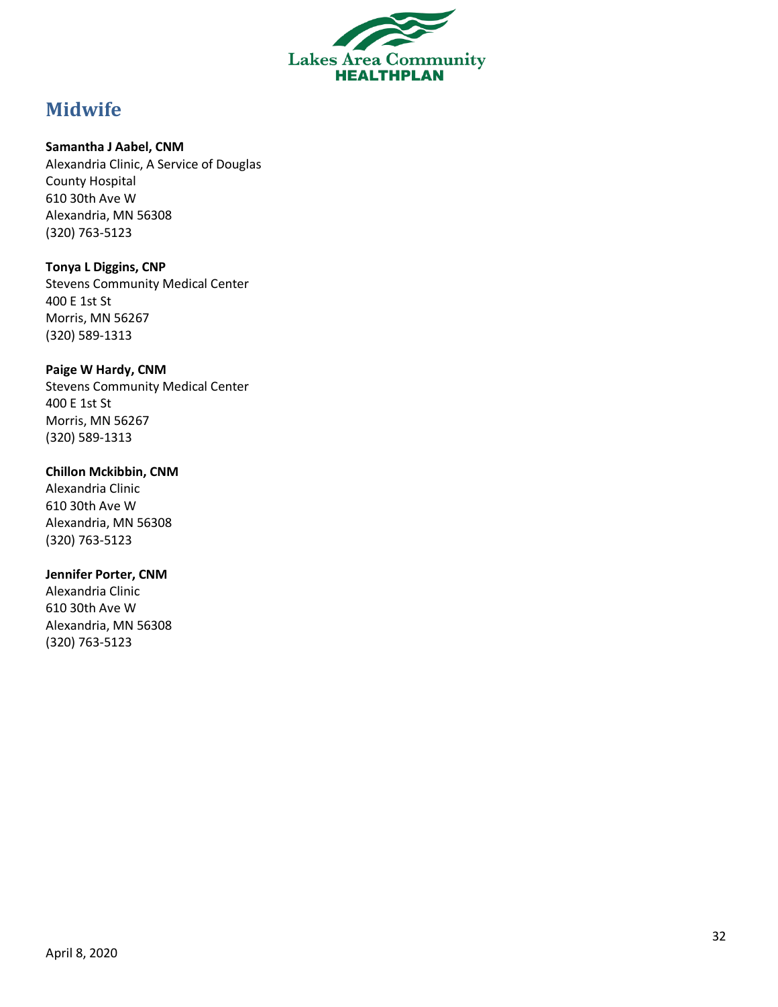

# <span id="page-31-0"></span>**Midwife**

### **Samantha J Aabel, CNM**

Alexandria Clinic, A Service of Douglas County Hospital 610 30th Ave W Alexandria, MN 56308 (320) 763 -5123

### **Tonya L Diggins, CNP**

Stevens Community Medical Center 400 E 1st St Morris, MN 56267 (320) 589 -1313

### **Paige W Hardy, CNM**

Stevens Community Medical Center 400 E 1st St Morris, MN 56267 (320) 589 -1313

### **Chillon Mckibbin, CNM**

Alexandria Clinic 610 30th Ave W Alexandria, MN 56308 (320) 763 -5123

### **Jennifer Porter, CNM**

Alexandria Clinic 610 30th Ave W Alexandria, MN 56308 (320) 763 -5123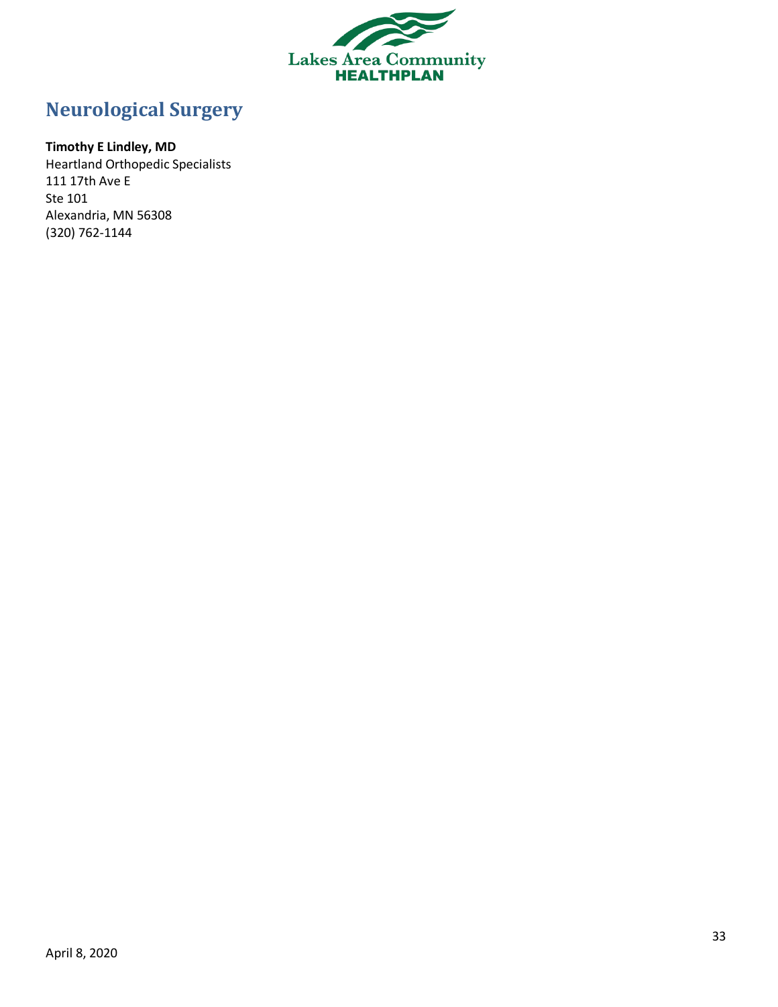

# <span id="page-32-0"></span>**Neurological Surgery**

# **Timothy E Lindley, MD**

Heartland Orthopedic Specialists 111 17th Ave E Ste 101 Alexandria, MN 56308 (320) 762-1144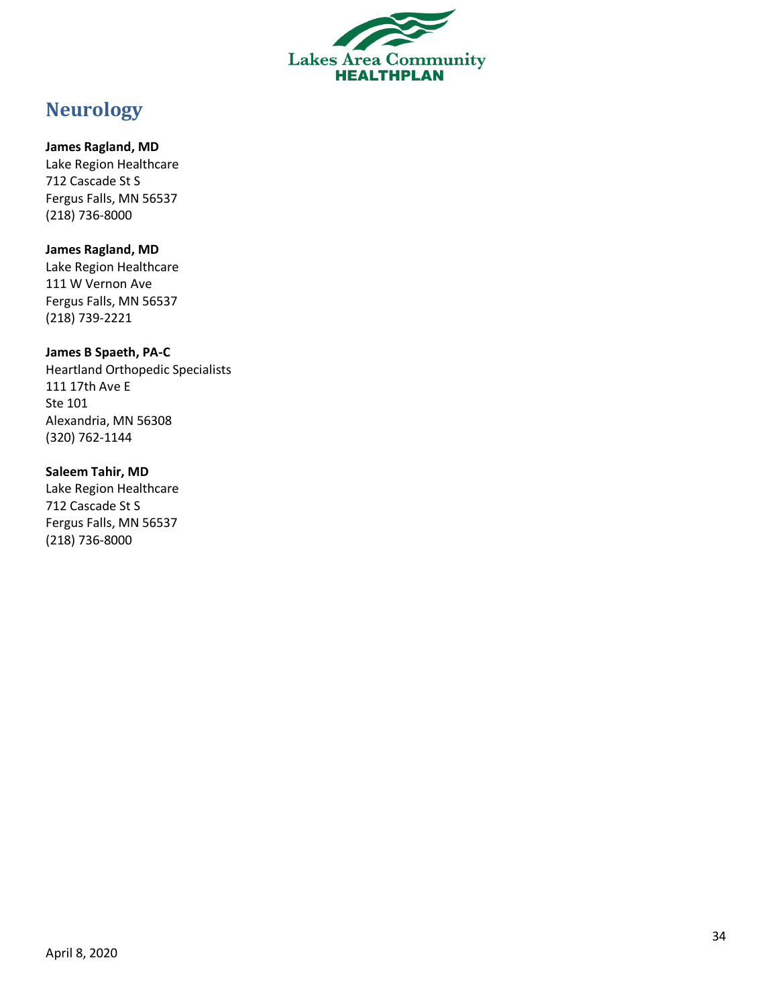

# <span id="page-33-0"></span>**Neurology**

**James Ragland, MD** Lake Region Healthcare 712 Cascade St S Fergus Falls, MN 56537 (218) 736 -8000

**James Ragland, MD** Lake Region Healthcare 111 W Vernon Ave Fergus Falls, MN 56537 (218) 739 -2221

**James B Spaeth, PA - C** Heartland Orthopedic Specialists 111 17th Ave E Ste 101 Alexandria, MN 56308 (320) 762 -1144

**Saleem Tahir, MD** Lake Region Healthcare 712 Cascade St S Fergus Falls, MN 56537 (218) 736 -8000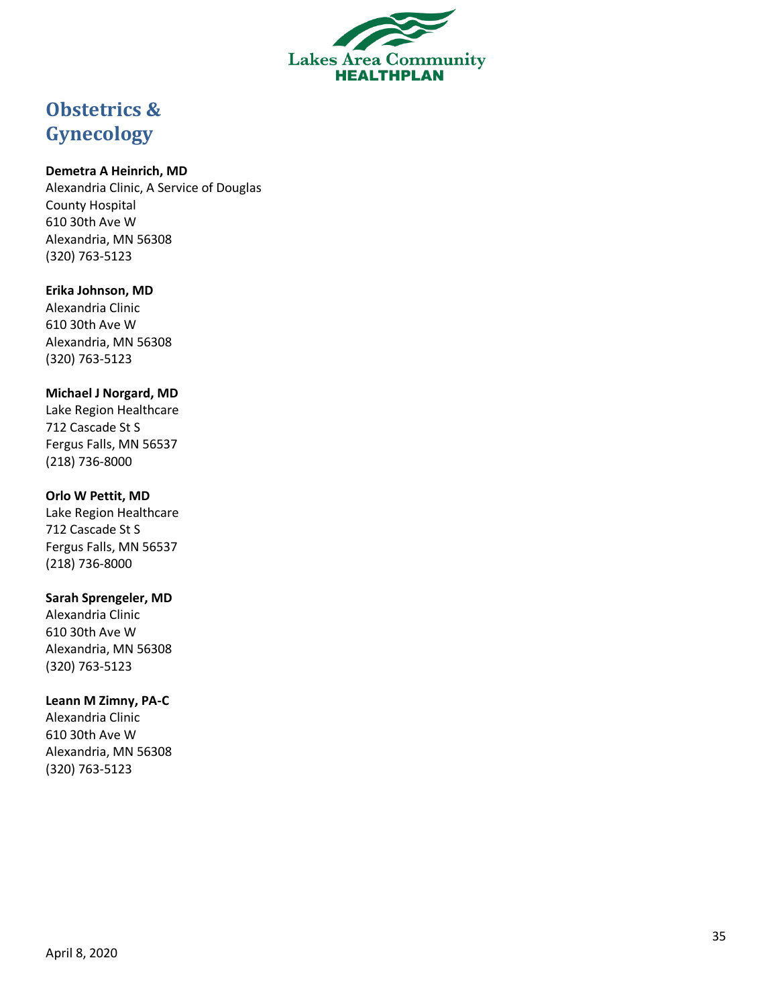

# <span id="page-34-0"></span>**Obstetrics & Gynecology**

### **Demetra A Heinrich, MD**

Alexandria Clinic, A Service of Douglas County Hospital 610 30th Ave W Alexandria, MN 56308 (320) 763 -5123

### **Erika Johnson, MD**

Alexandria Clinic 610 30th Ave W Alexandria, MN 56308 (320) 763 -5123

### **Michael J Norgard, MD**

Lake Region Healthcare 712 Cascade St S Fergus Falls, MN 56537 (218) 736 -8000

### **Orlo W Pettit, MD**

Lake Region Healthcare 712 Cascade St S Fergus Falls, MN 56537 (218) 736 -8000

### **Sarah Sprengeler, MD**

Alexandria Clinic 610 30th Ave W Alexandria, MN 56308 (320) 763 -5123

### **Leann M Zimny, PA - C**

Alexandria Clinic 610 30th Ave W Alexandria, MN 56308 (320) 763 -5123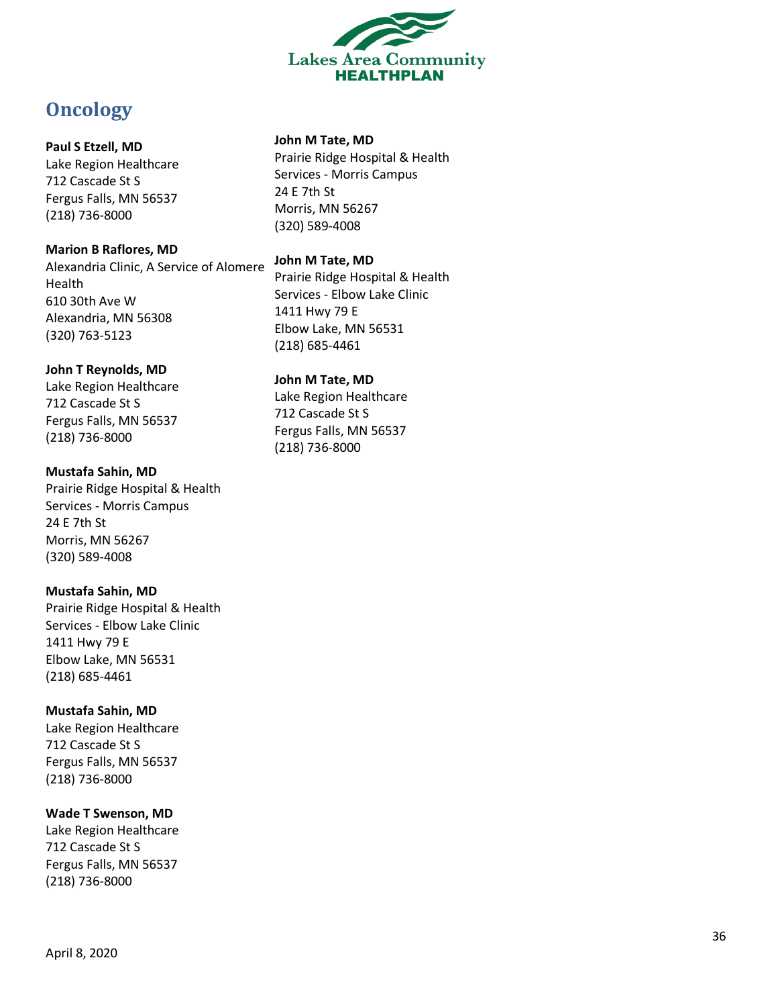

# <span id="page-35-0"></span>**Oncology**

### **Paul S Etzell, MD**

Lake Region Healthcare 712 Cascade St S Fergus Falls, MN 56537 (218) 736 -8000

### **Marion B Raflores, MD**

Alexandria Clinic, A Service of Alomere Health 610 30th Ave W Alexandria, MN 56308 (320) 763 -5123

### **John T Reynolds, MD**

Lake Region Healthcare 712 Cascade St S Fergus Falls, MN 56537 (218) 736 -8000

# **Mustafa Sahin, MD** Prairie Ridge Hospital & Health

Services - Morris Campus 24 E 7th St Morris, MN 56267 (320) 589 -4008

# **Mustafa Sahin, MD**

Prairie Ridge Hospital & Health Services - Elbow Lake Clinic 1411 Hwy 79 E Elbow Lake, MN 56531 (218) 685 -4461

# **Mustafa Sahin, MD**

Lake Region Healthcare 712 Cascade St S Fergus Falls, MN 56537 (218) 736 -8000

# **Wade T Swenson, MD**

Lake Region Healthcare 712 Cascade St S Fergus Falls, MN 56537 (218) 736 -8000

### **John M Tate, MD**

Prairie Ridge Hospital & Health Services - Morris Campus 24 E 7th St Morris, MN 56267 (320) 589 -4008

### **John M Tate, MD**

Prairie Ridge Hospital & Health Services - Elbow Lake Clinic 1411 Hwy 79 E Elbow Lake, MN 56531 (218) 685 -4461

# **John M Tate, MD**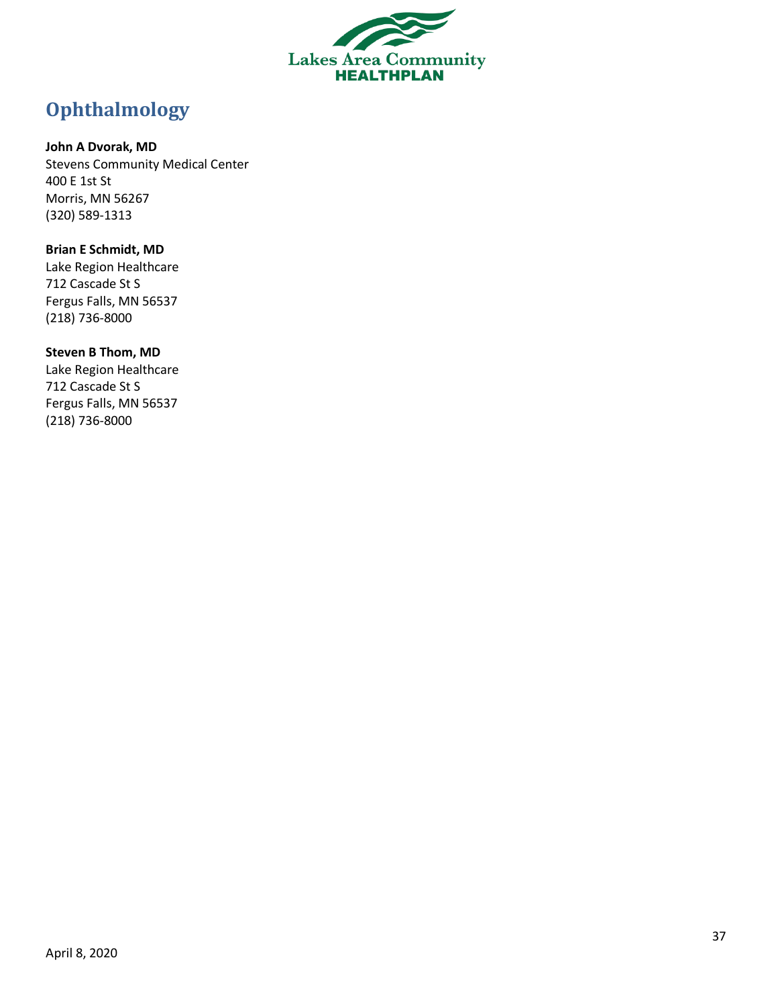

# <span id="page-36-0"></span>**Ophthalmology**

### **John A Dvorak, MD**

Stevens Community Medical Center 400 E 1st St Morris, MN 56267 (320) 589-1313

### **Brian E Schmidt, MD**

Lake Region Healthcare 712 Cascade St S Fergus Falls, MN 56537 (218) 736-8000

### **Steven B Thom, MD**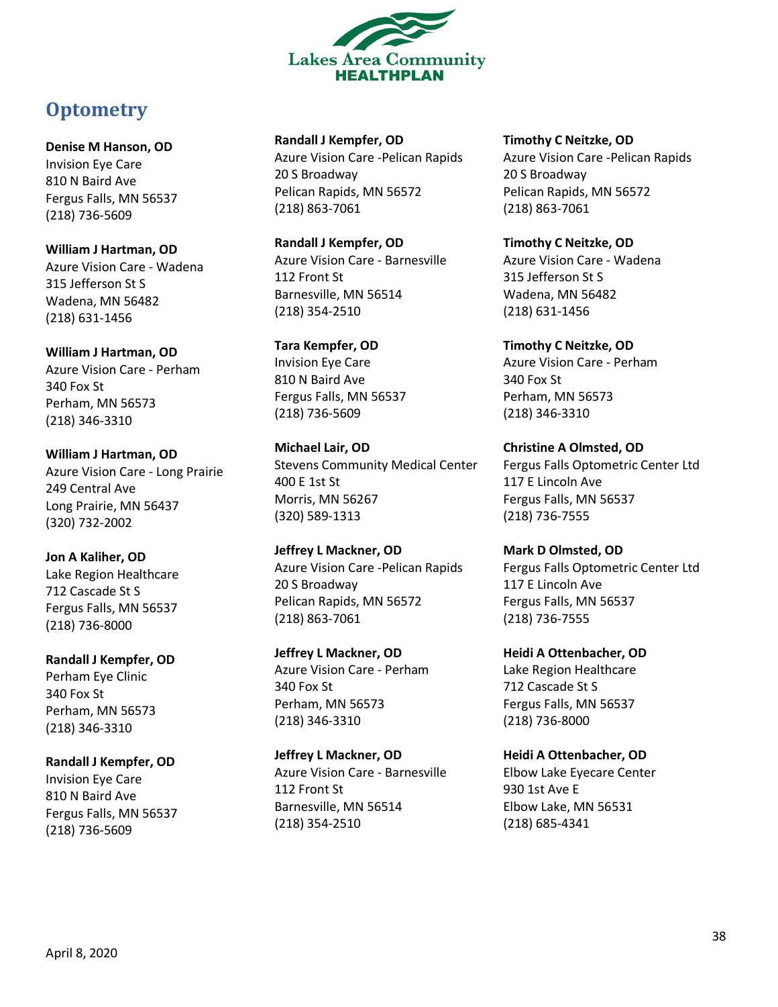

# <span id="page-37-0"></span>**Optometry**

**Denise M Hanson, OD** Invision Eye Care 810 N Baird Ave Fergus Falls, MN 56537 (218) 736-5609

**William J Hartman, OD** Azure Vision Care - Wadena 315 Jefferson St S Wadena, MN 56482 (218) 631-1456

**William J Hartman, OD** Azure Vision Care - Perham 340 Fox St Perham, MN 56573 (218) 346-3310

**William J Hartman, OD** Azure Vision Care - Long Prairie 249 Central Ave Long Prairie, MN 56437 (320) 732-2002

**Jon A Kaliher, OD** Lake Region Healthcare 712 Cascade St S Fergus Falls, MN 56537 (218) 736-8000

**Randall J Kempfer, OD** Perham Eye Clinic 340 Fox St Perham, MN 56573 (218) 346-3310

**Randall J Kempfer, OD** Invision Eye Care 810 N Baird Ave Fergus Falls, MN 56537 (218) 736-5609

**Randall J Kempfer, OD** Azure Vision Care -Pelican Rapids 20 S Broadway Pelican Rapids, MN 56572 (218) 863-7061

**Randall J Kempfer, OD** Azure Vision Care - Barnesville 112 Front St Barnesville, MN 56514 (218) 354-2510

**Tara Kempfer, OD** Invision Eye Care 810 N Baird Ave Fergus Falls, MN 56537 (218) 736-5609

**Michael Lair, OD** Stevens Community Medical Center 400 E 1st St Morris, MN 56267 (320) 589-1313

**Jeffrey L Mackner, OD** Azure Vision Care -Pelican Rapids 20 S Broadway Pelican Rapids, MN 56572 (218) 863-7061

**Jeffrey L Mackner, OD** Azure Vision Care - Perham 340 Fox St Perham, MN 56573 (218) 346-3310

**Jeffrey L Mackner, OD** Azure Vision Care - Barnesville 112 Front St Barnesville, MN 56514 (218) 354-2510

**Timothy C Neitzke, OD** Azure Vision Care -Pelican Rapids 20 S Broadway Pelican Rapids, MN 56572 (218) 863-7061

**Timothy C Neitzke, OD** Azure Vision Care - Wadena 315 Jefferson St S Wadena, MN 56482 (218) 631-1456

**Timothy C Neitzke, OD** Azure Vision Care - Perham 340 Fox St Perham, MN 56573 (218) 346-3310

**Christine A Olmsted, OD** Fergus Falls Optometric Center Ltd 117 E Lincoln Ave Fergus Falls, MN 56537 (218) 736-7555

**Mark D Olmsted, OD** Fergus Falls Optometric Center Ltd 117 E Lincoln Ave Fergus Falls, MN 56537 (218) 736-7555

**Heidi A Ottenbacher, OD** Lake Region Healthcare 712 Cascade St S Fergus Falls, MN 56537 (218) 736-8000

**Heidi A Ottenbacher, OD** Elbow Lake Eyecare Center 930 1st Ave E Elbow Lake, MN 56531 (218) 685-4341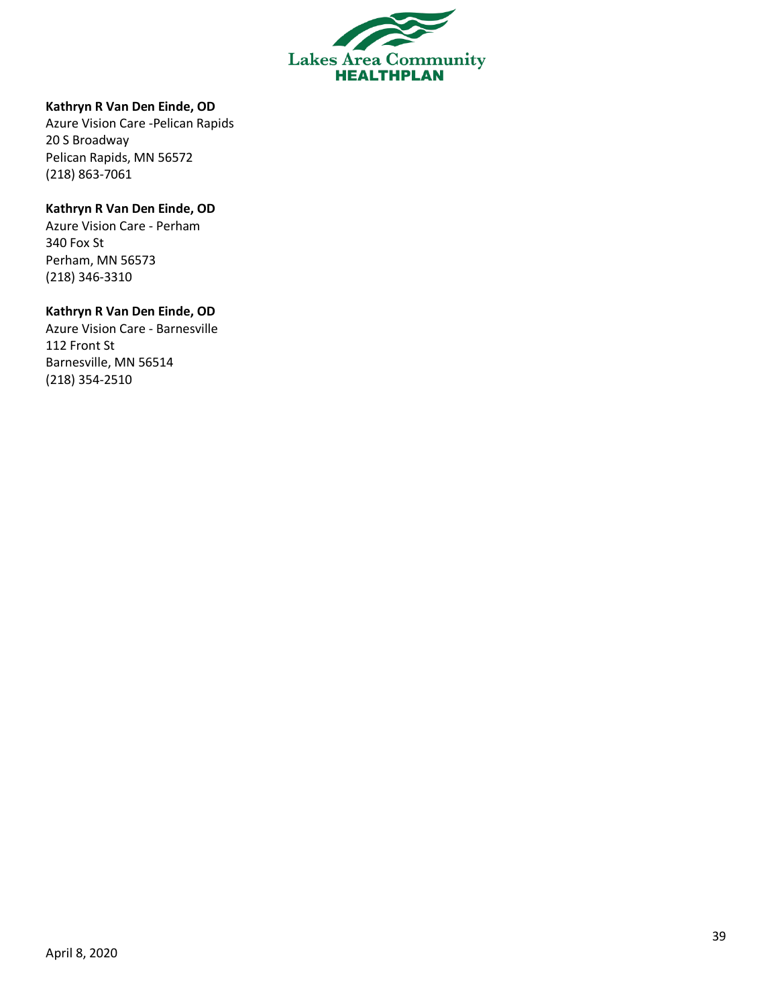

#### **Kathryn R Van Den Einde, OD**

Azure Vision Care -Pelican Rapids 20 S Broadway Pelican Rapids, MN 56572 (218) 863-7061

### **Kathryn R Van Den Einde, OD**

Azure Vision Care - Perham 340 Fox St Perham, MN 56573 (218) 346-3310

#### **Kathryn R Van Den Einde, OD**

Azure Vision Care - Barnesville 112 Front St Barnesville, MN 56514 (218) 354-2510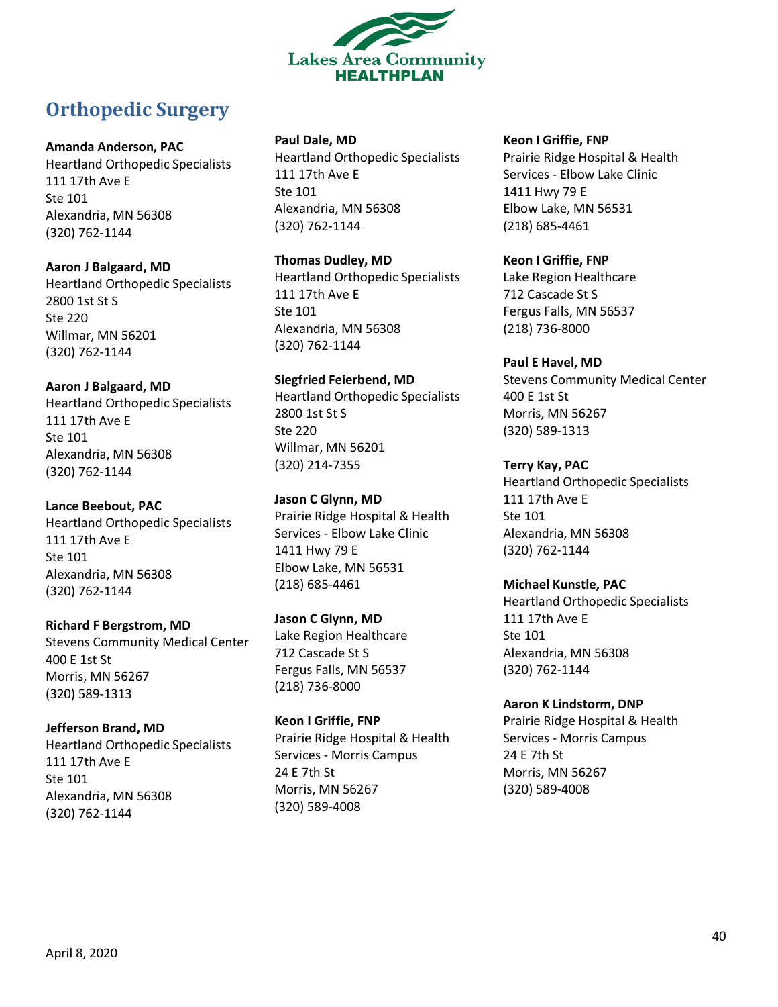

# <span id="page-39-0"></span>**Orthopedic Surgery**

### **Amanda Anderson, PAC**

Heartland Orthopedic Specialists 111 17th Ave E Ste 101 Alexandria, MN 56308 (320) 762-1144

### **Aaron J Balgaard, MD**

Heartland Orthopedic Specialists 2800 1st St S Ste 220 Willmar, MN 56201 (320) 762-1144

### **Aaron J Balgaard, MD**

Heartland Orthopedic Specialists 111 17th Ave E Ste 101 Alexandria, MN 56308 (320) 762-1144

### **Lance Beebout, PAC**

Heartland Orthopedic Specialists 111 17th Ave E Ste 101 Alexandria, MN 56308 (320) 762-1144

### **Richard F Bergstrom, MD**

Stevens Community Medical Center 400 E 1st St Morris, MN 56267 (320) 589-1313

### **Jefferson Brand, MD**

Heartland Orthopedic Specialists 111 17th Ave E Ste 101 Alexandria, MN 56308 (320) 762-1144

### **Paul Dale, MD**

Heartland Orthopedic Specialists 111 17th Ave E Ste 101 Alexandria, MN 56308 (320) 762-1144

### **Thomas Dudley, MD**

Heartland Orthopedic Specialists 111 17th Ave E Ste 101 Alexandria, MN 56308 (320) 762-1144

# **Siegfried Feierbend, MD**

Heartland Orthopedic Specialists 2800 1st St S Ste 220 Willmar, MN 56201 (320) 214-7355

# **Jason C Glynn, MD**

Prairie Ridge Hospital & Health Services - Elbow Lake Clinic 1411 Hwy 79 E Elbow Lake, MN 56531 (218) 685-4461

# **Jason C Glynn, MD**

Lake Region Healthcare 712 Cascade St S Fergus Falls, MN 56537 (218) 736-8000

### **Keon I Griffie, FNP** Prairie Ridge Hospital & Health Services - Morris Campus 24 E 7th St Morris, MN 56267 (320) 589-4008

### **Keon I Griffie, FNP**

Prairie Ridge Hospital & Health Services - Elbow Lake Clinic 1411 Hwy 79 E Elbow Lake, MN 56531 (218) 685-4461

### **Keon I Griffie, FNP**

Lake Region Healthcare 712 Cascade St S Fergus Falls, MN 56537 (218) 736-8000

### **Paul E Havel, MD**

Stevens Community Medical Center 400 E 1st St Morris, MN 56267 (320) 589-1313

# **Terry Kay, PAC**

Heartland Orthopedic Specialists 111 17th Ave E Ste 101 Alexandria, MN 56308 (320) 762-1144

### **Michael Kunstle, PAC**

Heartland Orthopedic Specialists 111 17th Ave E Ste 101 Alexandria, MN 56308 (320) 762-1144

### **Aaron K Lindstorm, DNP**

Prairie Ridge Hospital & Health Services - Morris Campus 24 E 7th St Morris, MN 56267 (320) 589-4008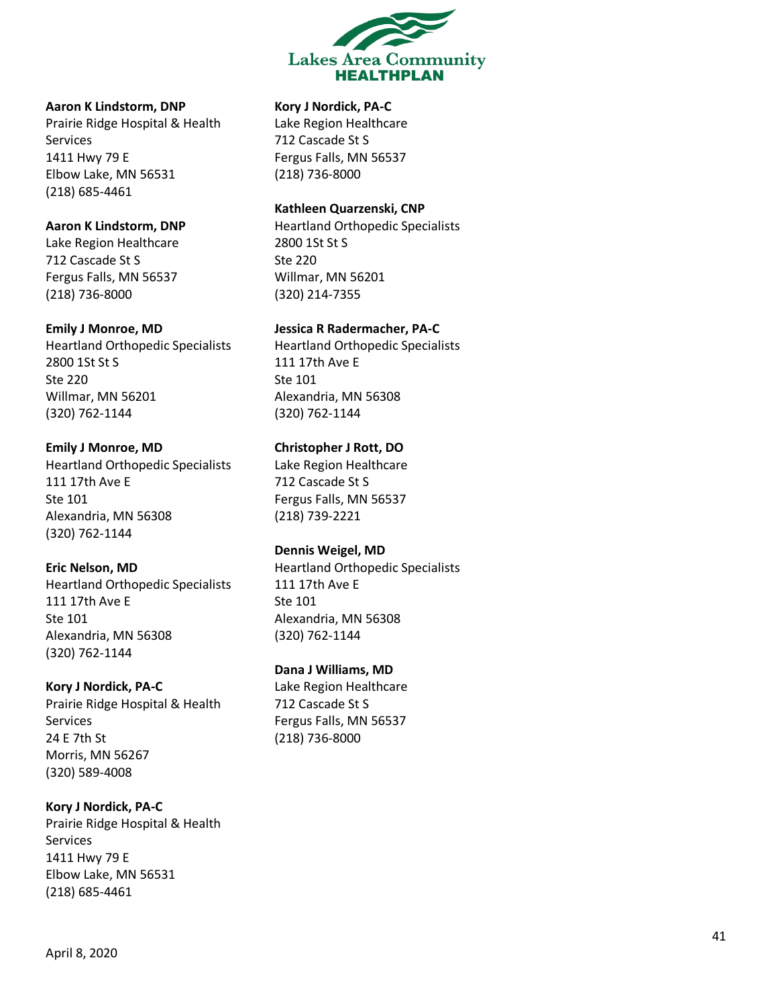

### **Aaron K Lindstorm, DNP**

Prairie Ridge Hospital & Health Services 1411 Hwy 79 E Elbow Lake, MN 56531 (218) 685 -4461

#### **Aaron K Lindstorm, DNP**

Lake Region Healthcare 712 Cascade St S Fergus Falls, MN 56537 (218) 736 -8000

#### **Emily J Monroe, MD**

Heartland Orthopedic Specialists 2800 1St St S Ste 220 Willmar, MN 56201 (320) 762 -1144

### **Emily J Monroe, MD**

Heartland Orthopedic Specialists 111 17th Ave E Ste 101 Alexandria, MN 56308 (320) 762 -1144

#### **Eric Nelson, MD**

Heartland Orthopedic Specialists 111 17th Ave E Ste 101 Alexandria, MN 56308 (320) 762 -1144

#### **Kory J Nordick, PA - C**

Prairie Ridge Hospital & Health Services 24 E 7th St Morris, MN 56267 (320) 589 -4008

### **Kory J Nordick, PA - C**

Prairie Ridge Hospital & Health Services 1411 Hwy 79 E Elbow Lake, MN 56531 (218) 685 -4461

#### **Kory J Nordick, PA - C**

Lake Region Healthcare 712 Cascade St S Fergus Falls, MN 56537 (218) 736 -8000

### **Kathleen Quarzenski, CNP**

Heartland Orthopedic Specialists 2800 1St St S Ste 220 Willmar, MN 56201 (320) 214 -7355

#### **Jessica R Radermacher, PA - C**

Heartland Orthopedic Specialists 111 17th Ave E Ste 101 Alexandria, MN 56308 (320) 762 -1144

### **Christopher J Rott, DO**

Lake Region Healthcare 712 Cascade St S Fergus Falls, MN 56537 (218) 739 -2221

### **Dennis Weigel, MD**

Heartland Orthopedic Specialists 111 17th Ave E Ste 101 Alexandria, MN 56308 (320) 762 -1144

### **Dana J Williams, MD**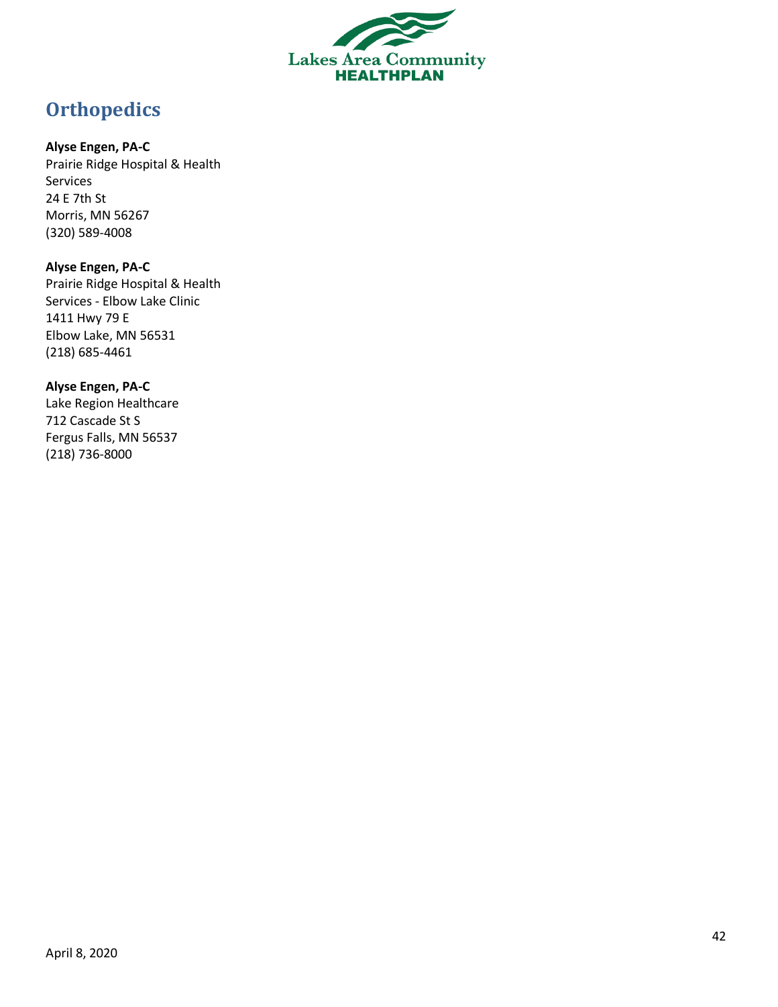

# <span id="page-41-0"></span>**Orthopedics**

### **Alyse Engen, PA-C**

Prairie Ridge Hospital & Health Services 24 E 7th St Morris, MN 56267 (320) 589-4008

# **Alyse Engen, PA-C**

Prairie Ridge Hospital & Health Services - Elbow Lake Clinic 1411 Hwy 79 E Elbow Lake, MN 56531 (218) 685-4461

### **Alyse Engen, PA-C**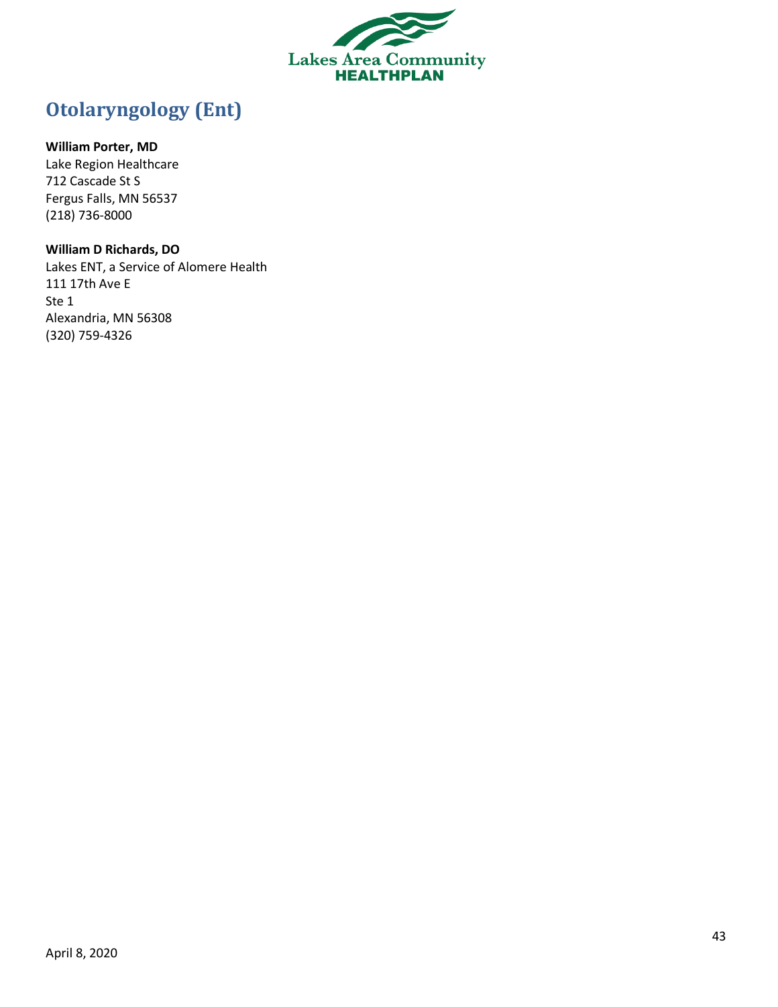

# <span id="page-42-0"></span>**Otolaryngology (Ent)**

### **William Porter, MD**

Lake Region Healthcare 712 Cascade St S Fergus Falls, MN 56537 (218) 736-8000

### **William D Richards, DO**

Lakes ENT, a Service of Alomere Health 111 17th Ave E Ste 1 Alexandria, MN 56308 (320) 759-4326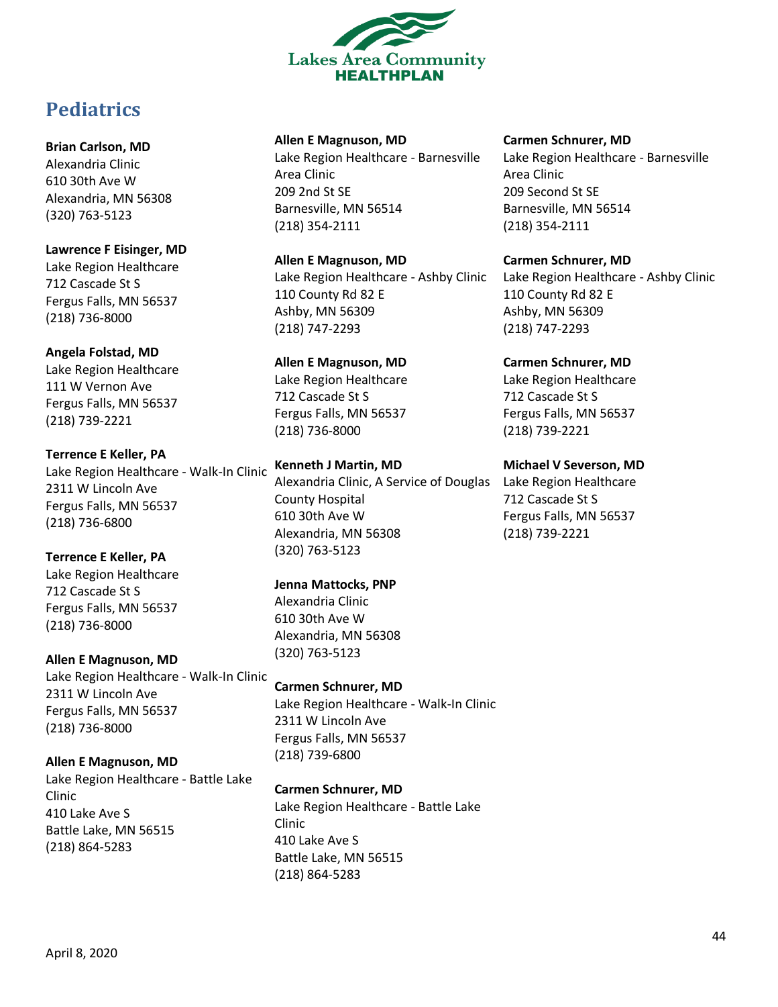

# <span id="page-43-0"></span>**Pediatrics**

### **Brian Carlson, MD**

Alexandria Clinic 610 30th Ave W Alexandria, MN 56308 (320) 763-5123

**Lawrence F Eisinger, MD** Lake Region Healthcare 712 Cascade St S Fergus Falls, MN 56537 (218) 736-8000

### **Angela Folstad, MD**

Lake Region Healthcare 111 W Vernon Ave Fergus Falls, MN 56537 (218) 739-2221

**Terrence E Keller, PA** Lake Region Healthcare - Walk-In Clinic 2311 W Lincoln Ave Fergus Falls, MN 56537 (218) 736-6800

### **Terrence E Keller, PA** Lake Region Healthcare

712 Cascade St S Fergus Falls, MN 56537 (218) 736-8000

**Allen E Magnuson, MD** Lake Region Healthcare - Walk-In Clinic 2311 W Lincoln Ave Fergus Falls, MN 56537 (218) 736-8000

# **Allen E Magnuson, MD**

Lake Region Healthcare - Battle Lake Clinic 410 Lake Ave S Battle Lake, MN 56515 (218) 864-5283

### **Allen E Magnuson, MD**

Lake Region Healthcare - Barnesville Area Clinic 209 2nd St SE Barnesville, MN 56514 (218) 354-2111

# **Allen E Magnuson, MD**

Lake Region Healthcare - Ashby Clinic 110 County Rd 82 E Ashby, MN 56309 (218) 747-2293

# **Allen E Magnuson, MD**

Lake Region Healthcare 712 Cascade St S Fergus Falls, MN 56537 (218) 736-8000

# **Kenneth J Martin, MD**

Alexandria Clinic, A Service of Douglas Lake Region Healthcare County Hospital 610 30th Ave W Alexandria, MN 56308 (320) 763-5123

# **Jenna Mattocks, PNP**

Alexandria Clinic 610 30th Ave W Alexandria, MN 56308 (320) 763-5123

# **Carmen Schnurer, MD**

Lake Region Healthcare - Walk-In Clinic 2311 W Lincoln Ave Fergus Falls, MN 56537 (218) 739-6800

# **Carmen Schnurer, MD**

Lake Region Healthcare - Battle Lake Clinic 410 Lake Ave S Battle Lake, MN 56515 (218) 864-5283

### **Carmen Schnurer, MD**

Lake Region Healthcare - Barnesville Area Clinic 209 Second St SE Barnesville, MN 56514 (218) 354-2111

### **Carmen Schnurer, MD**

Lake Region Healthcare - Ashby Clinic 110 County Rd 82 E Ashby, MN 56309 (218) 747-2293

### **Carmen Schnurer, MD**

Lake Region Healthcare 712 Cascade St S Fergus Falls, MN 56537 (218) 739-2221

# **Michael V Severson, MD**

712 Cascade St S Fergus Falls, MN 56537 (218) 739-2221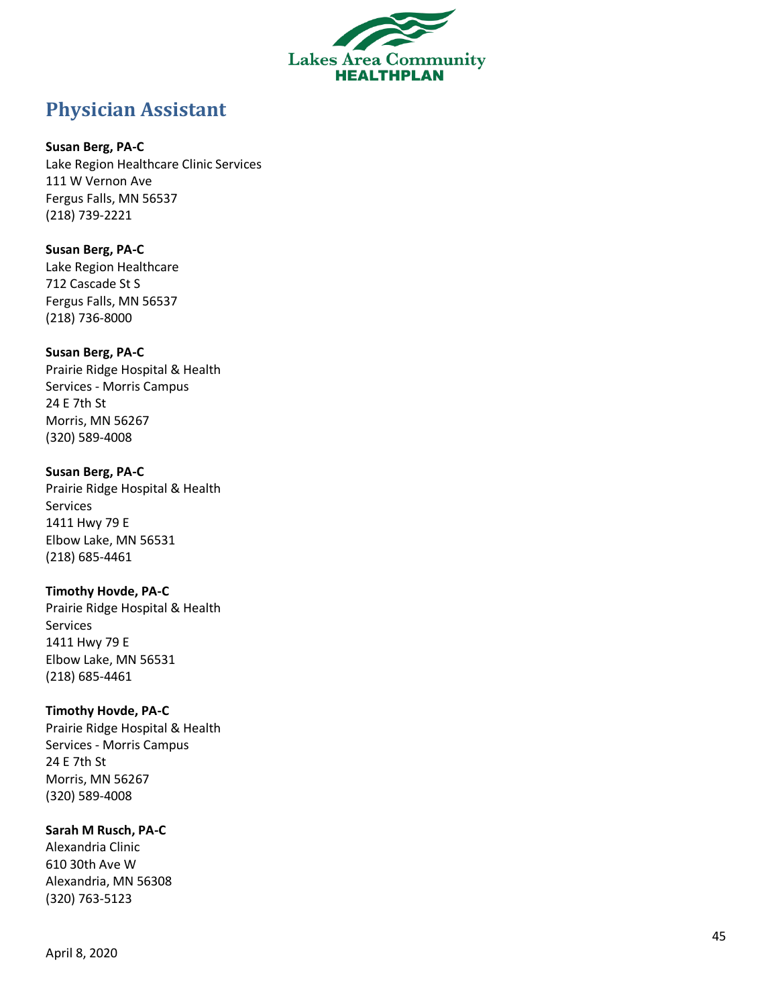

# <span id="page-44-0"></span>**Physician Assistant**

### **Susan Berg, PA - C**

Lake Region Healthcare Clinic Services 111 W Vernon Ave Fergus Falls, MN 56537 (218) 739 -2221

### **Susan Berg, PA - C** Lake Region Healthcare 712 Cascade St S Fergus Falls, MN 56537 (218) 736 -8000

### **Susan Berg, PA - C** Prairie Ridge Hospital & Health Services - Morris Campus 24 E 7th St Morris, MN 56267 (320) 589 -4008

### **Susan Berg, PA - C**

Prairie Ridge Hospital & Health Services 1411 Hwy 79 E Elbow Lake, MN 56531 (218) 685 -4461

### **Timothy Hovde, PA - C**

Prairie Ridge Hospital & Health Services 1411 Hwy 79 E Elbow Lake, MN 56531 (218) 685 -4461

# **Timothy Hovde, PA - C**

Prairie Ridge Hospital & Health Services - Morris Campus 24 E 7th St Morris, MN 56267 (320) 589 -4008

# **Sarah M Rusch, PA - C**

Alexandria Clinic 610 30th Ave W Alexandria, MN 56308 (320) 763 -5123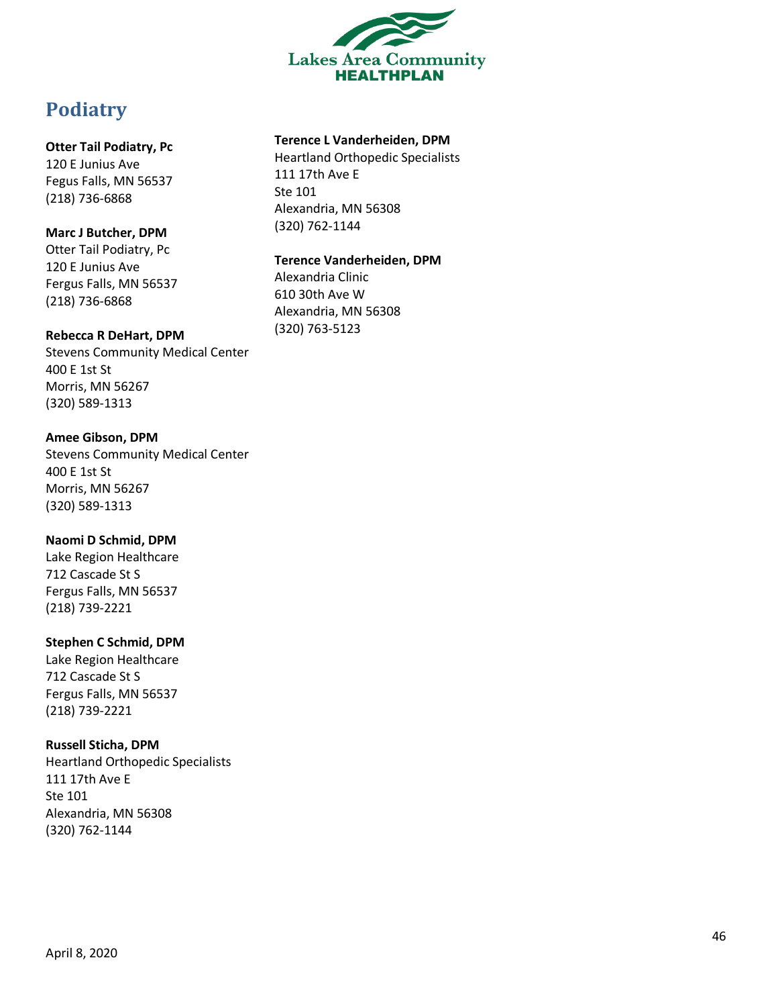

# <span id="page-45-0"></span>**Podiatry**

### **Otter Tail Podiatry, Pc**

120 E Junius Ave Fegus Falls, MN 56537 (218) 736 -6868

# **Marc J Butcher, DPM**

Otter Tail Podiatry, Pc 120 E Junius Ave Fergus Falls, MN 56537 (218) 736 -6868

### **Rebecca R DeHart, DPM**

Stevens Community Medical Center 400 E 1st St Morris, MN 56267 (320) 589 -1313

### **Amee Gibson, DPM**

Stevens Community Medical Center 400 E 1st St Morris, MN 56267 (320) 589 -1313

# **Naomi D Schmid, DPM**

Lake Region Healthcare 712 Cascade St S Fergus Falls, MN 56537 (218) 739 -2221

# **Stephen C Schmid, DPM**

Lake Region Healthcare 712 Cascade St S Fergus Falls, MN 56537 (218) 739 -2221

# **Russell Sticha, DPM**

Heartland Orthopedic Specialists 111 17th Ave E Ste 101 Alexandria, MN 56308 (320) 762 -1144

# **Terence L Vanderheiden, DPM**

Heartland Orthopedic Specialists 111 17th Ave E Ste 101 Alexandria, MN 56308 (320) 762 -1144

### **Terence Vanderheiden, DPM**

Alexandria Clinic 610 30th Ave W Alexandria, MN 56308 (320) 763 -5123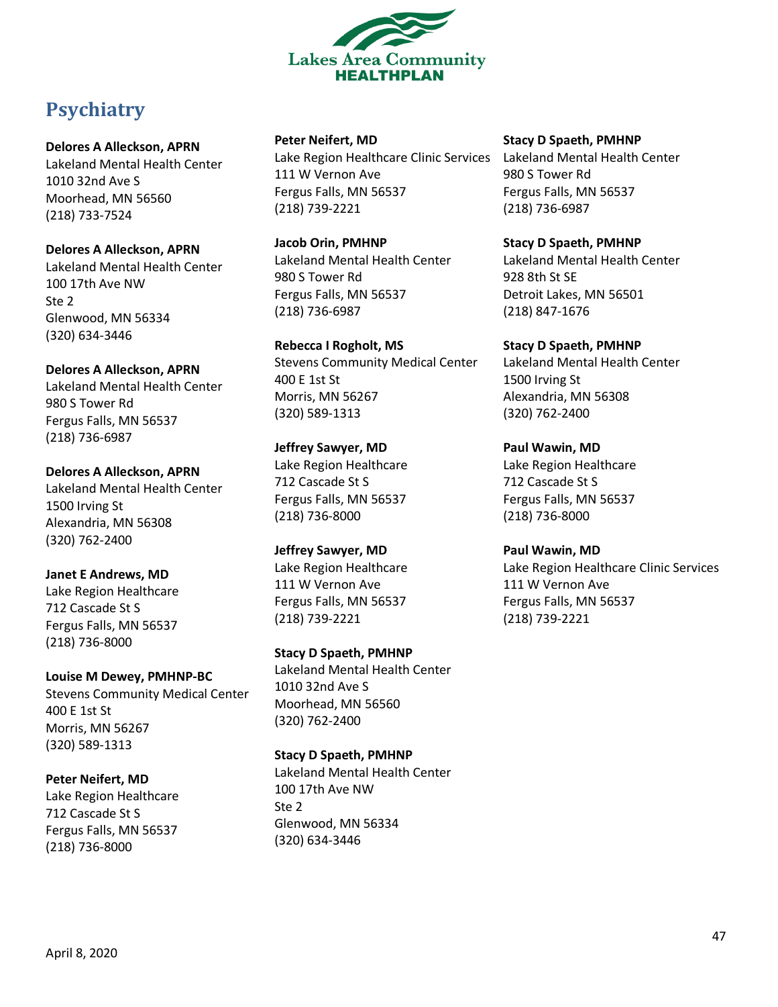

# <span id="page-46-0"></span>**Psychiatry**

### **Delores A Alleckson, APRN**

Lakeland Mental Health Center 1010 32nd Ave S Moorhead, MN 56560 (218) 733-7524

**Delores A Alleckson, APRN** Lakeland Mental Health Center 100 17th Ave NW Ste 2 Glenwood, MN 56334 (320) 634-3446

**Delores A Alleckson, APRN** Lakeland Mental Health Center 980 S Tower Rd Fergus Falls, MN 56537 (218) 736-6987

**Delores A Alleckson, APRN** Lakeland Mental Health Center 1500 Irving St Alexandria, MN 56308 (320) 762-2400

**Janet E Andrews, MD** Lake Region Healthcare 712 Cascade St S Fergus Falls, MN 56537 (218) 736-8000

**Louise M Dewey, PMHNP-BC** Stevens Community Medical Center 400 E 1st St Morris, MN 56267 (320) 589-1313

**Peter Neifert, MD** Lake Region Healthcare 712 Cascade St S Fergus Falls, MN 56537 (218) 736-8000

**Peter Neifert, MD**

Lake Region Healthcare Clinic Services Lakeland Mental Health Center 111 W Vernon Ave Fergus Falls, MN 56537 (218) 739-2221

**Jacob Orin, PMHNP** Lakeland Mental Health Center 980 S Tower Rd Fergus Falls, MN 56537 (218) 736-6987

**Rebecca I Rogholt, MS** Stevens Community Medical Center 400 E 1st St Morris, MN 56267 (320) 589-1313

**Jeffrey Sawyer, MD** Lake Region Healthcare 712 Cascade St S Fergus Falls, MN 56537 (218) 736-8000

**Jeffrey Sawyer, MD** Lake Region Healthcare 111 W Vernon Ave Fergus Falls, MN 56537 (218) 739-2221

**Stacy D Spaeth, PMHNP** Lakeland Mental Health Center 1010 32nd Ave S Moorhead, MN 56560 (320) 762-2400

**Stacy D Spaeth, PMHNP** Lakeland Mental Health Center 100 17th Ave NW Ste 2 Glenwood, MN 56334 (320) 634-3446

**Stacy D Spaeth, PMHNP** 980 S Tower Rd Fergus Falls, MN 56537

(218) 736-6987

**Stacy D Spaeth, PMHNP** Lakeland Mental Health Center 928 8th St SE Detroit Lakes, MN 56501 (218) 847-1676

**Stacy D Spaeth, PMHNP** Lakeland Mental Health Center 1500 Irving St Alexandria, MN 56308 (320) 762-2400

**Paul Wawin, MD** Lake Region Healthcare 712 Cascade St S Fergus Falls, MN 56537 (218) 736-8000

**Paul Wawin, MD** Lake Region Healthcare Clinic Services 111 W Vernon Ave Fergus Falls, MN 56537 (218) 739-2221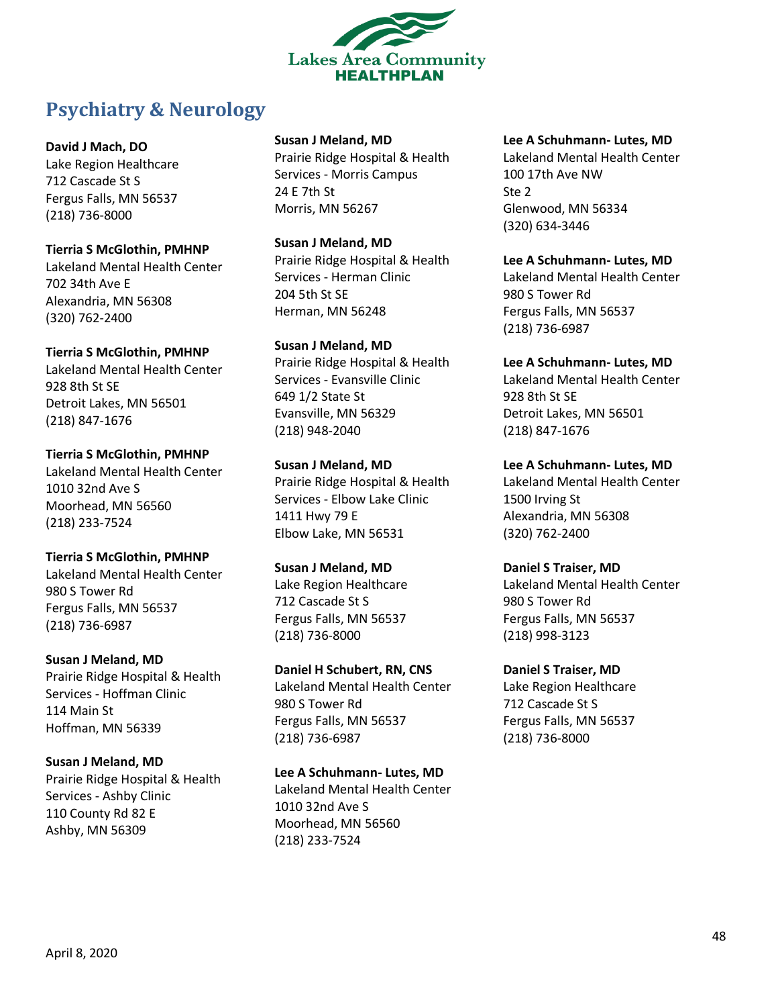

# <span id="page-47-0"></span>**Psychiatry & Neurology**

**David J Mach, DO** Lake Region Healthcare 712 Cascade St S Fergus Falls, MN 56537

(218) 736-8000 **Tierria S McGlothin, PMHNP** Lakeland Mental Health Center 702 34th Ave E Alexandria, MN 56308 (320) 762-2400

**Tierria S McGlothin, PMHNP** Lakeland Mental Health Center 928 8th St SE Detroit Lakes, MN 56501 (218) 847-1676

**Tierria S McGlothin, PMHNP** Lakeland Mental Health Center 1010 32nd Ave S Moorhead, MN 56560 (218) 233-7524

**Tierria S McGlothin, PMHNP** Lakeland Mental Health Center 980 S Tower Rd Fergus Falls, MN 56537 (218) 736-6987

**Susan J Meland, MD** Prairie Ridge Hospital & Health Services - Hoffman Clinic 114 Main St Hoffman, MN 56339

**Susan J Meland, MD** Prairie Ridge Hospital & Health Services - Ashby Clinic 110 County Rd 82 E Ashby, MN 56309

### **Susan J Meland, MD**

Prairie Ridge Hospital & Health Services - Morris Campus 24 E 7th St Morris, MN 56267

**Susan J Meland, MD** Prairie Ridge Hospital & Health Services - Herman Clinic 204 5th St SE Herman, MN 56248

**Susan J Meland, MD** Prairie Ridge Hospital & Health Services - Evansville Clinic 649 1/2 State St Evansville, MN 56329 (218) 948-2040

**Susan J Meland, MD** Prairie Ridge Hospital & Health Services - Elbow Lake Clinic 1411 Hwy 79 E Elbow Lake, MN 56531

**Susan J Meland, MD** Lake Region Healthcare 712 Cascade St S Fergus Falls, MN 56537 (218) 736-8000

**Daniel H Schubert, RN, CNS** Lakeland Mental Health Center 980 S Tower Rd Fergus Falls, MN 56537 (218) 736-6987

**Lee A Schuhmann- Lutes, MD** Lakeland Mental Health Center 1010 32nd Ave S Moorhead, MN 56560 (218) 233-7524

**Lee A Schuhmann- Lutes, MD**

Lakeland Mental Health Center 100 17th Ave NW Ste 2 Glenwood, MN 56334 (320) 634-3446

**Lee A Schuhmann- Lutes, MD** Lakeland Mental Health Center 980 S Tower Rd Fergus Falls, MN 56537 (218) 736-6987

**Lee A Schuhmann- Lutes, MD** Lakeland Mental Health Center 928 8th St SE Detroit Lakes, MN 56501 (218) 847-1676

**Lee A Schuhmann- Lutes, MD** Lakeland Mental Health Center 1500 Irving St Alexandria, MN 56308 (320) 762-2400

**Daniel S Traiser, MD** Lakeland Mental Health Center 980 S Tower Rd Fergus Falls, MN 56537 (218) 998-3123

**Daniel S Traiser, MD** Lake Region Healthcare 712 Cascade St S Fergus Falls, MN 56537 (218) 736-8000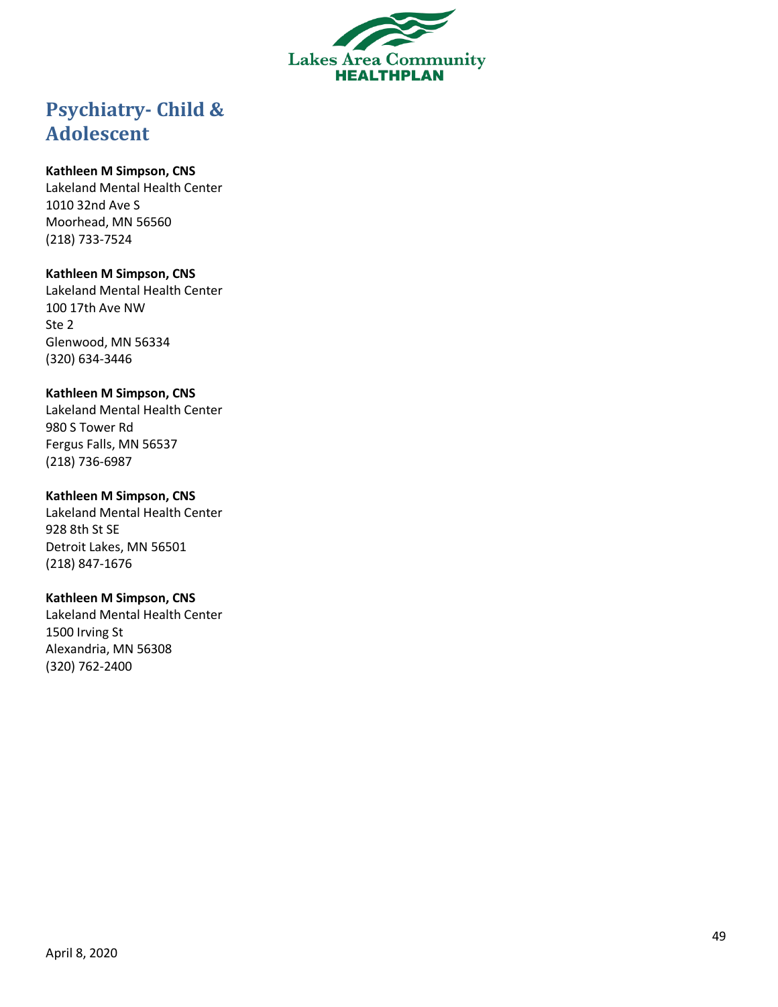

# <span id="page-48-0"></span>**Psychiatry - Child & Adolescent**

### **Kathleen M Simpson, CNS**

Lakeland Mental Health Center 1010 32nd Ave S Moorhead, MN 56560 (218) 733 -7524

### **Kathleen M Simpson, CNS**

Lakeland Mental Health Center 100 17th Ave NW Ste 2 Glenwood, MN 56334 (320) 634 -3446

### **Kathleen M Simpson, CNS**

Lakeland Mental Health Center 980 S Tower Rd Fergus Falls, MN 56537 (218) 736 -6987

### **Kathleen M Simpson, CNS**

Lakeland Mental Health Center 928 8th St SE Detroit Lakes, MN 56501 (218) 847 -1676

### **Kathleen M Simpson, CNS**

Lakeland Mental Health Center 1500 Irving St Alexandria, MN 56308 (320) 762 -2400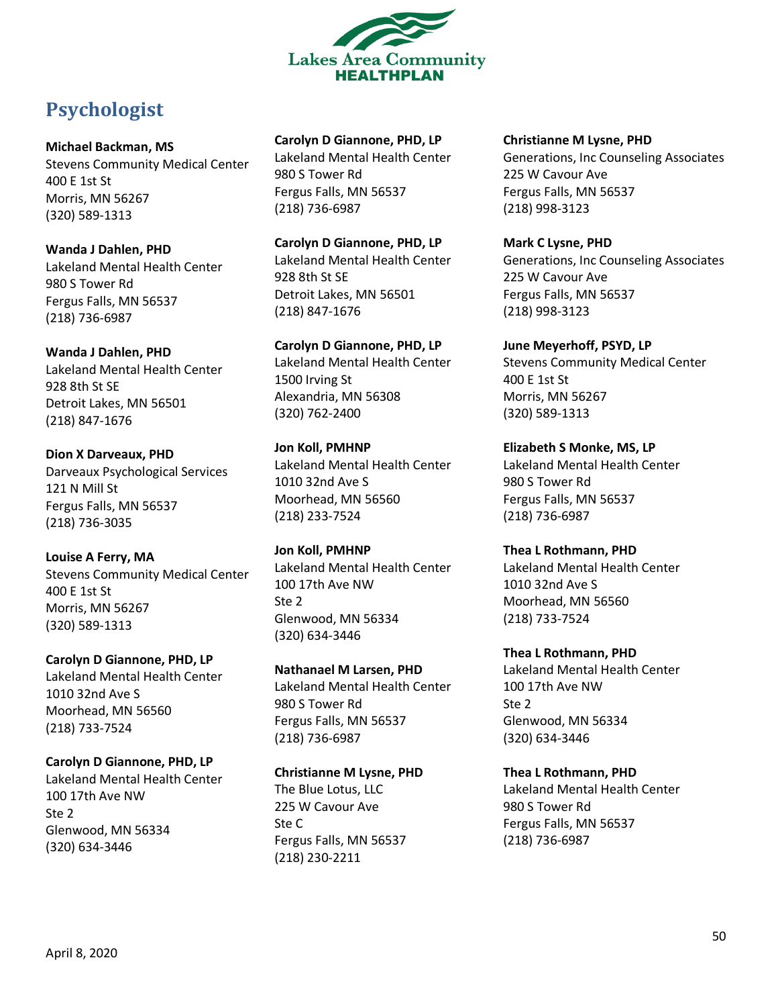

# <span id="page-49-0"></span>**Psychologist**

### **Michael Backman, MS**

Stevens Community Medical Center 400 E 1st St Morris, MN 56267 (320) 589-1313

**Wanda J Dahlen, PHD** Lakeland Mental Health Center 980 S Tower Rd Fergus Falls, MN 56537 (218) 736-6987

**Wanda J Dahlen, PHD**

Lakeland Mental Health Center 928 8th St SE Detroit Lakes, MN 56501 (218) 847-1676

**Dion X Darveaux, PHD** Darveaux Psychological Services 121 N Mill St Fergus Falls, MN 56537 (218) 736-3035

# **Louise A Ferry, MA**

Stevens Community Medical Center 400 E 1st St Morris, MN 56267 (320) 589-1313

**Carolyn D Giannone, PHD, LP**

Lakeland Mental Health Center 1010 32nd Ave S Moorhead, MN 56560 (218) 733-7524

**Carolyn D Giannone, PHD, LP** Lakeland Mental Health Center 100 17th Ave NW Ste 2 Glenwood, MN 56334 (320) 634-3446

# **Carolyn D Giannone, PHD, LP**

Lakeland Mental Health Center 980 S Tower Rd Fergus Falls, MN 56537 (218) 736-6987

**Carolyn D Giannone, PHD, LP** Lakeland Mental Health Center 928 8th St SE Detroit Lakes, MN 56501 (218) 847-1676

**Carolyn D Giannone, PHD, LP** Lakeland Mental Health Center 1500 Irving St Alexandria, MN 56308 (320) 762-2400

**Jon Koll, PMHNP** Lakeland Mental Health Center 1010 32nd Ave S Moorhead, MN 56560 (218) 233-7524

**Jon Koll, PMHNP** Lakeland Mental Health Center 100 17th Ave NW Ste 2 Glenwood, MN 56334 (320) 634-3446

**Nathanael M Larsen, PHD** Lakeland Mental Health Center 980 S Tower Rd Fergus Falls, MN 56537 (218) 736-6987

# **Christianne M Lysne, PHD**

The Blue Lotus, LLC 225 W Cavour Ave Ste C Fergus Falls, MN 56537 (218) 230-2211

### **Christianne M Lysne, PHD** Generations, Inc Counseling Associates 225 W Cavour Ave Fergus Falls, MN 56537 (218) 998-3123

**Mark C Lysne, PHD** Generations, Inc Counseling Associates 225 W Cavour Ave Fergus Falls, MN 56537 (218) 998-3123

**June Meyerhoff, PSYD, LP** Stevens Community Medical Center 400 E 1st St Morris, MN 56267 (320) 589-1313

**Elizabeth S Monke, MS, LP** Lakeland Mental Health Center 980 S Tower Rd Fergus Falls, MN 56537 (218) 736-6987

**Thea L Rothmann, PHD** Lakeland Mental Health Center 1010 32nd Ave S Moorhead, MN 56560 (218) 733-7524

**Thea L Rothmann, PHD** Lakeland Mental Health Center 100 17th Ave NW Ste 2 Glenwood, MN 56334 (320) 634-3446

**Thea L Rothmann, PHD** Lakeland Mental Health Center 980 S Tower Rd Fergus Falls, MN 56537 (218) 736-6987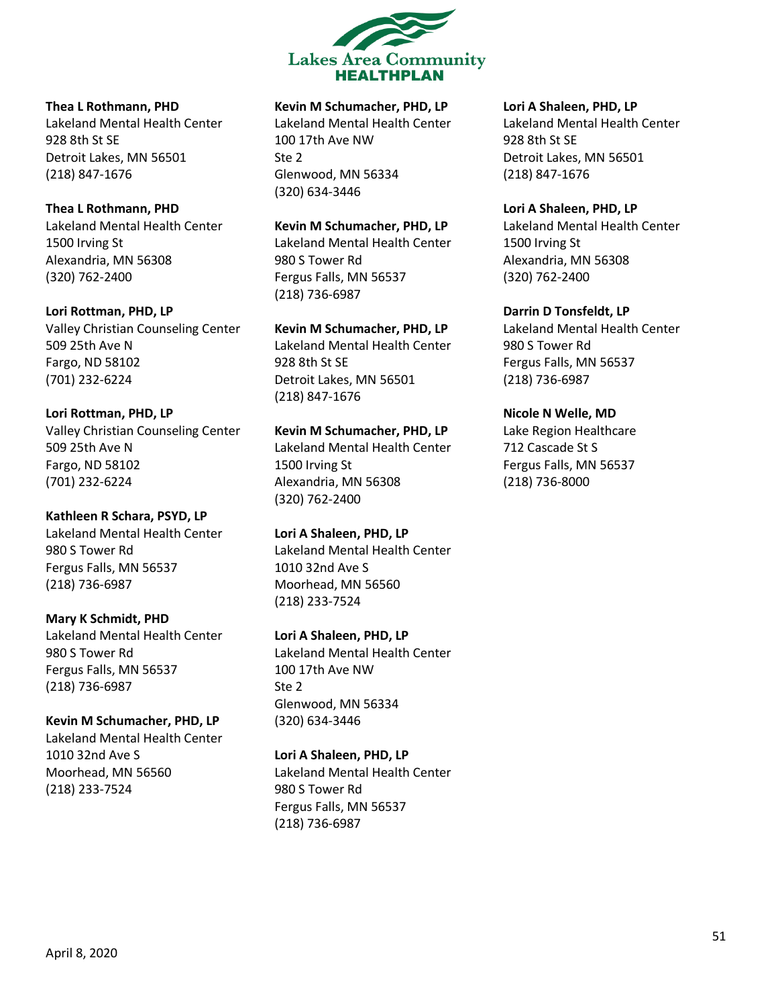

#### **Thea L Rothmann, PHD**

Lakeland Mental Health Center 928 8th St SE Detroit Lakes, MN 56501 (218) 847-1676

### **Thea L Rothmann, PHD**

Lakeland Mental Health Center 1500 Irving St Alexandria, MN 56308 (320) 762-2400

### **Lori Rottman, PHD, LP**

Valley Christian Counseling Center 509 25th Ave N Fargo, ND 58102 (701) 232-6224

**Lori Rottman, PHD, LP**

Valley Christian Counseling Center 509 25th Ave N Fargo, ND 58102 (701) 232-6224

**Kathleen R Schara, PSYD, LP** Lakeland Mental Health Center 980 S Tower Rd Fergus Falls, MN 56537 (218) 736-6987

**Mary K Schmidt, PHD** Lakeland Mental Health Center 980 S Tower Rd Fergus Falls, MN 56537 (218) 736-6987

**Kevin M Schumacher, PHD, LP** Lakeland Mental Health Center 1010 32nd Ave S Moorhead, MN 56560 (218) 233-7524

### **Kevin M Schumacher, PHD, LP**

Lakeland Mental Health Center 100 17th Ave NW Ste 2 Glenwood, MN 56334 (320) 634-3446

### **Kevin M Schumacher, PHD, LP**

Lakeland Mental Health Center 980 S Tower Rd Fergus Falls, MN 56537 (218) 736-6987

**Kevin M Schumacher, PHD, LP**

Lakeland Mental Health Center 928 8th St SE Detroit Lakes, MN 56501 (218) 847-1676

**Kevin M Schumacher, PHD, LP** Lakeland Mental Health Center 1500 Irving St Alexandria, MN 56308 (320) 762-2400

**Lori A Shaleen, PHD, LP** Lakeland Mental Health Center 1010 32nd Ave S Moorhead, MN 56560 (218) 233-7524

**Lori A Shaleen, PHD, LP** Lakeland Mental Health Center 100 17th Ave NW Ste 2 Glenwood, MN 56334 (320) 634-3446

### **Lori A Shaleen, PHD, LP**

Lakeland Mental Health Center 980 S Tower Rd Fergus Falls, MN 56537 (218) 736-6987

### **Lori A Shaleen, PHD, LP**

Lakeland Mental Health Center 928 8th St SE Detroit Lakes, MN 56501 (218) 847-1676

#### **Lori A Shaleen, PHD, LP**

Lakeland Mental Health Center 1500 Irving St Alexandria, MN 56308 (320) 762-2400

**Darrin D Tonsfeldt, LP**

Lakeland Mental Health Center 980 S Tower Rd Fergus Falls, MN 56537 (218) 736-6987

### **Nicole N Welle, MD**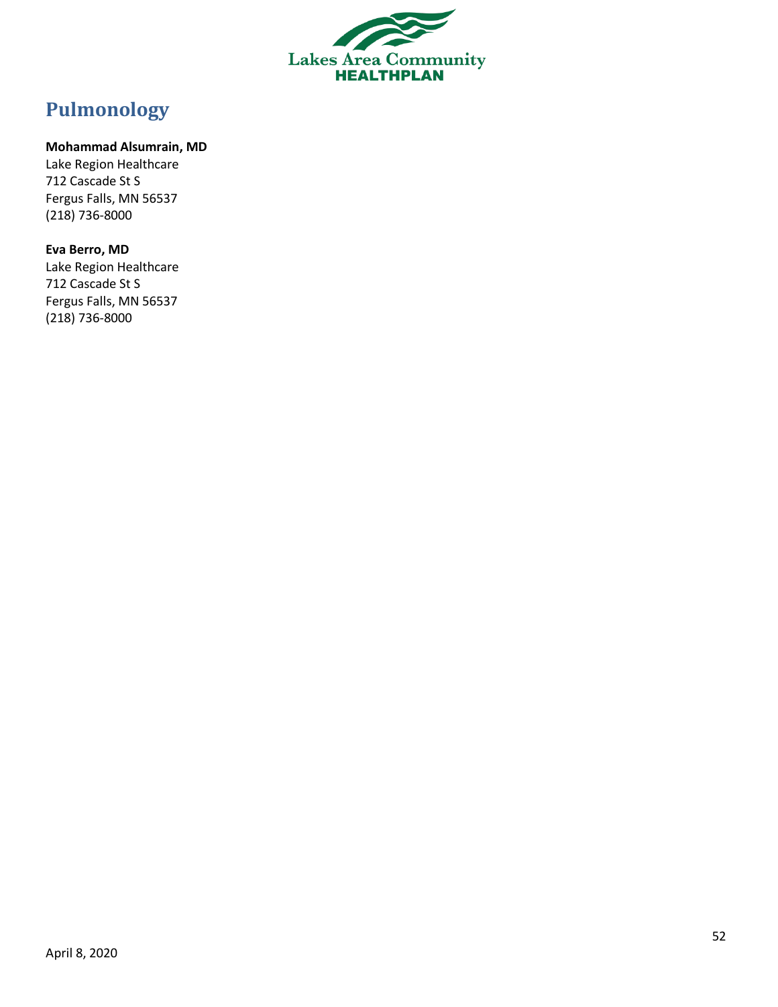

# <span id="page-51-0"></span>**Pulmonology**

### **Mohammad Alsumrain, MD**

Lake Region Healthcare 712 Cascade St S Fergus Falls, MN 56537 (218) 736-8000

### **Eva Berro, MD**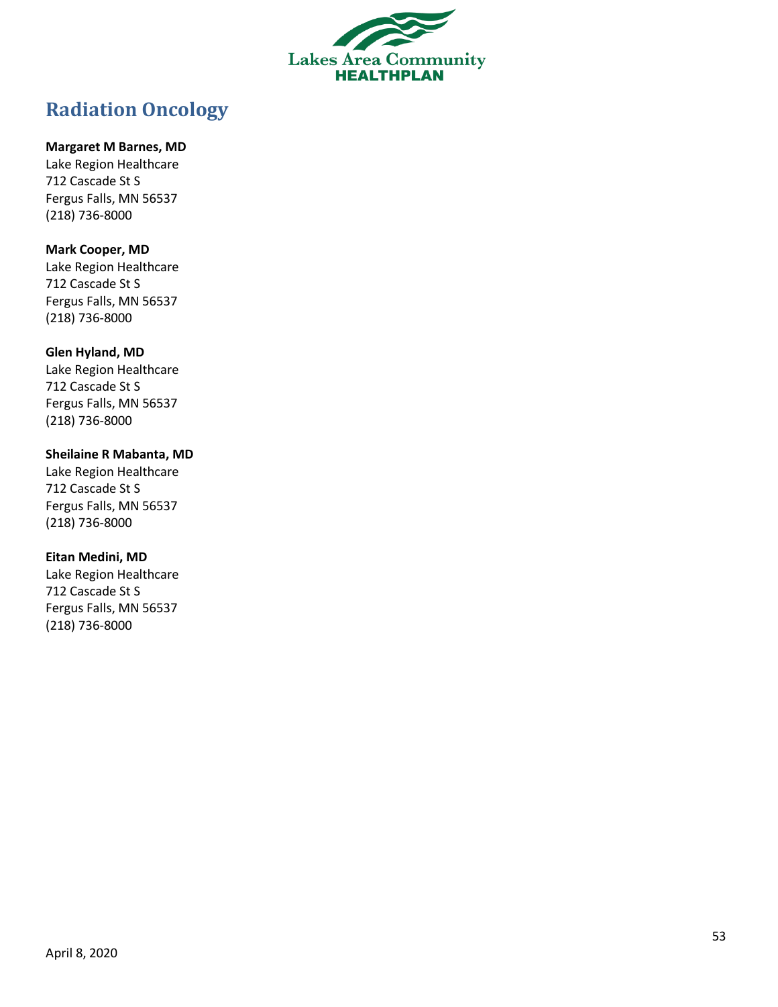

# <span id="page-52-0"></span>**Radiation Oncology**

### **Margaret M Barnes, MD**

Lake Region Healthcare 712 Cascade St S Fergus Falls, MN 56537 (218) 736 -8000

### **Mark Cooper, MD**

Lake Region Healthcare 712 Cascade St S Fergus Falls, MN 56537 (218) 736 -8000

### **Glen Hyland, MD**

Lake Region Healthcare 712 Cascade St S Fergus Falls, MN 56537 (218) 736 -8000

### **Sheilaine R Mabanta, MD**

Lake Region Healthcare 712 Cascade St S Fergus Falls, MN 56537 (218) 736 -8000

### **Eitan Medini, MD**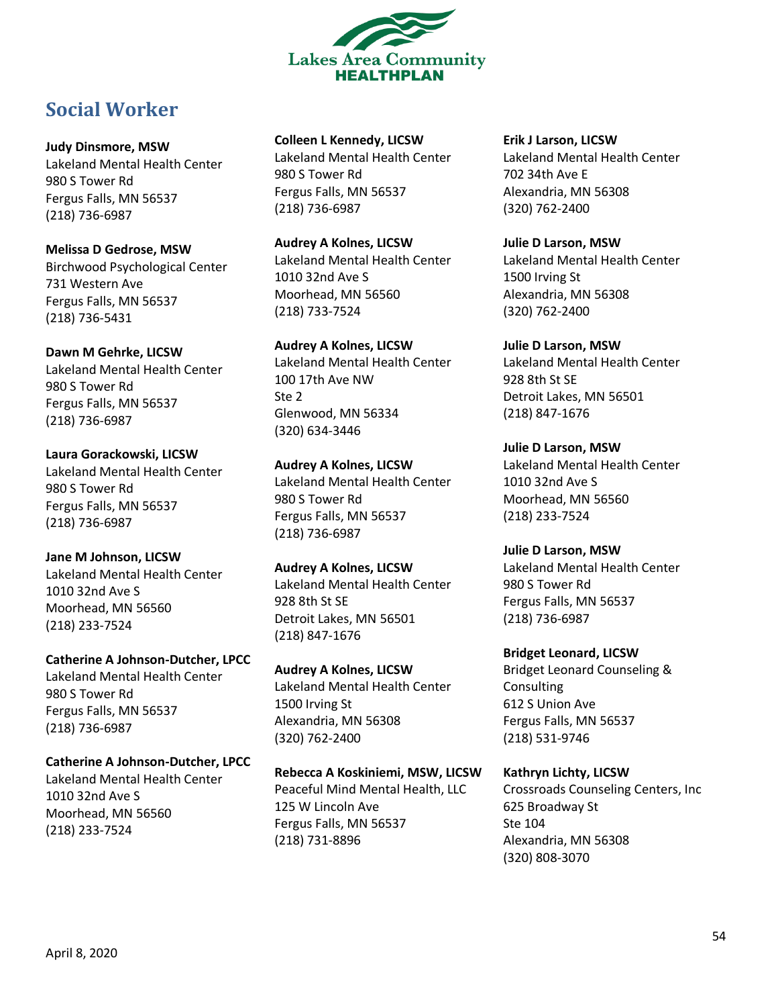

# <span id="page-53-0"></span>**Social Worker**

### **Judy Dinsmore, MSW**

Lakeland Mental Health Center 980 S Tower Rd Fergus Falls, MN 56537 (218) 736-6987

### **Melissa D Gedrose, MSW**

Birchwood Psychological Center 731 Western Ave Fergus Falls, MN 56537 (218) 736-5431

### **Dawn M Gehrke, LICSW**

Lakeland Mental Health Center 980 S Tower Rd Fergus Falls, MN 56537 (218) 736-6987

**Laura Gorackowski, LICSW** Lakeland Mental Health Center 980 S Tower Rd Fergus Falls, MN 56537 (218) 736-6987

# **Jane M Johnson, LICSW**

Lakeland Mental Health Center 1010 32nd Ave S Moorhead, MN 56560 (218) 233-7524

# **Catherine A Johnson-Dutcher, LPCC**

Lakeland Mental Health Center 980 S Tower Rd Fergus Falls, MN 56537 (218) 736-6987

# **Catherine A Johnson-Dutcher, LPCC**

Lakeland Mental Health Center 1010 32nd Ave S Moorhead, MN 56560 (218) 233-7524

# **Colleen L Kennedy, LICSW**

Lakeland Mental Health Center 980 S Tower Rd Fergus Falls, MN 56537 (218) 736-6987

# **Audrey A Kolnes, LICSW**

Lakeland Mental Health Center 1010 32nd Ave S Moorhead, MN 56560 (218) 733-7524

# **Audrey A Kolnes, LICSW** Lakeland Mental Health Center

100 17th Ave NW Ste 2 Glenwood, MN 56334 (320) 634-3446

### **Audrey A Kolnes, LICSW** Lakeland Mental Health Center 980 S Tower Rd Fergus Falls, MN 56537 (218) 736-6987

### **Audrey A Kolnes, LICSW** Lakeland Mental Health Center 928 8th St SE Detroit Lakes, MN 56501 (218) 847-1676

### **Audrey A Kolnes, LICSW** Lakeland Mental Health Center 1500 Irving St Alexandria, MN 56308 (320) 762-2400

# **Rebecca A Koskiniemi, MSW, LICSW**

Peaceful Mind Mental Health, LLC 125 W Lincoln Ave Fergus Falls, MN 56537 (218) 731-8896

# **Erik J Larson, LICSW**

Lakeland Mental Health Center 702 34th Ave E Alexandria, MN 56308 (320) 762-2400

# **Julie D Larson, MSW**

Lakeland Mental Health Center 1500 Irving St Alexandria, MN 56308 (320) 762-2400

# **Julie D Larson, MSW**

Lakeland Mental Health Center 928 8th St SE Detroit Lakes, MN 56501 (218) 847-1676

# **Julie D Larson, MSW**

Lakeland Mental Health Center 1010 32nd Ave S Moorhead, MN 56560 (218) 233-7524

# **Julie D Larson, MSW**

Lakeland Mental Health Center 980 S Tower Rd Fergus Falls, MN 56537 (218) 736-6987

# **Bridget Leonard, LICSW**

Bridget Leonard Counseling & Consulting 612 S Union Ave Fergus Falls, MN 56537 (218) 531-9746

# **Kathryn Lichty, LICSW**

Crossroads Counseling Centers, Inc 625 Broadway St Ste 104 Alexandria, MN 56308 (320) 808-3070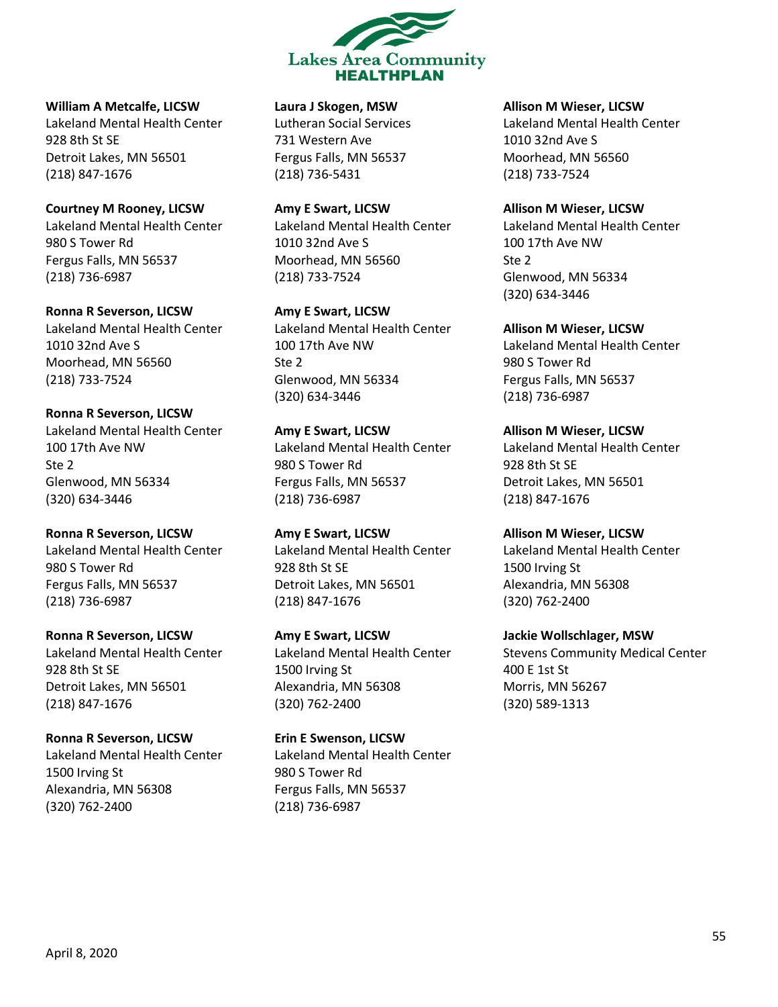

**William A Metcalfe, LICSW** Lakeland Mental Health Center 928 8th St SE Detroit Lakes, MN 56501 (218) 847-1676

**Courtney M Rooney, LICSW** Lakeland Mental Health Center 980 S Tower Rd Fergus Falls, MN 56537 (218) 736-6987

**Ronna R Severson, LICSW** Lakeland Mental Health Center 1010 32nd Ave S Moorhead, MN 56560 (218) 733-7524

**Ronna R Severson, LICSW** Lakeland Mental Health Center 100 17th Ave NW Ste 2 Glenwood, MN 56334 (320) 634-3446

**Ronna R Severson, LICSW** Lakeland Mental Health Center 980 S Tower Rd Fergus Falls, MN 56537 (218) 736-6987

**Ronna R Severson, LICSW** Lakeland Mental Health Center 928 8th St SE Detroit Lakes, MN 56501 (218) 847-1676

**Ronna R Severson, LICSW** Lakeland Mental Health Center 1500 Irving St Alexandria, MN 56308 (320) 762-2400

**Laura J Skogen, MSW**

Lutheran Social Services 731 Western Ave Fergus Falls, MN 56537 (218) 736-5431

**Amy E Swart, LICSW** Lakeland Mental Health Center 1010 32nd Ave S Moorhead, MN 56560 (218) 733-7524

**Amy E Swart, LICSW** Lakeland Mental Health Center 100 17th Ave NW Ste 2 Glenwood, MN 56334 (320) 634-3446

**Amy E Swart, LICSW** Lakeland Mental Health Center 980 S Tower Rd Fergus Falls, MN 56537 (218) 736-6987

**Amy E Swart, LICSW** Lakeland Mental Health Center 928 8th St SE Detroit Lakes, MN 56501 (218) 847-1676

**Amy E Swart, LICSW** Lakeland Mental Health Center 1500 Irving St Alexandria, MN 56308 (320) 762-2400

**Erin E Swenson, LICSW** Lakeland Mental Health Center 980 S Tower Rd Fergus Falls, MN 56537 (218) 736-6987

**Allison M Wieser, LICSW**

Lakeland Mental Health Center 1010 32nd Ave S Moorhead, MN 56560 (218) 733-7524

**Allison M Wieser, LICSW** Lakeland Mental Health Center 100 17th Ave NW Ste 2 Glenwood, MN 56334 (320) 634-3446

**Allison M Wieser, LICSW** Lakeland Mental Health Center 980 S Tower Rd Fergus Falls, MN 56537 (218) 736-6987

**Allison M Wieser, LICSW** Lakeland Mental Health Center 928 8th St SE Detroit Lakes, MN 56501 (218) 847-1676

**Allison M Wieser, LICSW** Lakeland Mental Health Center 1500 Irving St Alexandria, MN 56308 (320) 762-2400

**Jackie Wollschlager, MSW** Stevens Community Medical Center 400 E 1st St Morris, MN 56267 (320) 589-1313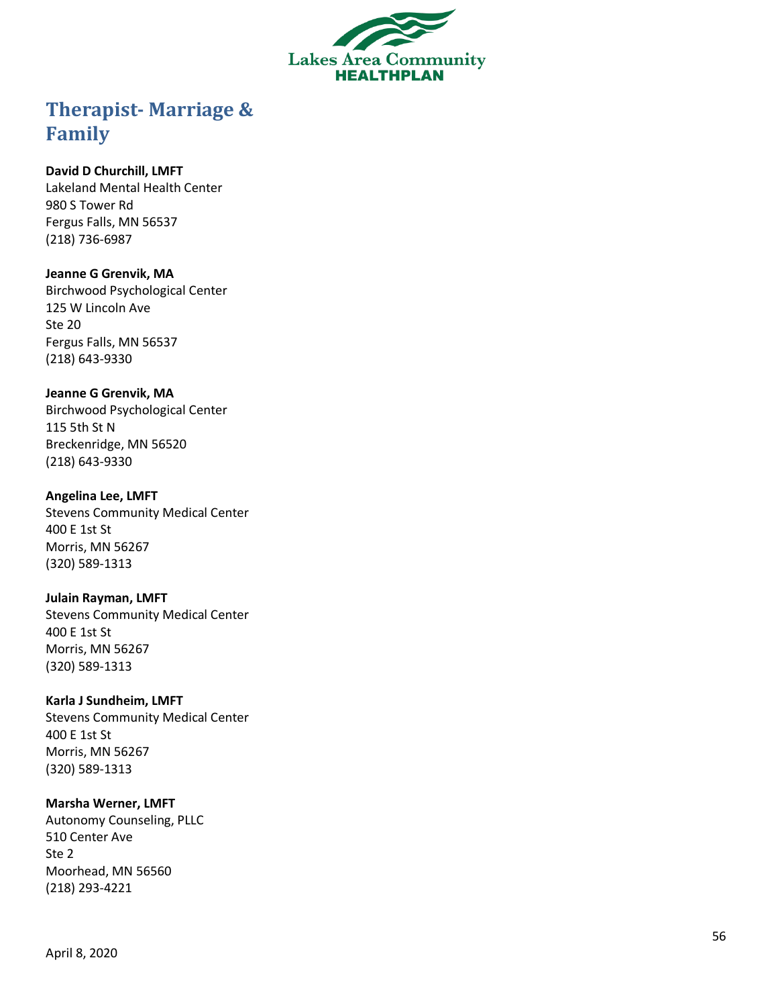

# <span id="page-55-0"></span>**Therapist - Marriage & Family**

### **David D Churchill, LMFT**

Lakeland Mental Health Center 980 S Tower Rd Fergus Falls, MN 56537 (218) 736 -6987

### **Jeanne G Grenvik, MA**

Birchwood Psychological Center 125 W Lincoln Ave Ste 20 Fergus Falls, MN 56537 (218) 643 -9330

### **Jeanne G Grenvik, MA**

Birchwood Psychological Center 115 5th St N Breckenridge, MN 56520 (218) 643 -9330

### **Angelina Lee, LMFT**

Stevens Community Medical Center 400 E 1st St Morris, MN 56267 (320) 589 -1313

### **Julain Rayman, LMFT**

Stevens Community Medical Center 400 E 1st St Morris, MN 56267 (320) 589 -1313

### **Karla J Sundheim, LMFT**

Stevens Community Medical Center 400 E 1st St Morris, MN 56267 (320) 589 -1313

### **Marsha Werner, LMFT**

Autonomy Counseling, PLLC 510 Center Ave Ste 2 Moorhead, MN 56560 (218) 293 -4221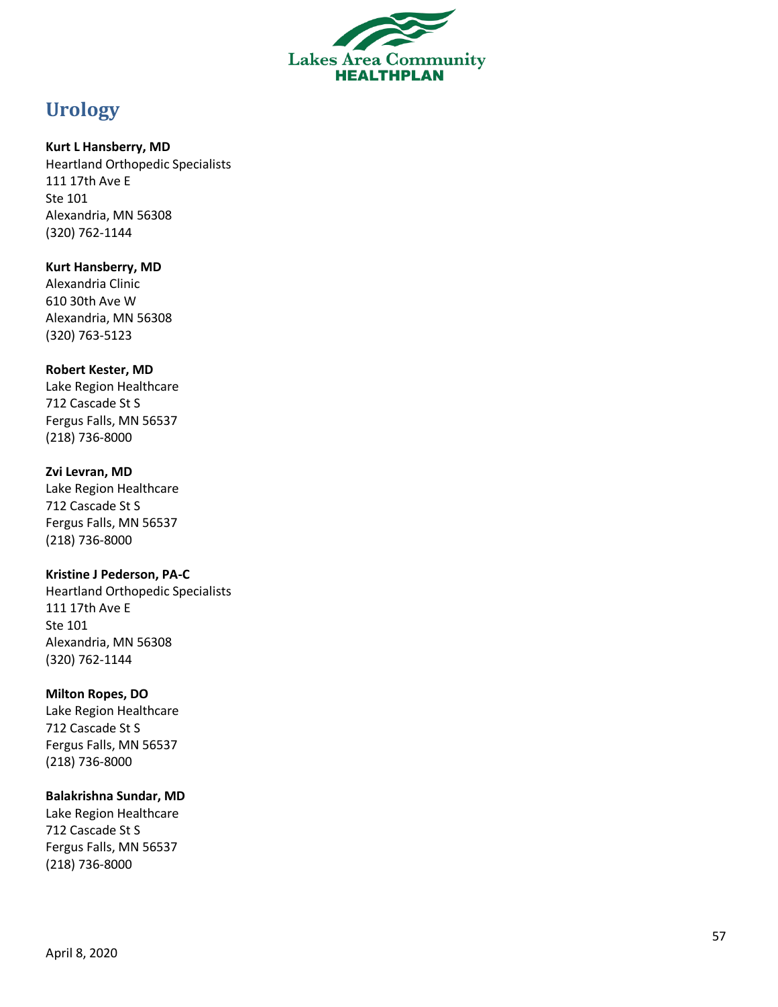

# <span id="page-56-0"></span>**Urology**

### **Kurt L Hansberry, MD**

Heartland Orthopedic Specialists 111 17th Ave E Ste 101 Alexandria, MN 56308 (320) 762 -1144

### **Kurt Hansberry, MD**

Alexandria Clinic 610 30th Ave W Alexandria, MN 56308 (320) 763 -5123

### **Robert Kester, MD**

Lake Region Healthcare 712 Cascade St S Fergus Falls, MN 56537 (218) 736 -8000

### **Zvi Levran, MD**

Lake Region Healthcare 712 Cascade St S Fergus Falls, MN 56537 (218) 736 -8000

### **Kristine J Pederson, PA - C**

Heartland Orthopedic Specialists 111 17th Ave E Ste 101 Alexandria, MN 56308 (320) 762 -1144

### **Milton Ropes, DO**

Lake Region Healthcare 712 Cascade St S Fergus Falls, MN 56537 (218) 736 -8000

### **Balakrishna Sundar, MD**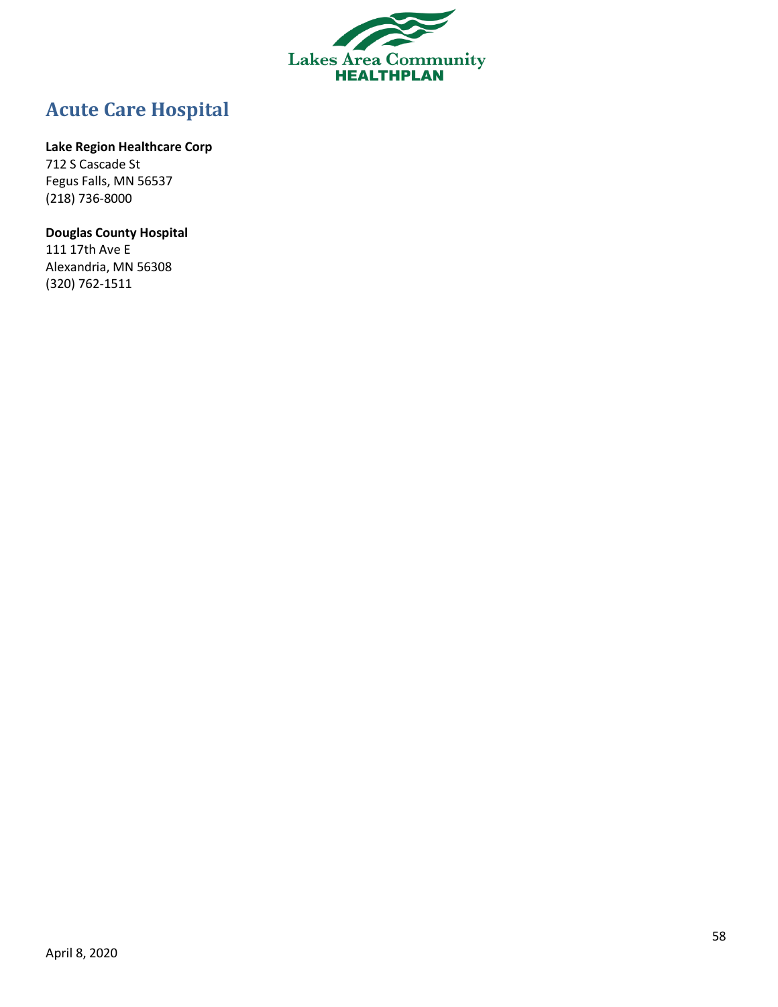

# <span id="page-57-0"></span>**Acute Care Hospital**

### **Lake Region Healthcare Corp**

712 S Cascade St Fegus Falls, MN 56537 (218) 736-8000

# **Douglas County Hospital**

111 17th Ave E Alexandria, MN 56308 (320) 762-1511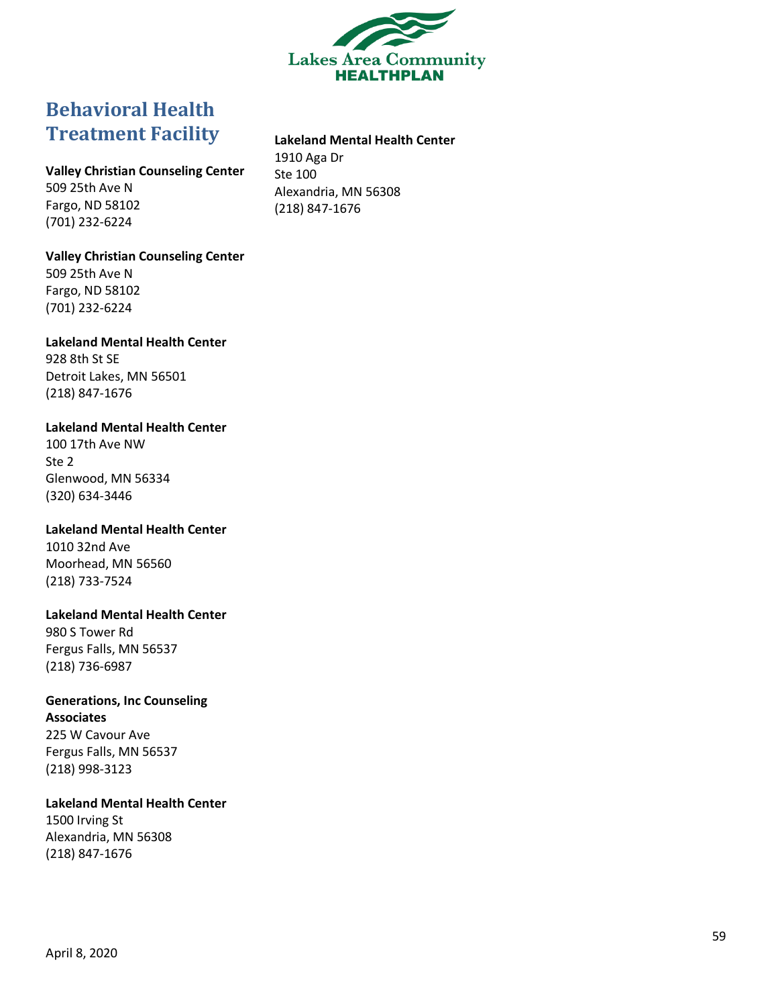

# <span id="page-58-0"></span>**Behavioral Health Treatment Facility**

### **Lakeland Mental Health Center**

**Valley Christian Counseling Center** 509 25th Ave N Fargo, ND 58102 (701) 232-6224

1910 Aga Dr Ste 100 Alexandria, MN 56308 (218) 847-1676

#### **Valley Christian Counseling Center**

509 25th Ave N Fargo, ND 58102 (701) 232-6224

**Lakeland Mental Health Center** 928 8th St SE Detroit Lakes, MN 56501 (218) 847-1676

**Lakeland Mental Health Center** 100 17th Ave NW

Ste 2 Glenwood, MN 56334 (320) 634-3446

**Lakeland Mental Health Center** 1010 32nd Ave Moorhead, MN 56560 (218) 733-7524

**Lakeland Mental Health Center** 980 S Tower Rd Fergus Falls, MN 56537 (218) 736-6987

**Generations, Inc Counseling Associates** 225 W Cavour Ave Fergus Falls, MN 56537 (218) 998-3123

**Lakeland Mental Health Center** 1500 Irving St Alexandria, MN 56308 (218) 847-1676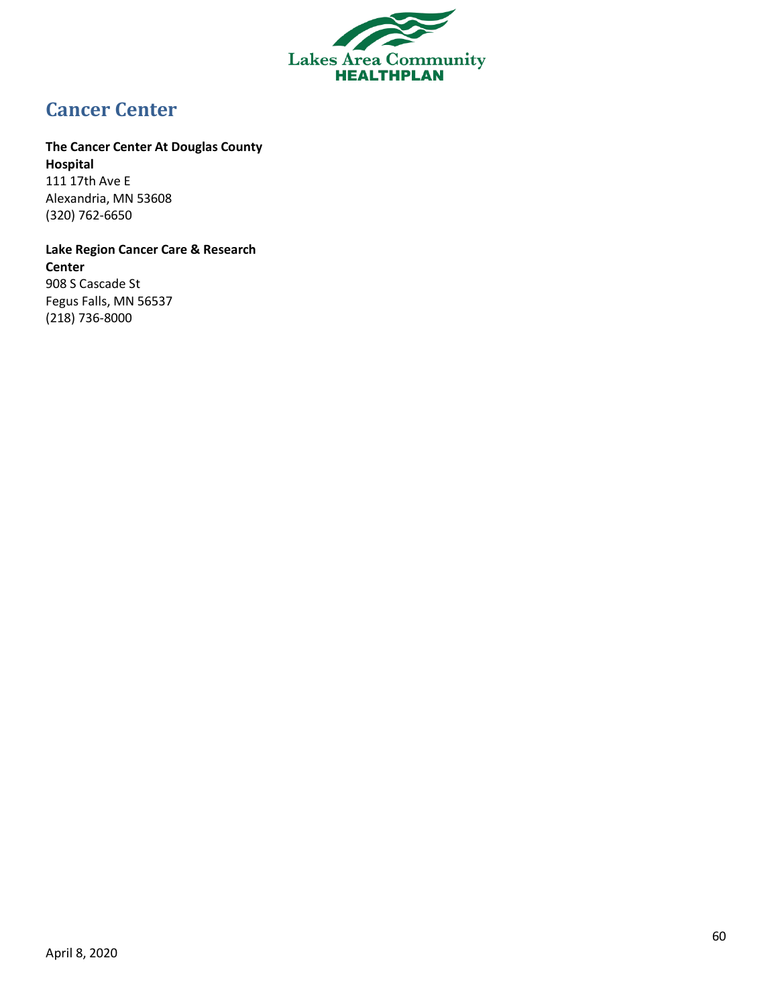

# <span id="page-59-0"></span>**Cancer Center**

# **The Cancer Center At Douglas County**

**Hospital** 111 17th Ave E Alexandria, MN 53608 (320) 762-6650

**Lake Region Cancer Care & Research Center** 908 S Cascade St Fegus Falls, MN 56537 (218) 736-8000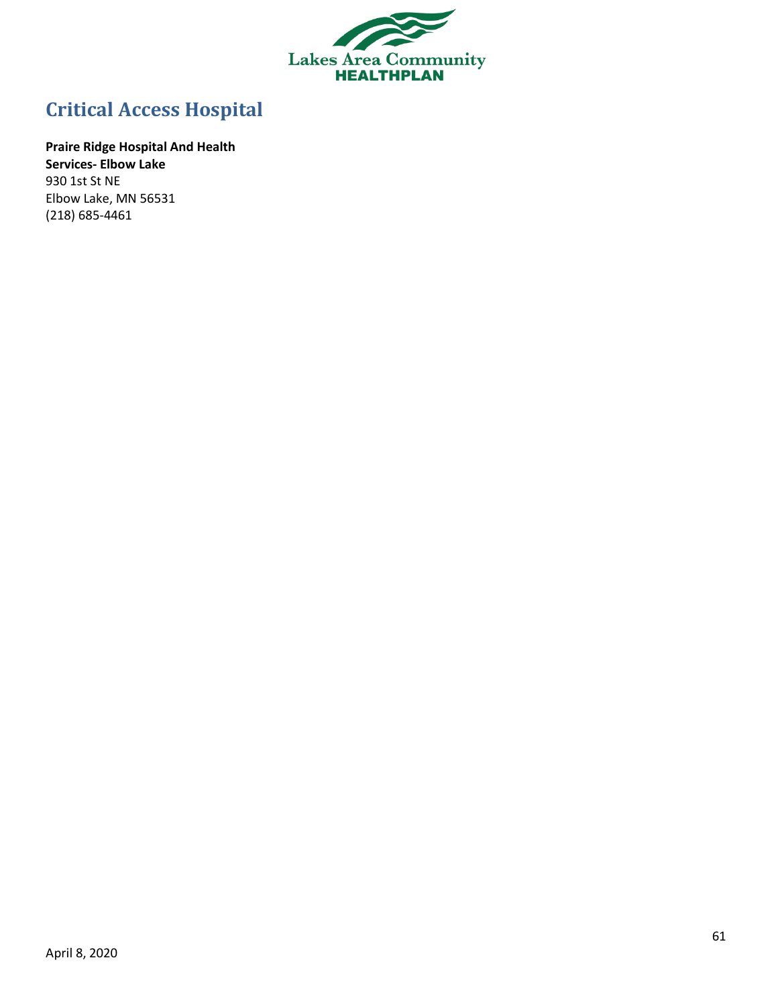

# <span id="page-60-0"></span>**Critical Access Hospital**

**Praire Ridge Hospital And Health Services- Elbow Lake** 930 1st St NE Elbow Lake, MN 56531 (218) 685-4461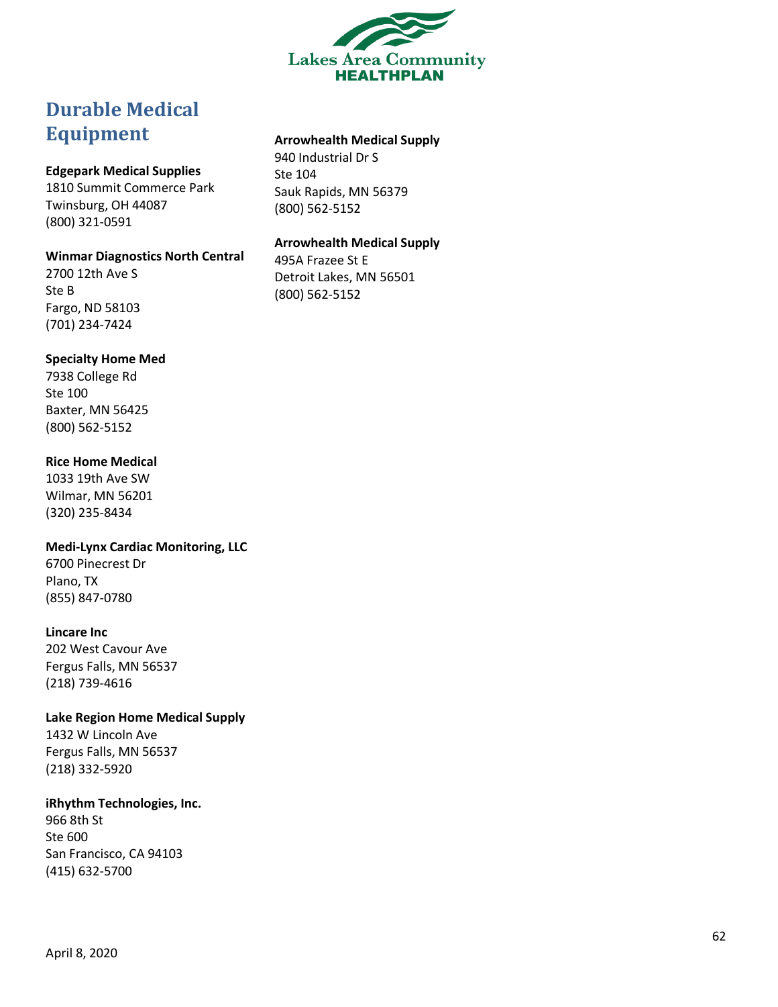

# <span id="page-61-0"></span>**Durable Medical Equipment**

### **Edgepark Medical Supplies**

1810 Summit Commerce Park Twinsburg, OH 44087 (800) 321 -0591

#### **Winmar Diagnostics North Central**

2700 12th Ave S Ste B Fargo, ND 58103 (701) 234 -7424

#### **Specialty Home Med**

7938 College Rd Ste 100 Baxter, MN 56425 (800) 562 -5152

### **Rice Home Medical**

1033 19th Ave SW Wilmar, MN 56201 (320) 235 -8434

**Medi -Lynx Cardiac Monitoring, LLC**

6700 Pinecrest Dr Plano, TX (855) 847 -0780

### **Lincare Inc**

202 West Cavour Ave Fergus Falls, MN 56537 (218) 739 -4616

**Lake Region Home Medical Supply** 1432 W Lincoln Ave

Fergus Falls, MN 56537 (218) 332 -5920

### **iRhythm Technologies, Inc.**

966 8th St Ste 600 San Francisco, CA 94103 (415) 632 -5700

### **Arrowhealth Medical Supply**

940 Industrial Dr S Ste 104 Sauk Rapids, MN 56379 (800) 562 -5152

### **Arrowhealth Medical Supply**

495A Frazee St E Detroit Lakes, MN 56501 (800) 562 -5152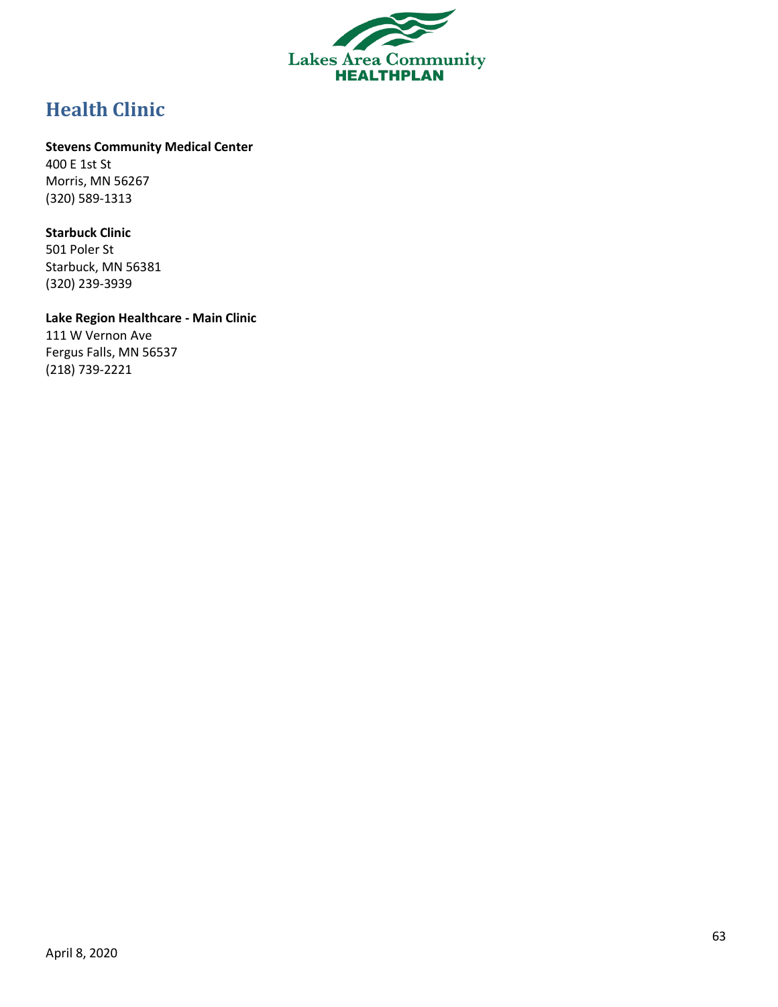

# <span id="page-62-0"></span>**Health Clinic**

### **Stevens Community Medical Center**

400 E 1st St Morris, MN 56267 (320) 589-1313

### **Starbuck Clinic**

501 Poler St Starbuck, MN 56381 (320) 239-3939

### **Lake Region Healthcare - Main Clinic** 111 W Vernon Ave

Fergus Falls, MN 56537 (218) 739-2221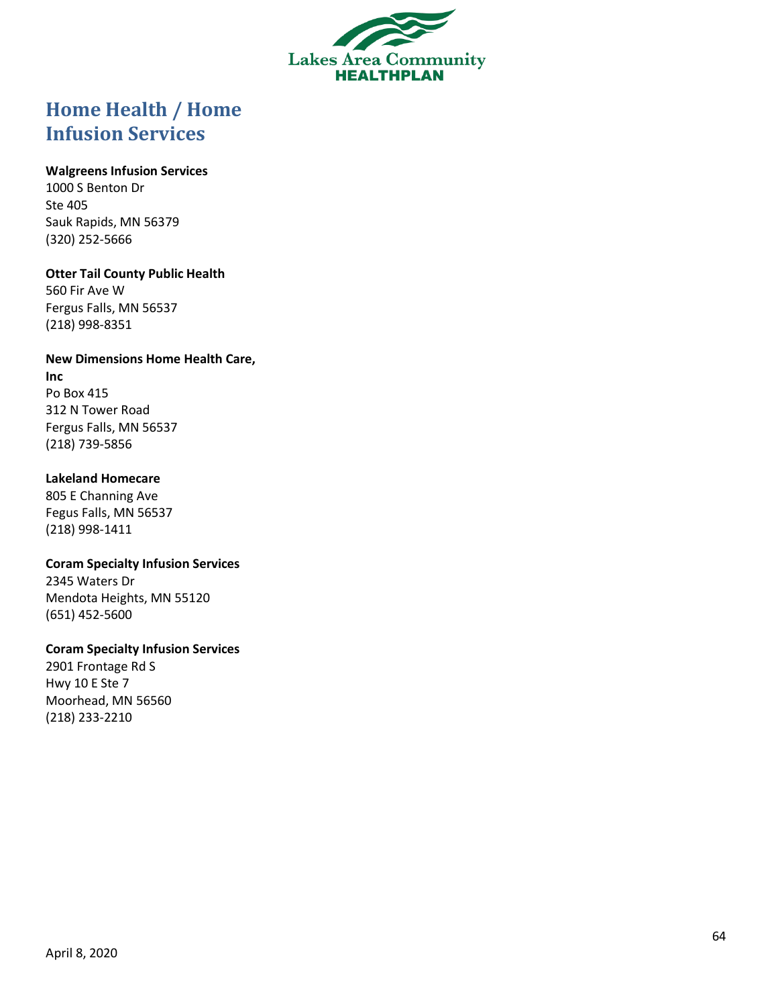

# <span id="page-63-0"></span>**Home Health / Home Infusion Services**

### **Walgreens Infusion Services**

1000 S Benton Dr Ste 405 Sauk Rapids, MN 56379 (320) 252 -5666

### **Otter Tail County Public Health**

560 Fir Ave W Fergus Falls, MN 56537 (218) 998 -8351

### **New Dimensions Home Health Care,**

**Inc** Po Box 415 312 N Tower Road Fergus Falls, MN 56537 (218) 739 -5856

### **Lakeland Homecare**

805 E Channing Ave Fegus Falls, MN 56537 (218) 998 -1411

**Coram Specialty Infusion Services** 2345 Waters Dr Mendota Heights, MN 55120 (651) 452 -5600

### **Coram Specialty Infusion Services**

2901 Frontage Rd S Hwy 10 E Ste 7 Moorhead, MN 56560 (218) 233 -2210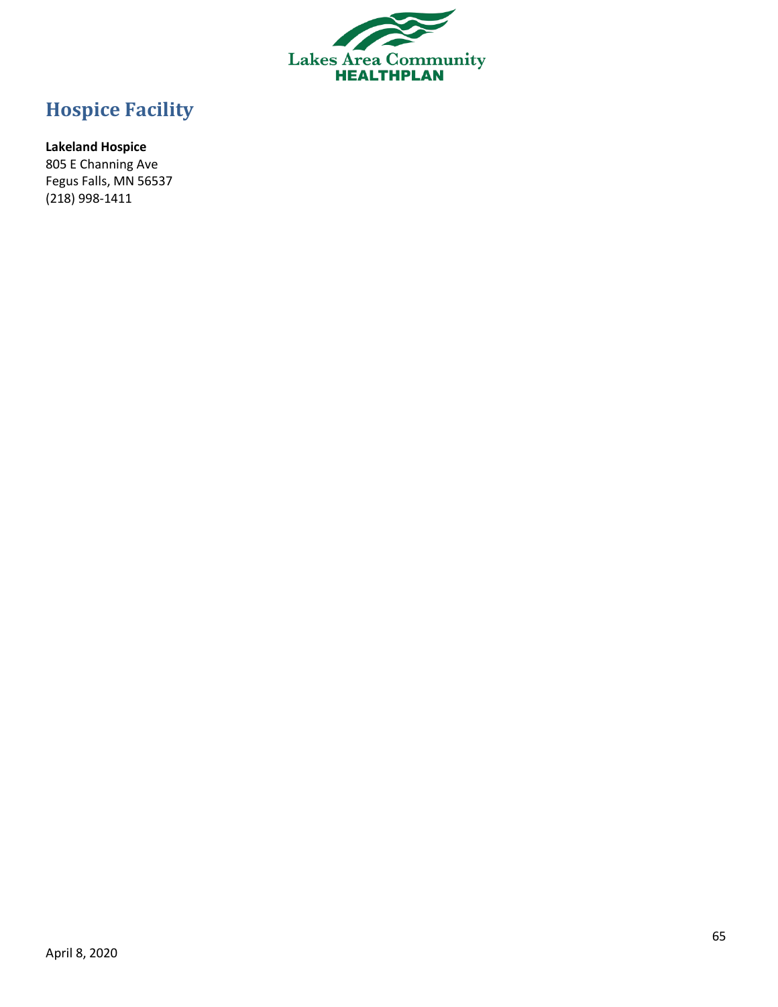

# <span id="page-64-0"></span>**Hospice Facility**

# **Lakeland Hospice**

805 E Channing Ave Fegus Falls, MN 56537 (218) 998-1411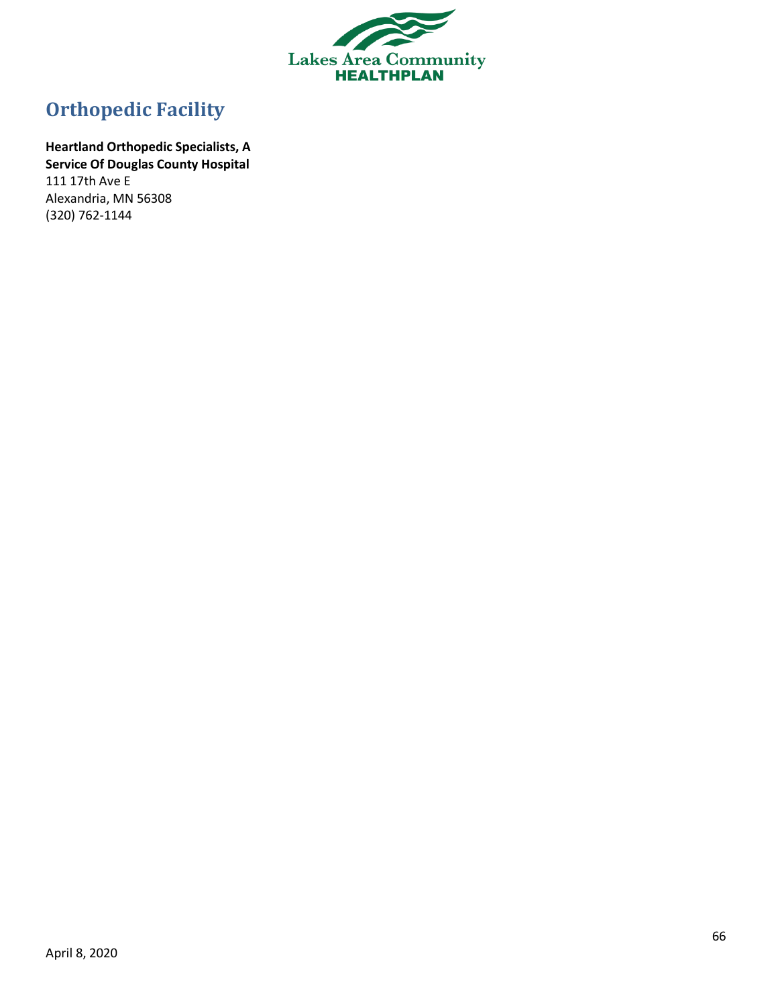

# <span id="page-65-0"></span>**Orthopedic Facility**

**Heartland Orthopedic Specialists, A Service Of Douglas County Hospital** 111 17th Ave E Alexandria, MN 56308 (320) 762-1144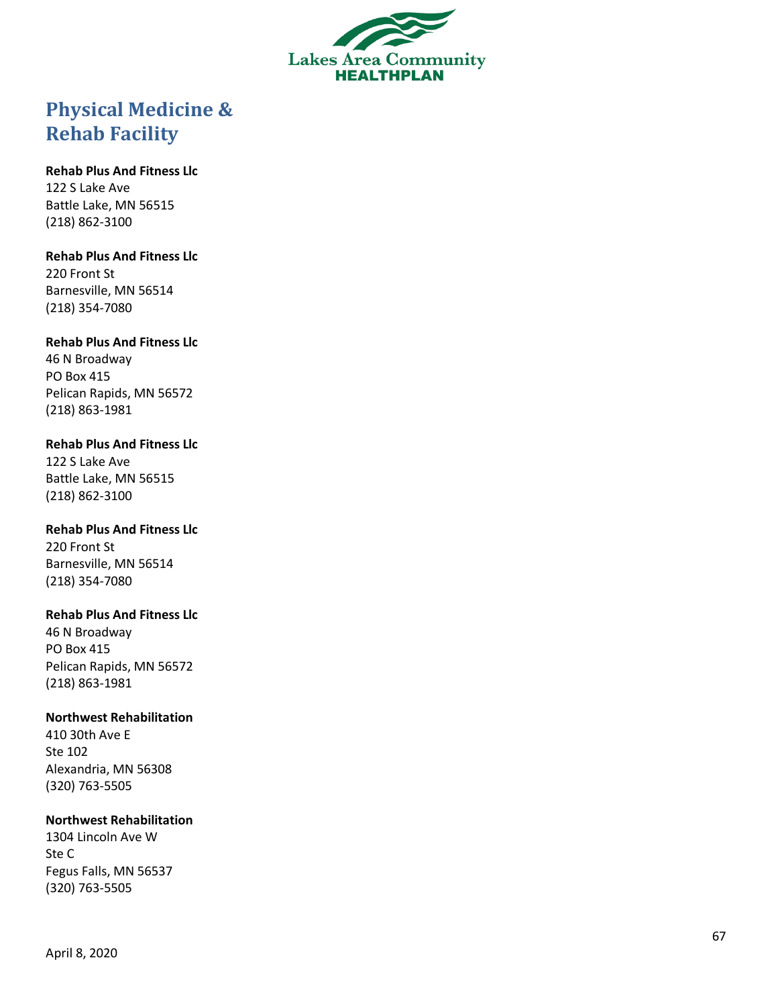

# <span id="page-66-0"></span>**Physical Medicine & Rehab Facility**

### **Rehab Plus And Fitness Llc**

122 S Lake Ave Battle Lake, MN 56515 (218) 862 -3100

### **Rehab Plus And Fitness Llc**

220 Front St Barnesville, MN 56514 (218) 354 -7080

### **Rehab Plus And Fitness Llc**

46 N Broadway PO Box 415 Pelican Rapids, MN 56572 (218) 863 -1981

# **Rehab Plus And Fitness Llc**

122 S Lake Ave Battle Lake, MN 56515 (218) 862 -3100

### **Rehab Plus And Fitness Llc** 220 Front St

Barnesville, MN 56514 (218) 354 -7080

### **Rehab Plus And Fitness Llc**

46 N Broadway PO Box 415 Pelican Rapids, MN 56572 (218) 863 -1981

# **Northwest Rehabilitation**

410 30th Ave E Ste 102 Alexandria, MN 56308 (320) 763 -5505

# **Northwest Rehabilitation**

1304 Lincoln Ave W Ste C Fegus Falls, MN 56537 (320) 763 -5505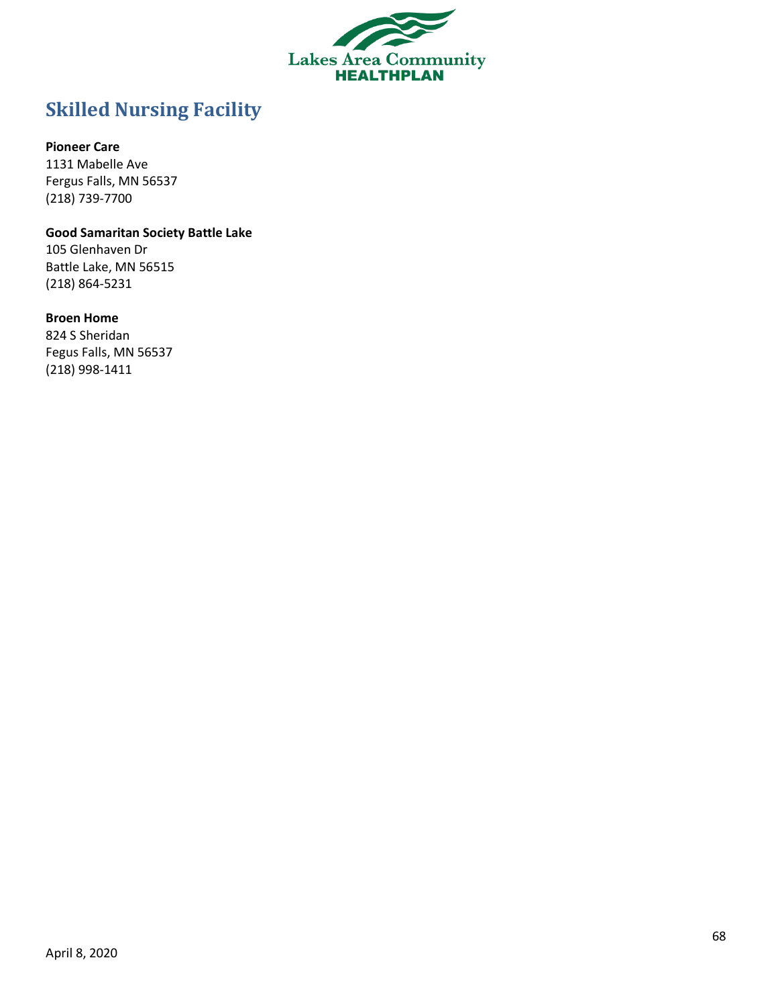

# <span id="page-67-0"></span>**Skilled Nursing Facility**

### **Pioneer Care**

1131 Mabelle Ave Fergus Falls, MN 56537 (218) 739-7700

### **Good Samaritan Society Battle Lake**

105 Glenhaven Dr Battle Lake, MN 56515 (218) 864-5231

### **Broen Home**

824 S Sheridan Fegus Falls, MN 56537 (218) 998-1411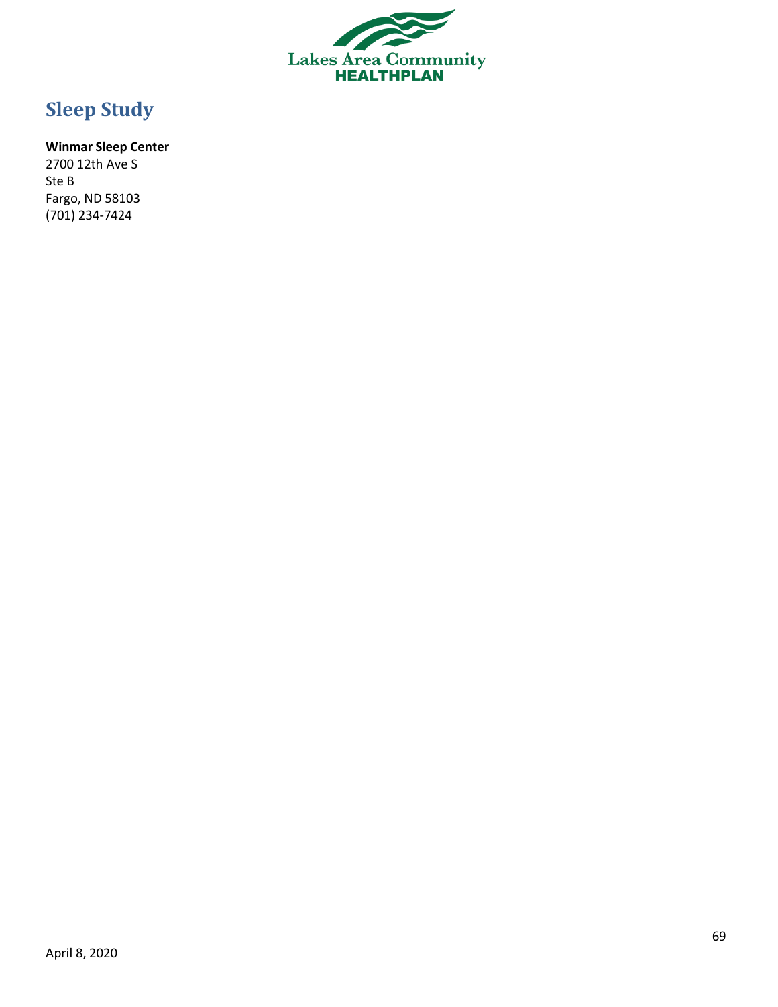

# <span id="page-68-0"></span>**Sleep Study**

# **Winmar Sleep Center**

2700 12th Ave S Ste B Fargo, ND 58103 (701) 234-7424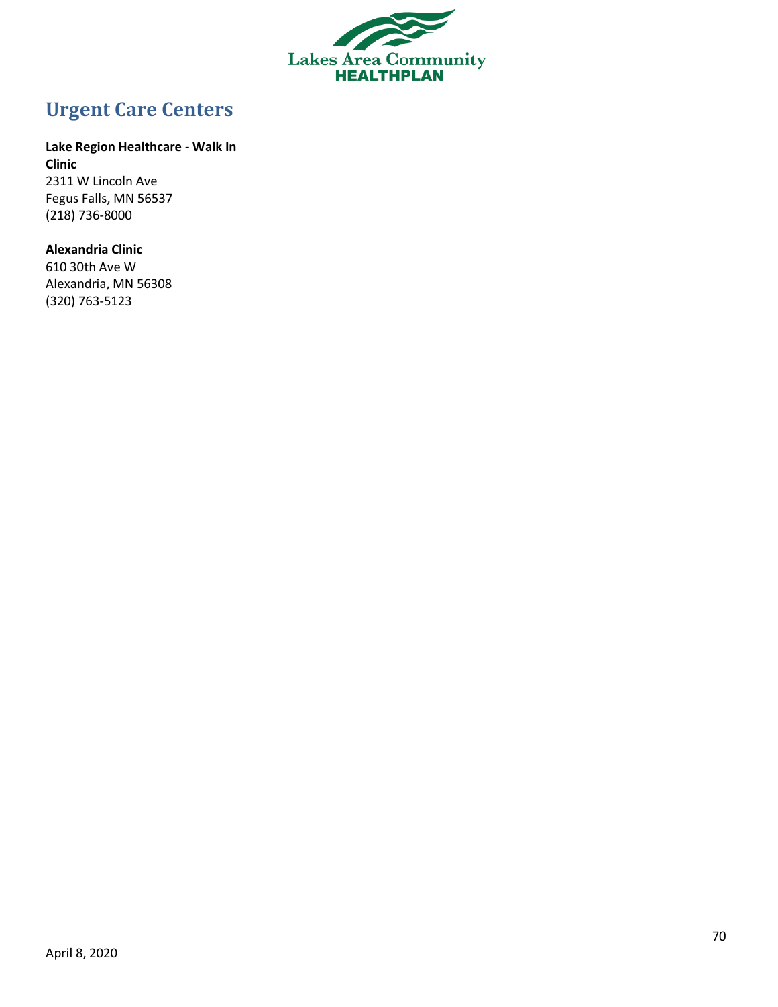

# <span id="page-69-0"></span>**Urgent Care Centers**

### **Lake Region Healthcare - Walk In**

**Clinic** 2311 W Lincoln Ave Fegus Falls, MN 56537 (218) 736-8000

### **Alexandria Clinic**

610 30th Ave W Alexandria, MN 56308 (320) 763-5123